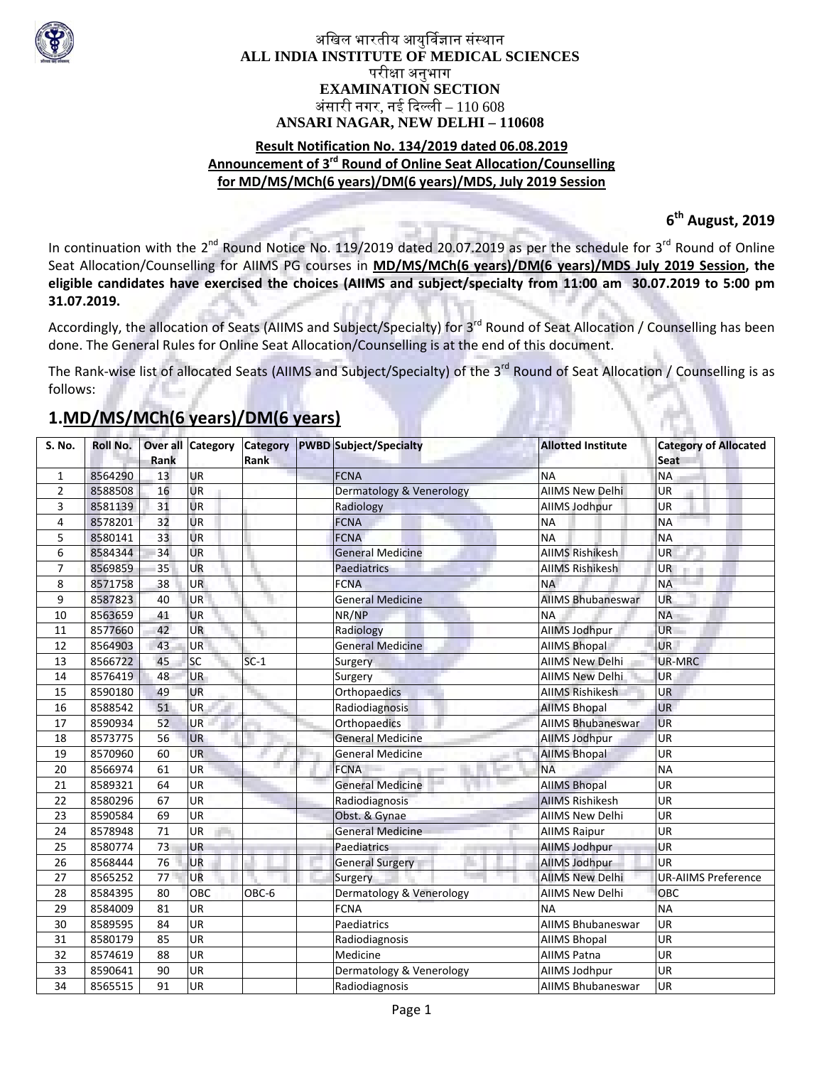

### अखिल भारतीय आयुर्विज्ञान संस्थान **ALL INDIA INSTITUTE OF MEDICAL SCIENCES**  परीक्षा अनुभाग **EXAMINATION SECTION**  अंसारी नगर, नई दिल्ली –  $110\,608$ **ANSARI NAGAR, NEW DELHI – 110608**

# **Result Notification No. 134/2019 dated 06.08.2019 Announcement of 3rd Round of Online Seat Allocation/Counselling for MD/MS/MCh(6 years)/DM(6 years)/MDS, July 2019 Session**

**6th August, 2019**

In continuation with the  $2^{nd}$  Round Notice No. 119/2019 dated 20.07.2019 as per the schedule for  $3^{rd}$  Round of Online Seat Allocation/Counselling for AIIMS PG courses in **MD/MS/MCh(6 years)/DM(6 years)/MDS July 2019 Session, the** eligible candidates have exercised the choices (AIIMS and subject/specialty from 11:00 am 30.07.2019 to 5:00 pm **31.07.2019.**

Accordingly, the allocation of Seats (AIIMS and Subject/Specialty) for 3<sup>rd</sup> Round of Seat Allocation / Counselling has been done. The General Rules for Online Seat Allocation/Counselling is at the end of this document.

The Rank-wise list of allocated Seats (AIIMS and Subject/Specialty) of the 3<sup>rd</sup> Round of Seat Allocation / Counselling is as follows:

# **1.MD/MS/MCh(6 years)/DM(6 years)**

| S. No.         | Roll No. | Rank | Over all Category | Rank   | Category PWBD Subject/Specialty | <b>Allotted Institute</b> | <b>Category of Allocated</b><br><b>Seat</b> |
|----------------|----------|------|-------------------|--------|---------------------------------|---------------------------|---------------------------------------------|
| 1              | 8564290  | 13   | <b>UR</b>         |        | <b>FCNA</b>                     | <b>NA</b>                 | <b>NA</b>                                   |
| $\overline{2}$ | 8588508  | 16   | <b>UR</b>         |        | Dermatology & Venerology        | <b>AIIMS New Delhi</b>    | <b>UR</b>                                   |
| 3              | 8581139  | 31   | UR                |        | Radiology                       | AllMS Jodhpur             | <b>UR</b>                                   |
| 4              | 8578201  | 32   | UR                |        | <b>FCNA</b>                     | <b>NA</b>                 | <b>NA</b>                                   |
| 5              | 8580141  | 33   | <b>UR</b>         |        | <b>FCNA</b>                     | <b>NA</b>                 | <b>NA</b>                                   |
| 6              | 8584344  | 34   | UR                |        | <b>General Medicine</b>         | <b>AIIMS Rishikesh</b>    | UR.                                         |
| 7              | 8569859  | 35   | UR                |        | Paediatrics                     | <b>AIIMS Rishikesh</b>    | <b>UR</b>                                   |
| 8              | 8571758  | 38   | <b>UR</b>         |        | <b>FCNA</b>                     | <b>NA</b>                 | <b>NA</b>                                   |
| 9              | 8587823  | 40   | <b>UR</b>         |        | <b>General Medicine</b>         | <b>AIIMS Bhubaneswar</b>  | <b>UR</b>                                   |
| 10             | 8563659  | 41   | <b>UR</b>         |        | NR/NP                           | <b>NA</b>                 | <b>NA</b>                                   |
| 11             | 8577660  | 42   | <b>UR</b>         |        | Radiology                       | <b>AllMS Jodhpur</b>      | <b>UR</b>                                   |
| 12             | 8564903  | 43   | <b>UR</b>         |        | <b>General Medicine</b>         | <b>AIIMS Bhopal</b>       | UR                                          |
| 13             | 8566722  | 45   | <b>SC</b>         | $SC-1$ | Surgery                         | <b>AIIMS New Delhi</b>    | UR-MRC                                      |
| 14             | 8576419  | 48   | <b>UR</b>         |        | Surgery                         | AllMS New Delhi           | <b>UR</b>                                   |
| 15             | 8590180  | 49   | <b>UR</b>         |        | Orthopaedics                    | <b>AIIMS Rishikesh</b>    | <b>UR</b>                                   |
| 16             | 8588542  | 51   | <b>UR</b>         |        | Radiodiagnosis                  | <b>AIIMS Bhopal</b>       | <b>UR</b>                                   |
| 17             | 8590934  | 52   | <b>UR</b>         |        | Orthopaedics                    | <b>AIIMS Bhubaneswar</b>  | <b>UR</b>                                   |
| 18             | 8573775  | 56   | <b>UR</b>         |        | <b>General Medicine</b>         | <b>AllMS Jodhpur</b>      | <b>UR</b>                                   |
| 19             | 8570960  | 60   | <b>UR</b>         |        | <b>General Medicine</b>         | <b>AIIMS Bhopal</b>       | <b>UR</b>                                   |
| 20             | 8566974  | 61   | UR                |        | <b>FCNA</b>                     | <b>NA</b>                 | <b>NA</b>                                   |
| 21             | 8589321  | 64   | <b>UR</b>         |        | <b>General Medicine</b>         | <b>AIIMS Bhopal</b>       | <b>UR</b>                                   |
| 22             | 8580296  | 67   | <b>UR</b>         |        | Radiodiagnosis                  | <b>AIIMS Rishikesh</b>    | <b>UR</b>                                   |
| 23             | 8590584  | 69   | UR                |        | Obst. & Gynae                   | <b>AIIMS New Delhi</b>    | <b>UR</b>                                   |
| 24             | 8578948  | 71   | UR                |        | <b>General Medicine</b>         | <b>AIIMS Raipur</b>       | <b>UR</b>                                   |
| 25             | 8580774  | 73   | UR                |        | <b>Paediatrics</b>              | <b>AllMS Jodhpur</b>      | <b>UR</b>                                   |
| 26             | 8568444  | 76   | UR                |        | <b>General Surgery</b>          | AllMS Jodhpur             | <b>UR</b>                                   |
| 27             | 8565252  | 77   | UR                |        | Surgery                         | <b>AIIMS New Delhi</b>    | <b>UR-AIIMS Preference</b>                  |
| 28             | 8584395  | 80   | OBC               | OBC-6  | Dermatology & Venerology        | AllMS New Delhi           | OBC                                         |
| 29             | 8584009  | 81   | <b>UR</b>         |        | <b>FCNA</b>                     | <b>NA</b>                 | <b>NA</b>                                   |
| 30             | 8589595  | 84   | UR                |        | Paediatrics                     | AIIMS Bhubaneswar         | <b>UR</b>                                   |
| 31             | 8580179  | 85   | UR                |        | Radiodiagnosis                  | <b>AIIMS Bhopal</b>       | <b>UR</b>                                   |
| 32             | 8574619  | 88   | UR                |        | Medicine                        | <b>AIIMS Patna</b>        | <b>UR</b>                                   |
| 33             | 8590641  | 90   | UR                |        | Dermatology & Venerology        | AllMS Jodhpur             | <b>UR</b>                                   |
| 34             | 8565515  | 91   | UR                |        | Radiodiagnosis                  | AIIMS Bhubaneswar         | <b>UR</b>                                   |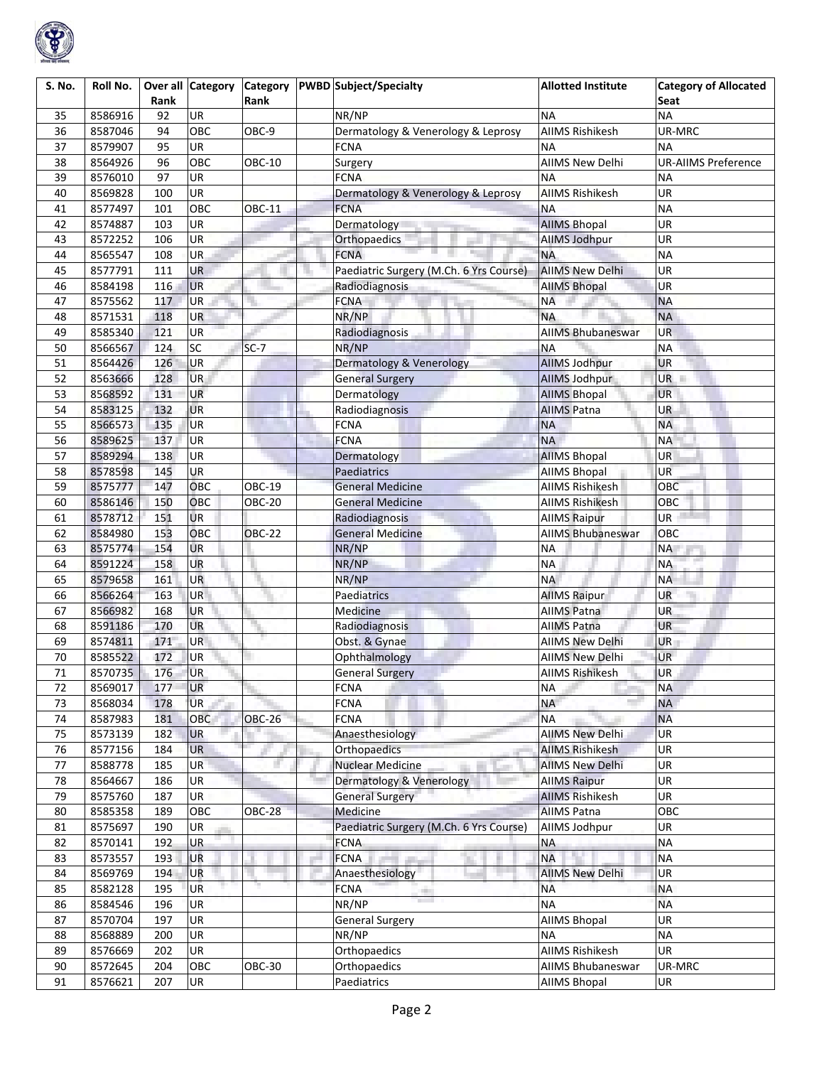

| <b>S. No.</b> | Roll No. | Rank       |           | Rank          | Over all Category Category   PWBD Subject/Specialty | <b>Allotted Institute</b> | <b>Category of Allocated</b><br>Seat |
|---------------|----------|------------|-----------|---------------|-----------------------------------------------------|---------------------------|--------------------------------------|
| 35            | 8586916  | 92         | <b>UR</b> |               | NR/NP                                               | <b>NA</b>                 | <b>NA</b>                            |
| 36            | 8587046  | 94         | OBC       | OBC-9         | Dermatology & Venerology & Leprosy                  | <b>AIIMS Rishikesh</b>    | UR-MRC                               |
| 37            | 8579907  | 95         | <b>UR</b> |               | <b>FCNA</b>                                         | <b>NA</b>                 | <b>NA</b>                            |
| 38            | 8564926  | 96         | OBC       | <b>OBC-10</b> | Surgery                                             | <b>AIIMS New Delhi</b>    | <b>UR-AIIMS Preference</b>           |
| 39            | 8576010  | 97         | <b>UR</b> |               | <b>FCNA</b>                                         | <b>NA</b>                 | <b>NA</b>                            |
| 40            | 8569828  | 100        | <b>UR</b> |               | Dermatology & Venerology & Leprosy                  | <b>AIIMS Rishikesh</b>    | UR                                   |
| 41            | 8577497  | 101        | OBC       | <b>OBC-11</b> | <b>FCNA</b>                                         | <b>NA</b>                 | <b>NA</b>                            |
| 42            | 8574887  | 103        | <b>UR</b> |               | <b>Dermatology</b>                                  | <b>AIIMS Bhopal</b>       | <b>UR</b>                            |
| 43            | 8572252  | 106        | <b>UR</b> |               | Orthopaedics                                        | <b>AllMS Jodhpur</b>      | UR                                   |
| 44            | 8565547  | 108        | <b>UR</b> |               | <b>FCNA</b>                                         | <b>NA</b>                 | <b>NA</b>                            |
| 45            | 8577791  | 111        | <b>UR</b> |               | Paediatric Surgery (M.Ch. 6 Yrs Course)             | <b>AIIMS New Delhi</b>    | <b>UR</b>                            |
| 46            | 8584198  | 116        | UR        |               | Radiodiagnosis                                      | <b>AIIMS Bhopal</b>       | <b>UR</b>                            |
| 47            | 8575562  | 117        | UR        |               | <b>FCNA</b>                                         | <b>NA</b>                 | <b>NA</b>                            |
| 48            | 8571531  | 118        | <b>UR</b> |               | NR/NP                                               | <b>NA</b>                 | <b>NA</b>                            |
| 49            | 8585340  | 121        | <b>UR</b> |               | Radiodiagnosis                                      | <b>AIIMS Bhubaneswar</b>  | <b>UR</b>                            |
| 50            | 8566567  | 124        | <b>SC</b> | $SC-7$        | NR/NP                                               | <b>NA</b>                 | <b>NA</b>                            |
|               | 8564426  |            | UR        |               | <b>Dermatology &amp; Venerology</b>                 | <b>AllMS Jodhpur</b>      | <b>UR</b>                            |
| 51            | 8563666  | 126<br>128 | <b>UR</b> |               |                                                     | <b>AllMS Jodhpur</b>      | UR <sub>L</sub>                      |
| 52            |          |            |           |               | <b>General Surgery</b>                              |                           |                                      |
| 53            | 8568592  | 131        | <b>UR</b> |               | Dermatology                                         | <b>AIIMS Bhopal</b>       | <b>UR</b>                            |
| 54            | 8583125  | 132        | UR        |               | Radiodiagnosis                                      | <b>AllMS Patna</b>        | <b>UR</b>                            |
| 55            | 8566573  | 135        | UR        |               | <b>FCNA</b>                                         | <b>NA</b>                 | <b>NA</b>                            |
| 56            | 8589625  | 137        | <b>UR</b> |               | <b>FCNA</b>                                         | <b>NA</b>                 | <b>NA</b>                            |
| 57            | 8589294  | 138        | <b>UR</b> |               | Dermatology                                         | <b>AIIMS Bhopal</b>       | <b>UR</b>                            |
| 58            | 8578598  | 145        | UR        |               | <b>Paediatrics</b>                                  | <b>AIIMS Bhopal</b>       | <b>UR</b>                            |
| 59            | 8575777  | 147        | OBC       | <b>OBC-19</b> | <b>General Medicine</b>                             | <b>AIIMS Rishikesh</b>    | OBC                                  |
| 60            | 8586146  | 150        | OBC       | <b>OBC-20</b> | <b>General Medicine</b>                             | <b>AIIMS Rishikesh</b>    | OBC                                  |
| 61            | 8578712  | 151        | UR        |               | Radiodiagnosis                                      | <b>AllMS Raipur</b>       | <b>UR</b>                            |
| 62            | 8584980  | 153        | OBC       | <b>OBC-22</b> | <b>General Medicine</b>                             | <b>AIIMS Bhubaneswar</b>  | OBC                                  |
| 63            | 8575774  | 154        | UR        |               | NR/NP                                               | <b>NA</b>                 | <b>NA</b>                            |
| 64            | 8591224  | 158        | <b>UR</b> |               | NR/NP                                               | <b>NA</b>                 | <b>NA</b>                            |
| 65            | 8579658  | 161        | <b>UR</b> |               | NR/NP                                               | <b>NA</b>                 | <b>NA</b>                            |
| 66            | 8566264  | 163        | <b>UR</b> |               | <b>Paediatrics</b>                                  | <b>AllMS Raipur</b>       | UR                                   |
| 67            | 8566982  | 168        | <b>UR</b> |               | Medicine                                            | <b>AIIMS Patna</b>        | <b>UR</b>                            |
| 68            | 8591186  | 170        | <b>UR</b> |               | Radiodiagnosis                                      | <b>AIIMS Patna</b>        | <b>UR</b>                            |
| 69            | 8574811  | 171        | UR        |               | Obst. & Gynae                                       | <b>AIIMS New Delhi</b>    | <b>UR</b>                            |
| 70            | 8585522  | 172        | <b>UR</b> |               | Ophthalmology                                       | <b>AIIMS New Delhi</b>    | <b>UR</b>                            |
| 71            | 8570735  | 176        | UR        |               | <b>General Surgery</b>                              | AIIMS Rishikesh           | <b>UR</b>                            |
| 72            | 8569017  | 177        | UR        |               | <b>FCNA</b>                                         | <b>NA</b>                 | <b>NA</b>                            |
| 73            | 8568034  | 178        | <b>UR</b> |               | <b>FCNA</b>                                         | <b>NA</b>                 | <b>NA</b>                            |
| 74            | 8587983  | 181        | OBC       | <b>OBC-26</b> | <b>FCNA</b>                                         | <b>NA</b>                 | <b>NA</b>                            |
| 75            | 8573139  | 182        | <b>UR</b> |               | Anaesthesiology                                     | <b>AIIMS New Delhi</b>    | <b>UR</b>                            |
| 76            | 8577156  | 184        | <b>UR</b> |               | Orthopaedics                                        | <b>AIIMS Rishikesh</b>    | UR                                   |
| 77            | 8588778  | 185        | <b>UR</b> |               | <b>Nuclear Medicine</b>                             | <b>AIIMS New Delhi</b>    | <b>UR</b>                            |
| 78            | 8564667  | 186        | <b>UR</b> |               | Dermatology & Venerology                            | <b>AllMS Raipur</b>       | <b>UR</b>                            |
| 79            | 8575760  | 187        | UR        |               | <b>General Surgery</b>                              | <b>AIIMS Rishikesh</b>    | UR                                   |
| 80            | 8585358  | 189        | OBC       | <b>OBC-28</b> | Medicine                                            | <b>AIIMS Patna</b>        | OBC                                  |
| 81            | 8575697  | 190        | <b>UR</b> |               | Paediatric Surgery (M.Ch. 6 Yrs Course)             | AllMS Jodhpur             | UR                                   |
| 82            | 8570141  | 192        | <b>UR</b> |               | <b>FCNA</b>                                         | <b>NA</b>                 | <b>NA</b>                            |
| 83            | 8573557  | 193        | UR        |               | <b>FCNA</b>                                         | <b>NA</b>                 | <b>NA</b>                            |
| 84            | 8569769  | 194        | UR        |               | Anaesthesiology                                     | <b>AIIMS New Delhi</b>    | <b>UR</b>                            |
| 85            | 8582128  | 195        | UR        |               | <b>FCNA</b>                                         | <b>NA</b>                 | <b>NA</b>                            |
| 86            | 8584546  | 196        | <b>UR</b> |               | NR/NP                                               | <b>NA</b>                 | <b>NA</b>                            |
| 87            | 8570704  | 197        | <b>UR</b> |               | <b>General Surgery</b>                              | <b>AIIMS Bhopal</b>       | UR                                   |
| 88            | 8568889  | 200        | UR        |               | NR/NP                                               | ΝA                        | <b>NA</b>                            |
| 89            | 8576669  | 202        | UR        |               | Orthopaedics                                        | <b>AIIMS Rishikesh</b>    | UR                                   |
| 90            | 8572645  | 204        | OBC       | <b>OBC-30</b> | Orthopaedics                                        | AIIMS Bhubaneswar         | UR-MRC                               |
| 91            | 8576621  | 207        | UR        |               | Paediatrics                                         | <b>AIIMS Bhopal</b>       | UR                                   |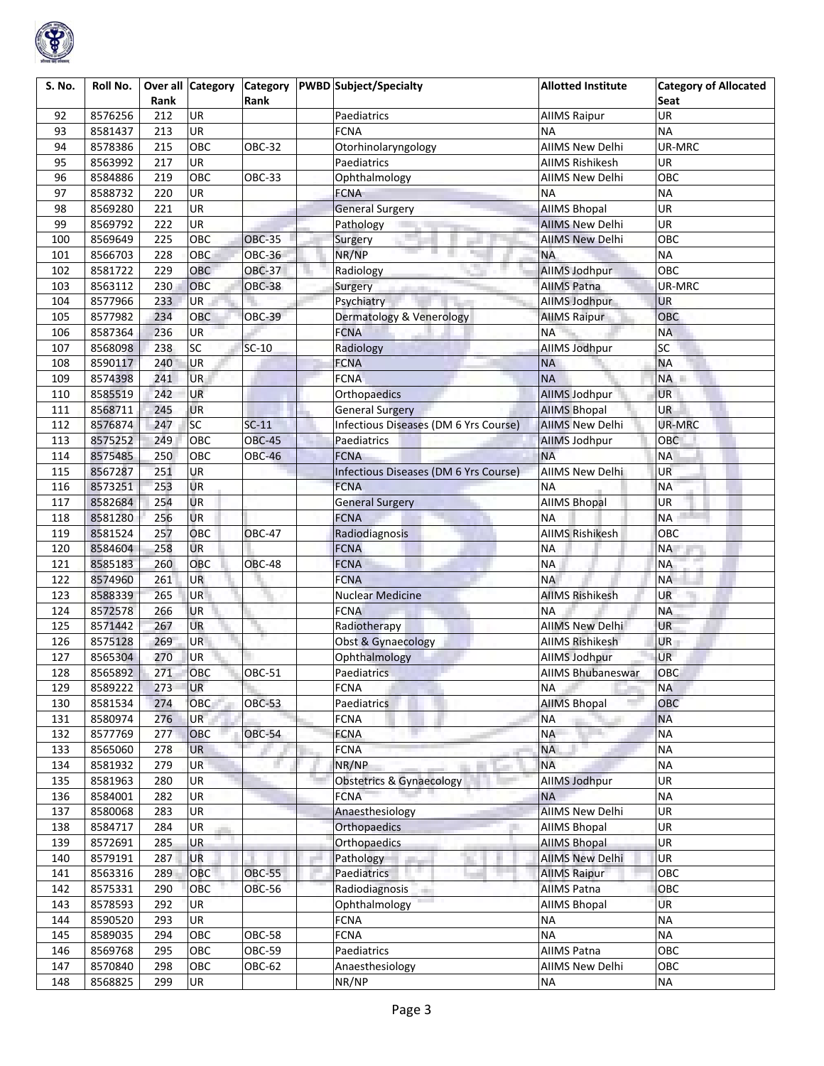

| S. No. | Roll No. | Rank       | Over all Category | Rank          | Category   PWBD Subject/Specialty                                                                                                                                                                                                                 | <b>Allotted Institute</b>                     | <b>Category of Allocated</b><br>Seat |
|--------|----------|------------|-------------------|---------------|---------------------------------------------------------------------------------------------------------------------------------------------------------------------------------------------------------------------------------------------------|-----------------------------------------------|--------------------------------------|
| 92     | 8576256  | 212        | <b>UR</b>         |               | Paediatrics                                                                                                                                                                                                                                       | <b>AIIMS Raipur</b>                           | <b>UR</b>                            |
| 93     | 8581437  | 213        | UR                |               | <b>FCNA</b>                                                                                                                                                                                                                                       | <b>NA</b>                                     | <b>NA</b>                            |
| 94     | 8578386  | 215        | OBC               | <b>OBC-32</b> | Otorhinolaryngology                                                                                                                                                                                                                               | <b>AIIMS New Delhi</b>                        | UR-MRC                               |
| 95     | 8563992  | 217        | UR                |               | Paediatrics                                                                                                                                                                                                                                       | <b>AIIMS Rishikesh</b>                        | <b>UR</b>                            |
| 96     | 8584886  | 219        | OBC               | OBC-33        | Ophthalmology                                                                                                                                                                                                                                     | <b>AIIMS New Delhi</b>                        | OBC                                  |
| 97     | 8588732  | 220        | UR                |               | <b>FCNA</b>                                                                                                                                                                                                                                       | <b>NA</b>                                     | <b>NA</b>                            |
| 98     | 8569280  | 221        | <b>UR</b>         |               | <b>General Surgery</b>                                                                                                                                                                                                                            | <b>AIIMS Bhopal</b>                           | <b>UR</b>                            |
| 99     | 8569792  | 222        | UR                |               | Pathology<br><b>The Contract of the Contract of the Contract of the Contract of the Contract of the Contract of the Contract of the Contract of the Contract of the Contract of the Contract of the Contract of The Contract of The Contract </b> | <b>AIIMS New Delhi</b>                        | UR                                   |
| 100    | 8569649  | 225        | OBC               | <b>OBC-35</b> | Surgery                                                                                                                                                                                                                                           | <b>AIIMS New Delhi</b>                        | OBC                                  |
| 101    | 8566703  | 228        | OBC               | <b>OBC-36</b> | ш<br>NR/NP<br><b>BU</b>                                                                                                                                                                                                                           | <b>NA</b>                                     | <b>NA</b>                            |
| 102    | 8581722  | 229        | ОВС               | <b>OBC-37</b> | Radiology                                                                                                                                                                                                                                         | <b>AllMS Jodhpur</b>                          | OBC                                  |
| 103    | 8563112  | 230        | OBC               | <b>OBC-38</b> | Surgery                                                                                                                                                                                                                                           | <b>AIIMS Patna</b>                            | UR-MRC                               |
| 104    | 8577966  | 233        | <b>UR</b>         |               | Psychiatry                                                                                                                                                                                                                                        | AllMS Jodhpur                                 | <b>UR</b>                            |
| 105    | 8577982  | 234        | OBC               | <b>OBC-39</b> | Dermatology & Venerology                                                                                                                                                                                                                          | <b>AIIMS Raipur</b>                           | OBC                                  |
| 106    | 8587364  | 236        | <b>UR</b>         |               | <b>FCNA</b>                                                                                                                                                                                                                                       | <b>NA</b>                                     | <b>NA</b>                            |
| 107    | 8568098  | 238        | <b>SC</b>         | $SC-10$       | Radiology                                                                                                                                                                                                                                         | <b>AllMS Jodhpur</b>                          | SC                                   |
| 108    | 8590117  | 240        | <b>UR</b>         |               | <b>FCNA</b>                                                                                                                                                                                                                                       | <b>NA</b>                                     | <b>NA</b>                            |
| 109    | 8574398  | 241        | <b>UR</b>         |               | <b>FCNA</b>                                                                                                                                                                                                                                       | <b>NA</b>                                     | NA <b>NA</b>                         |
| 110    | 8585519  | 242        | <b>UR</b>         |               | Orthopaedics                                                                                                                                                                                                                                      | <b>AllMS Jodhpur</b>                          | <b>UR</b>                            |
|        |          |            | UR                |               |                                                                                                                                                                                                                                                   |                                               | <b>UR</b>                            |
| 111    | 8568711  | 245        | <b>SC</b>         | $SC-11$       | <b>General Surgery</b><br>Infectious Diseases (DM 6 Yrs Course)                                                                                                                                                                                   | <b>AIIMS Bhopal</b><br><b>AIIMS New Delhi</b> | UR-MRC                               |
| 112    | 8576874  | 247<br>249 | OBC               | <b>OBC-45</b> | Paediatrics                                                                                                                                                                                                                                       |                                               | OBC                                  |
| 113    | 8575252  |            |                   |               |                                                                                                                                                                                                                                                   | AllMS Jodhpur                                 |                                      |
| 114    | 8575485  | 250        | OBC               | <b>OBC-46</b> | <b>FCNA</b>                                                                                                                                                                                                                                       | <b>NA</b>                                     | <b>NA</b>                            |
| 115    | 8567287  | 251        | UR                |               | Infectious Diseases (DM 6 Yrs Course)                                                                                                                                                                                                             | <b>AIIMS New Delhi</b>                        | UR                                   |
| 116    | 8573251  | 253        | UR                |               | <b>FCNA</b>                                                                                                                                                                                                                                       | <b>NA</b>                                     | <b>NA</b>                            |
| 117    | 8582684  | 254        | <b>UR</b>         |               | <b>General Surgery</b>                                                                                                                                                                                                                            | <b>AIIMS Bhopal</b>                           | UR                                   |
| 118    | 8581280  | 256        | UR                |               | <b>FCNA</b>                                                                                                                                                                                                                                       | <b>NA</b>                                     | <b>NA</b>                            |
| 119    | 8581524  | 257        | OBC               | <b>OBC-47</b> | Radiodiagnosis                                                                                                                                                                                                                                    | <b>AIIMS Rishikesh</b>                        | OBC                                  |
| 120    | 8584604  | 258        | UR                |               | <b>FCNA</b>                                                                                                                                                                                                                                       | <b>NA</b>                                     | <b>NA</b>                            |
| 121    | 8585183  | 260        | OBC               | <b>OBC-48</b> | <b>FCNA</b>                                                                                                                                                                                                                                       | <b>NA</b>                                     | <b>NA</b>                            |
| 122    | 8574960  | 261        | UR.               |               | <b>FCNA</b>                                                                                                                                                                                                                                       | <b>NA</b>                                     | <b>NA</b>                            |
| 123    | 8588339  | 265        | <b>UR</b>         |               | Nuclear Medicine                                                                                                                                                                                                                                  | <b>AIIMS Rishikesh</b>                        | UR                                   |
| 124    | 8572578  | 266        | <b>UR</b>         |               | <b>FCNA</b>                                                                                                                                                                                                                                       | <b>NA</b>                                     | <b>NA</b>                            |
| 125    | 8571442  | 267        | UR                |               | Radiotherapy                                                                                                                                                                                                                                      | AIIMS New Delhi                               | <b>UR</b>                            |
| 126    | 8575128  | 269        | UR                |               | Obst & Gynaecology                                                                                                                                                                                                                                | <b>AIIMS Rishikesh</b>                        | <b>UR</b>                            |
| 127    | 8565304  | 270        | UR.               |               | Ophthalmology                                                                                                                                                                                                                                     | AllMS Jodhpur                                 | <b>UR</b>                            |
| 128    | 8565892  | 271        | OBC               | OBC-51        | <b>Paediatrics</b>                                                                                                                                                                                                                                | <b>AIIMS Bhubaneswar</b>                      | OBC                                  |
| 129    | 8589222  | 273        | UR                |               | <b>FCNA</b>                                                                                                                                                                                                                                       | <b>NA</b>                                     | <b>NA</b>                            |
| 130    | 8581534  | 274        | OBC               | <b>OBC-53</b> | Paediatrics                                                                                                                                                                                                                                       | <b>AIIMS Bhopal</b>                           | <b>OBC</b>                           |
| 131    | 8580974  | 276        | <b>UR</b>         |               | <b>FCNA</b>                                                                                                                                                                                                                                       | <b>NA</b>                                     | <b>NA</b>                            |
| 132    | 8577769  | 277        | OBC               | <b>OBC-54</b> | <b>FCNA</b>                                                                                                                                                                                                                                       | <b>NA</b>                                     | <b>NA</b>                            |
| 133    | 8565060  | 278        | <b>UR</b>         |               | <b>FCNA</b>                                                                                                                                                                                                                                       | <b>NA</b>                                     | <b>NA</b>                            |
| 134    | 8581932  | 279        | UR                |               | NR/NP                                                                                                                                                                                                                                             | <b>NA</b>                                     | <b>NA</b>                            |
| 135    | 8581963  | 280        | UR                |               | Obstetrics & Gynaecology                                                                                                                                                                                                                          | <b>AllMS Jodhpur</b>                          | UR                                   |
| 136    | 8584001  | 282        | UR                |               | <b>FCNA</b>                                                                                                                                                                                                                                       | <b>NA</b>                                     | <b>NA</b>                            |
| 137    | 8580068  | 283        | UR                |               | Anaesthesiology                                                                                                                                                                                                                                   | AllMS New Delhi                               | UR                                   |
| 138    | 8584717  | 284        | UR                |               | <b>Orthopaedics</b>                                                                                                                                                                                                                               | <b>AIIMS Bhopal</b>                           | UR                                   |
| 139    | 8572691  | 285        | UR                |               | Orthopaedics                                                                                                                                                                                                                                      | <b>AIIMS Bhopal</b>                           | UR                                   |
| 140    | 8579191  | 287        | <b>UR</b>         |               | Pathology<br>an i                                                                                                                                                                                                                                 | <b>AIIMS New Delhi</b>                        | <b>UR</b>                            |
| 141    | 8563316  | 289        | OBC               | <b>OBC-55</b> | c.<br>Paediatrics                                                                                                                                                                                                                                 | <b>AIIMS Raipur</b>                           | OBC                                  |
| 142    | 8575331  | 290        | OBC               | <b>OBC-56</b> | Radiodiagnosis<br>w.                                                                                                                                                                                                                              | <b>AIIMS Patna</b>                            | OBC                                  |
| 143    | 8578593  | 292        | <b>UR</b>         |               | Ophthalmology                                                                                                                                                                                                                                     | <b>AIIMS Bhopal</b>                           | <b>UR</b>                            |
| 144    | 8590520  | 293        | UR                |               | <b>FCNA</b>                                                                                                                                                                                                                                       | <b>NA</b>                                     | <b>NA</b>                            |
| 145    | 8589035  | 294        | ОВС               | <b>OBC-58</b> | <b>FCNA</b>                                                                                                                                                                                                                                       | <b>NA</b>                                     | <b>NA</b>                            |
| 146    | 8569768  | 295        | OBC               | OBC-59        | Paediatrics                                                                                                                                                                                                                                       | AIIMS Patna                                   | OBC                                  |
| 147    | 8570840  | 298        | OBC               | OBC-62        | Anaesthesiology                                                                                                                                                                                                                                   | AIIMS New Delhi                               | OBC                                  |
| 148    | 8568825  | 299        | UR                |               | NR/NP                                                                                                                                                                                                                                             | <b>NA</b>                                     | <b>NA</b>                            |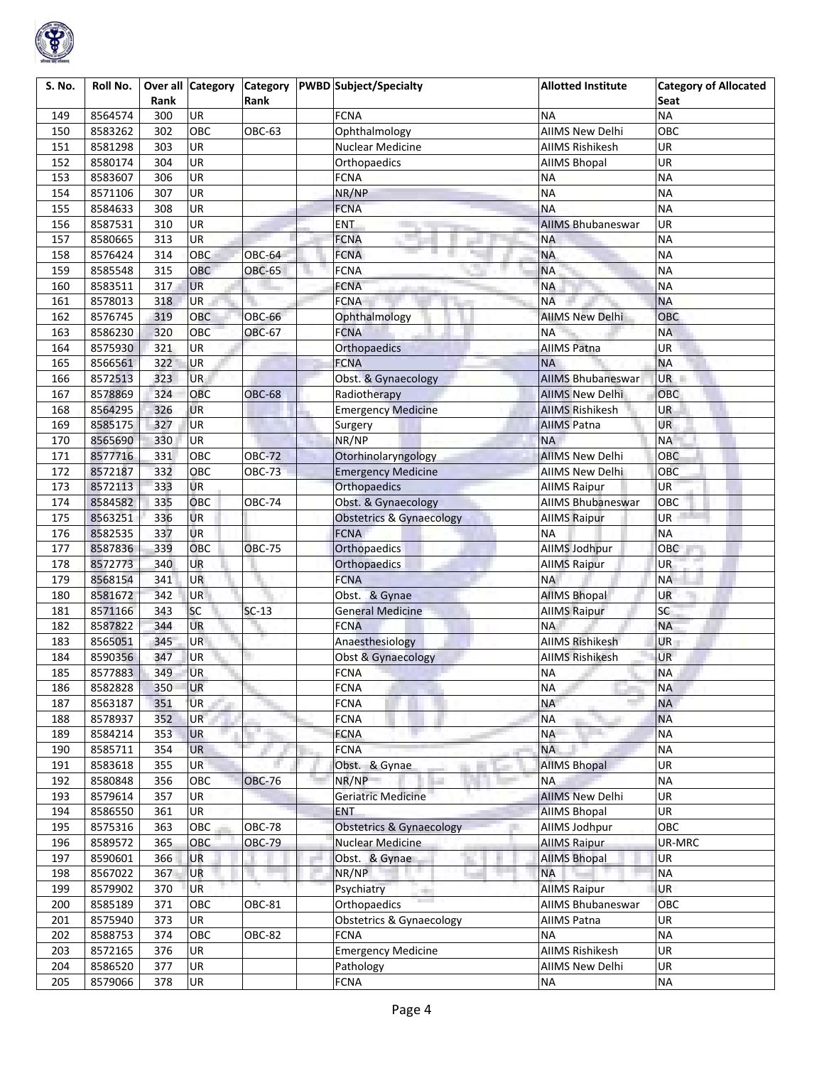

| S. No. | Roll No. |      |                 | Rank          | Over all Category Category PWBD Subject/Specialty | <b>Allotted Institute</b> | <b>Category of Allocated</b> |
|--------|----------|------|-----------------|---------------|---------------------------------------------------|---------------------------|------------------------------|
|        |          | Rank |                 |               |                                                   |                           | Seat                         |
| 149    | 8564574  | 300  | UR              |               | <b>FCNA</b>                                       | <b>NA</b>                 | <b>NA</b>                    |
| 150    | 8583262  | 302  | OBC             | OBC-63        | Ophthalmology                                     | <b>AIIMS New Delhi</b>    | OBC                          |
| 151    | 8581298  | 303  | <b>UR</b>       |               | <b>Nuclear Medicine</b>                           | <b>AIIMS Rishikesh</b>    | <b>UR</b>                    |
| 152    | 8580174  | 304  | UR              |               | Orthopaedics                                      | <b>AIIMS Bhopal</b>       | <b>UR</b>                    |
| 153    | 8583607  | 306  | UR              |               | <b>FCNA</b>                                       | <b>NA</b>                 | <b>NA</b>                    |
| 154    | 8571106  | 307  | UR              |               | NR/NP                                             | <b>NA</b>                 | <b>NA</b>                    |
| 155    | 8584633  | 308  | UR              |               | <b>FCNA</b>                                       | <b>NA</b>                 | <b>NA</b>                    |
| 156    | 8587531  | 310  | UR              |               | <b>ENT</b>                                        | <b>AIIMS Bhubaneswar</b>  | UR                           |
| 157    | 8580665  | 313  | UR              |               | <b>FCNA</b>                                       | <b>NA</b>                 | <b>NA</b>                    |
| 158    | 8576424  | 314  | OBC             | <b>OBC-64</b> | <b>FCNA</b><br>ii p                               | <b>NA</b>                 | <b>NA</b>                    |
| 159    | 8585548  | 315  | OBC             | <b>OBC-65</b> | <b>FCNA</b>                                       | <b>NA</b>                 | <b>NA</b>                    |
| 160    | 8583511  | 317  | <b>UR</b>       |               | <b>FCNA</b>                                       | <b>NA</b>                 | <b>NA</b>                    |
| 161    | 8578013  | 318  | <b>UR</b>       |               | <b>FCNA</b>                                       | <b>NA</b>                 | <b>NA</b>                    |
| 162    | 8576745  | 319  | ОВС             | OBC-66        | Ophthalmology                                     | <b>AIIMS New Delhi</b>    | OBC                          |
| 163    | 8586230  | 320  | OBC             | <b>OBC-67</b> | <b>FCNA</b>                                       | <b>NA</b>                 | <b>NA</b>                    |
| 164    | 8575930  | 321  | UR              |               | Orthopaedics                                      | <b>AIIMS Patna</b>        | UR                           |
| 165    | 8566561  | 322  | UR              |               | <b>FCNA</b>                                       | <b>NA</b>                 | <b>NA</b>                    |
| 166    | 8572513  | 323  | <b>UR</b>       |               | Obst. & Gynaecology                               | <b>AIIMS Bhubaneswar</b>  | UR <sub>L</sub>              |
| 167    | 8578869  | 324  | OBC             | <b>OBC-68</b> | Radiotherapy                                      | AllMS New Delhi           | OBC                          |
| 168    | 8564295  | 326  | UR              |               | <b>Emergency Medicine</b>                         | <b>AIIMS Rishikesh</b>    | UR.                          |
| 169    | 8585175  | 327  | UR              |               | Surgery                                           | <b>AIIMS Patna</b>        | <b>UR</b>                    |
| 170    | 8565690  | 330  | <b>UR</b>       |               | NR/NP                                             | <b>NA</b>                 | <b>NA</b>                    |
| 171    | 8577716  | 331  | OBC             | <b>OBC-72</b> | Otorhinolaryngology                               | <b>AIIMS New Delhi</b>    | OBC                          |
| 172    | 8572187  | 332  | OBC             | <b>OBC-73</b> | <b>Emergency Medicine</b>                         | <b>AIIMS New Delhi</b>    | OBC                          |
| 173    | 8572113  | 333  | UR              |               | Orthopaedics                                      | <b>AllMS Raipur</b>       | UR                           |
| 174    | 8584582  | 335  | ОВС             | <b>OBC-74</b> | Obst. & Gynaecology                               | AIIMS Bhubaneswar         | OBC                          |
| 175    | 8563251  | 336  | UR              |               | <b>Obstetrics &amp; Gynaecology</b>               | <b>AIIMS Raipur</b>       | UR                           |
| 176    | 8582535  | 337  | UR              |               | <b>FCNA</b>                                       | <b>NA</b>                 | <b>NA</b>                    |
| 177    | 8587836  | 339  | OBC             | <b>OBC-75</b> | Orthopaedics                                      | AllMS Jodhpur             | OBC                          |
| 178    | 8572773  | 340  | UR              |               | <b>Orthopaedics</b>                               | <b>AllMS Raipur</b>       | <b>UR</b>                    |
| 179    | 8568154  | 341  | UR              |               | <b>FCNA</b>                                       | <b>NA</b>                 | <b>NA</b>                    |
| 180    | 8581672  | 342  | UR <sup>1</sup> |               | Obst. & Gynae                                     | <b>AIIMS Bhopal</b>       | UR                           |
| 181    | 8571166  | 343  | SC              | $SC-13$       | <b>General Medicine</b>                           | <b>AllMS Raipur</b>       | SC                           |
| 182    | 8587822  | 344  | UR              |               | <b>FCNA</b>                                       | <b>NA</b>                 | <b>NA</b>                    |
| 183    | 8565051  | 345  | <b>UR</b>       |               | Anaesthesiology                                   | <b>AIIMS Rishikesh</b>    | <b>UR</b>                    |
| 184    | 8590356  | 347  | UR.             |               | Obst & Gynaecology                                | <b>AIIMS Rishikesh</b>    | <b>UR</b>                    |
| 185    | 8577883  | 349  | <b>UR</b>       |               | <b>FCNA</b>                                       | <b>NA</b>                 | <b>NA</b>                    |
| 186    | 8582828  | 350  | <b>UR</b>       |               | <b>FCNA</b>                                       | <b>NA</b>                 | <b>NA</b>                    |
| 187    | 8563187  | 351  | <b>UR</b>       |               | <b>FCNA</b>                                       | <b>NA</b>                 | <b>NA</b>                    |
| 188    | 8578937  | 352  | <b>UR</b>       |               | <b>FCNA</b>                                       | <b>NA</b>                 | <b>NA</b>                    |
| 189    | 8584214  | 353  | <b>UR</b>       |               | <b>FCNA</b>                                       | <b>NA</b>                 | <b>NA</b>                    |
| 190    | 8585711  | 354  | <b>UR</b>       |               | <b>FCNA</b>                                       | <b>NA</b>                 | <b>NA</b>                    |
| 191    | 8583618  | 355  | UR              |               | Obst. & Gynae                                     | <b>AIIMS Bhopal</b>       | UR                           |
| 192    | 8580848  | 356  | OBC             | <b>OBC-76</b> | NR/NP                                             | <b>NA</b>                 | <b>NA</b>                    |
| 193    | 8579614  | 357  | <b>UR</b>       |               | Geriatric Medicine                                | <b>AIIMS New Delhi</b>    | UR                           |
| 194    | 8586550  | 361  | UR              |               | <b>ENT</b>                                        | <b>AIIMS Bhopal</b>       | UR                           |
| 195    | 8575316  | 363  | OBC             | <b>OBC-78</b> | <b>Obstetrics &amp; Gynaecology</b>               | AllMS Jodhpur             | OBC                          |
| 196    | 8589572  | 365  | OBC             | <b>OBC-79</b> | <b>Nuclear Medicine</b>                           | <b>AllMS Raipur</b>       | UR-MRC                       |
| 197    | 8590601  | 366  | UR              |               | Obst. & Gynae                                     | <b>AIIMS Bhopal</b>       | UR                           |
| 198    | 8567022  | 367  | UR              |               | NR/NP                                             | <b>NA</b>                 | <b>NA</b>                    |
| 199    | 8579902  | 370  | UR              |               | Psychiatry<br>and i                               | <b>AllMS Raipur</b>       | <b>UR</b>                    |
| 200    | 8585189  | 371  | OBC             | OBC-81        | Orthopaedics                                      | AIIMS Bhubaneswar         | OBC                          |
| 201    | 8575940  | 373  | <b>UR</b>       |               | <b>Obstetrics &amp; Gynaecology</b>               | AIIMS Patna               | UR                           |
| 202    | 8588753  | 374  | OBC             | <b>OBC-82</b> | <b>FCNA</b>                                       | <b>NA</b>                 | <b>NA</b>                    |
| 203    | 8572165  | 376  | UR              |               | <b>Emergency Medicine</b>                         | <b>AIIMS Rishikesh</b>    | UR                           |
| 204    | 8586520  | 377  | UR              |               | Pathology                                         | AllMS New Delhi           | UR                           |
| 205    | 8579066  | 378  | UR              |               | <b>FCNA</b>                                       | <b>NA</b>                 | <b>NA</b>                    |
|        |          |      |                 |               |                                                   |                           |                              |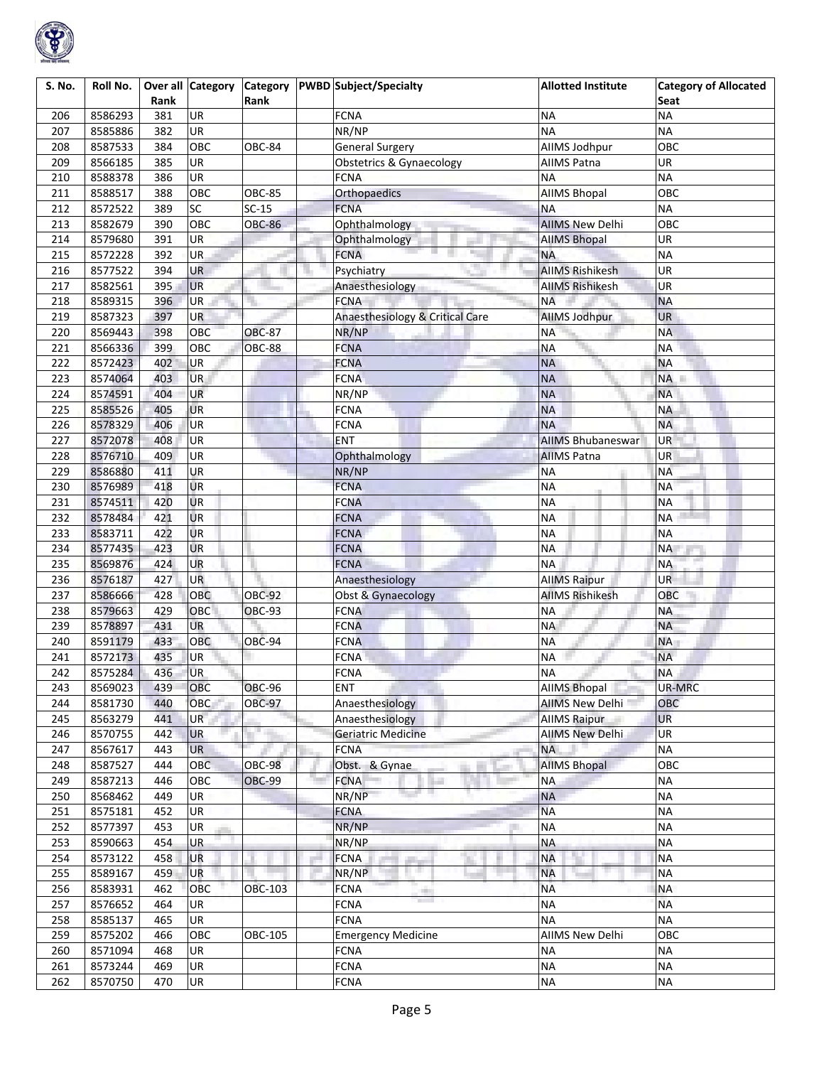

| S. No. | Roll No. | Rank | Over all Category | Rank          |    | Category   PWBD Subject/Specialty   | <b>Allotted Institute</b> | <b>Category of Allocated</b><br>Seat |
|--------|----------|------|-------------------|---------------|----|-------------------------------------|---------------------------|--------------------------------------|
|        |          |      |                   |               |    |                                     |                           |                                      |
| 206    | 8586293  | 381  | <b>UR</b>         |               |    | <b>FCNA</b>                         | <b>NA</b>                 | <b>NA</b>                            |
| 207    | 8585886  | 382  | UR                |               |    | NR/NP                               | <b>NA</b>                 | <b>NA</b>                            |
| 208    | 8587533  | 384  | OBC               | <b>OBC-84</b> |    | <b>General Surgery</b>              | AllMS Jodhpur             | OBC                                  |
| 209    | 8566185  | 385  | <b>UR</b>         |               |    | <b>Obstetrics &amp; Gynaecology</b> | <b>AIIMS Patna</b>        | UR                                   |
| 210    | 8588378  | 386  | UR                |               |    | <b>FCNA</b>                         | <b>NA</b>                 | <b>NA</b>                            |
| 211    | 8588517  | 388  | OBC               | <b>OBC-85</b> |    | Orthopaedics                        | <b>AIIMS Bhopal</b>       | OBC                                  |
| 212    | 8572522  | 389  | SC                | $SC-15$       |    | <b>FCNA</b>                         | <b>NA</b>                 | <b>NA</b>                            |
| 213    | 8582679  | 390  | OBC               | <b>OBC-86</b> |    | Ophthalmology                       | <b>AIIMS New Delhi</b>    | OBC                                  |
| 214    | 8579680  | 391  | UR                |               |    | Ophthalmology                       | <b>AIIMS Bhopal</b>       | UR                                   |
| 215    | 8572228  | 392  | UR                |               |    | <b>FCNA</b>                         | <b>NA</b>                 | <b>NA</b>                            |
| 216    | 8577522  | 394  | UR                |               |    | Psychiatry                          | <b>AIIMS Rishikesh</b>    | <b>UR</b>                            |
| 217    | 8582561  | 395  | UR                |               |    | Anaesthesiology                     | <b>AIIMS Rishikesh</b>    | UR                                   |
| 218    | 8589315  | 396  | <b>UR</b>         |               |    | <b>FCNA</b>                         | <b>NA</b>                 | <b>NA</b>                            |
| 219    | 8587323  | 397  | <b>UR</b>         |               |    | Anaesthesiology & Critical Care     | AllMS Jodhpur             | <b>UR</b>                            |
| 220    | 8569443  | 398  | OBC               | <b>OBC-87</b> |    | NR/NP                               | <b>NA</b>                 | <b>NA</b>                            |
| 221    | 8566336  | 399  | OBC               | <b>OBC-88</b> |    | <b>FCNA</b>                         | <b>NA</b>                 | <b>NA</b>                            |
| 222    | 8572423  | 402  | UR                |               |    | <b>FCNA</b>                         | <b>NA</b>                 | <b>NA</b>                            |
| 223    | 8574064  | 403  | UR.               |               |    | <b>FCNA</b>                         | <b>NA</b>                 | NA                                   |
| 224    | 8574591  | 404  | <b>UR</b>         |               |    | NR/NP                               | <b>NA</b>                 | <b>NA</b>                            |
| 225    | 8585526  | 405  | UR                |               |    | <b>FCNA</b>                         | <b>NA</b>                 | <b>NA</b>                            |
| 226    | 8578329  | 406  | UR                |               |    | <b>FCNA</b>                         | <b>NA</b>                 | <b>NA</b>                            |
| 227    | 8572078  | 408  | UR                |               |    | <b>ENT</b>                          | <b>AIIMS Bhubaneswar</b>  | <b>UR</b>                            |
| 228    | 8576710  | 409  | UR                |               |    | Ophthalmology                       | <b>AIIMS Patna</b>        | <b>UR</b>                            |
| 229    | 8586880  | 411  | UR                |               |    | NR/NP                               | <b>NA</b>                 | <b>NA</b>                            |
| 230    | 8576989  | 418  | UR                |               |    | <b>FCNA</b>                         | <b>NA</b>                 | <b>NA</b>                            |
| 231    | 8574511  | 420  | UR                |               |    | <b>FCNA</b>                         | <b>NA</b>                 | <b>NA</b>                            |
| 232    | 8578484  | 421  | UR                |               |    | <b>FCNA</b>                         | <b>NA</b>                 | <b>NA</b>                            |
| 233    | 8583711  | 422  | UR                |               |    | <b>FCNA</b>                         | <b>NA</b>                 | <b>NA</b>                            |
| 234    | 8577435  | 423  | UR                |               |    | <b>FCNA</b>                         | <b>NA</b>                 | <b>NA</b>                            |
| 235    | 8569876  | 424  | UR                |               |    | <b>FCNA</b>                         | <b>NA</b>                 | <b>NA</b>                            |
| 236    | 8576187  | 427  | UR                |               |    | Anaesthesiology                     | <b>AIIMS Raipur</b>       | <b>UR</b>                            |
| 237    | 8586666  | 428  | OBC               | <b>OBC-92</b> |    | Obst & Gynaecology                  | AIIMS Rishikesh           | OBC                                  |
| 238    | 8579663  | 429  | OBC               | <b>OBC-93</b> |    | <b>FCNA</b>                         | <b>NA</b>                 | <b>NA</b>                            |
| 239    | 8578897  | 431  | <b>UR</b>         |               |    | <b>FCNA</b>                         | <b>NA</b>                 | <b>NA</b>                            |
| 240    | 8591179  | 433  | OBC               | <b>OBC-94</b> |    | <b>FCNA</b>                         | <b>NA</b>                 | <b>NA</b>                            |
| 241    | 8572173  | 435  | <b>UR</b>         |               |    | <b>FCNA</b>                         | <b>NA</b>                 | <b>NA</b>                            |
| 242    | 8575284  | 436  | <b>UR</b>         |               |    | <b>FCNA</b>                         | <b>NA</b>                 | <b>NA</b>                            |
| 243    | 8569023  | 439  | OBC               | <b>OBC-96</b> |    | <b>ENT</b>                          | <b>AIIMS Bhopal</b>       | UR-MRC                               |
| 244    | 8581730  | 440  | OBC               | <b>OBC-97</b> |    | Anaesthesiology                     | <b>AIIMS New Delhi</b>    | OBC                                  |
| 245    | 8563279  | 441  | UR.               |               |    | Anaesthesiology                     | <b>AllMS Raipur</b>       | <b>UR</b>                            |
| 246    | 8570755  | 442  | <b>UR</b>         |               |    | <b>Geriatric Medicine</b>           | <b>AIIMS New Delhi</b>    | <b>UR</b>                            |
| 247    | 8567617  | 443  | <b>UR</b>         |               |    | <b>FCNA</b>                         | <b>NA</b>                 | <b>NA</b>                            |
| 248    | 8587527  | 444  | OBC               | <b>OBC-98</b> |    | Obst. & Gynae                       | <b>AIIMS Bhopal</b>       | OBC                                  |
| 249    | 8587213  | 446  | OBC               | <b>OBC-99</b> |    | <b>FCNA</b>                         | <b>NA</b>                 | <b>NA</b>                            |
| 250    | 8568462  | 449  | <b>UR</b>         |               |    | NR/NP                               | <b>NA</b>                 | <b>NA</b>                            |
| 251    | 8575181  | 452  | UR                |               |    | <b>FCNA</b>                         | <b>NA</b>                 | <b>NA</b>                            |
| 252    | 8577397  | 453  | UR                |               |    | NR/NP                               | <b>NA</b>                 | <b>NA</b>                            |
| 253    | 8590663  | 454  | UR                |               |    | NR/NP                               | <b>NA</b>                 | <b>NA</b>                            |
| 254    | 8573122  | 458  | UR                |               | e. | <b>FCNA</b><br>a.                   | <b>NA</b>                 | <b>NA</b>                            |
| 255    | 8589167  | 459  | UR                |               |    | an i<br>NR/NP                       | <b>NA</b>                 | <b>NA</b>                            |
| 256    | 8583931  | 462  | OBC               | OBC-103       |    | <b>FCNA</b><br>ek i                 | <b>NA</b>                 | <b>NA</b>                            |
| 257    | 8576652  | 464  | <b>UR</b>         |               |    | <b>FCNA</b>                         | <b>NA</b>                 | <b>NA</b>                            |
| 258    | 8585137  | 465  | UR                |               |    | <b>FCNA</b>                         | <b>NA</b>                 | <b>NA</b>                            |
| 259    | 8575202  | 466  | OBC               | OBC-105       |    | <b>Emergency Medicine</b>           | AllMS New Delhi           | OBC                                  |
| 260    | 8571094  | 468  | UR                |               |    | FCNA                                | <b>NA</b>                 | <b>NA</b>                            |
| 261    | 8573244  | 469  | <b>UR</b>         |               |    | <b>FCNA</b>                         | <b>NA</b>                 | <b>NA</b>                            |
| 262    | 8570750  | 470  | UR                |               |    | <b>FCNA</b>                         | $\sf NA$                  | <b>NA</b>                            |
|        |          |      |                   |               |    |                                     |                           |                                      |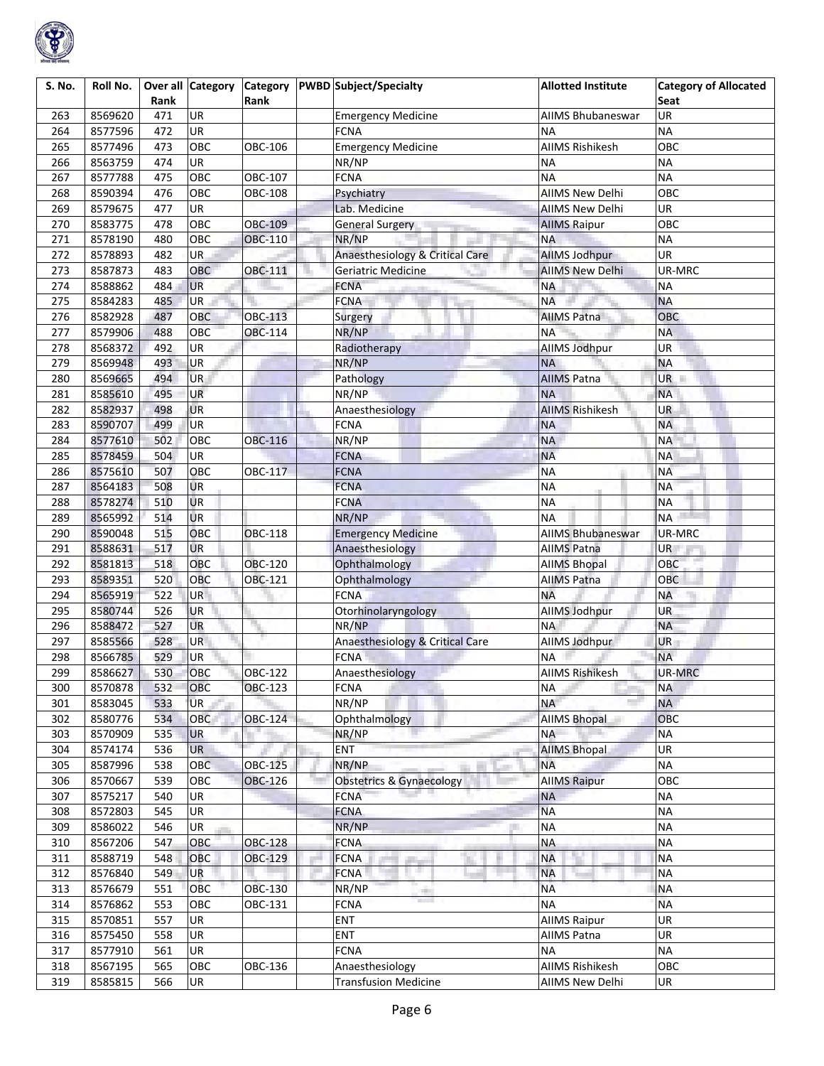

| S. No. | Roll No. | Rank |                 | Rank           | Over all Category Category   PWBD Subject/Specialty | <b>Allotted Institute</b> | <b>Category of Allocated</b><br>Seat |
|--------|----------|------|-----------------|----------------|-----------------------------------------------------|---------------------------|--------------------------------------|
| 263    | 8569620  | 471  | <b>UR</b>       |                | <b>Emergency Medicine</b>                           | AIIMS Bhubaneswar         | <b>UR</b>                            |
| 264    | 8577596  | 472  | <b>UR</b>       |                | <b>FCNA</b>                                         | <b>NA</b>                 | <b>NA</b>                            |
| 265    | 8577496  | 473  | OBC             | OBC-106        | <b>Emergency Medicine</b>                           | <b>AIIMS Rishikesh</b>    | OBC                                  |
| 266    | 8563759  | 474  | UR              |                | NR/NP                                               | <b>NA</b>                 | <b>NA</b>                            |
| 267    | 8577788  | 475  | OBC             | OBC-107        | <b>FCNA</b>                                         | <b>NA</b>                 | <b>NA</b>                            |
| 268    | 8590394  | 476  | OBC             | OBC-108        | Psychiatry                                          | <b>AIIMS New Delhi</b>    | OBC                                  |
| 269    | 8579675  | 477  | UR              |                | Lab. Medicine                                       | <b>AIIMS New Delhi</b>    | UR                                   |
| 270    | 8583775  | 478  | OBC             | <b>OBC-109</b> | General Surgery                                     | <b>AllMS Raipur</b>       | OBC                                  |
| 271    | 8578190  | 480  | OBC             | OBC-110        | NR/NP                                               | <b>NA</b>                 | <b>NA</b>                            |
| 272    | 8578893  | 482  | UR.             |                | Anaesthesiology & Critical Care                     | AllMS Jodhpur             | UR                                   |
| 273    | 8587873  | 483  | <b>OBC</b>      | OBC-111        | Geriatric Medicine                                  | <b>AIIMS New Delhi</b>    | UR-MRC                               |
| 274    | 8588862  | 484  | <b>UR</b>       |                | <b>FCNA</b>                                         | <b>NA</b>                 | <b>NA</b>                            |
| 275    | 8584283  | 485  | <b>UR</b>       |                | <b>FCNA</b>                                         | <b>NA</b>                 | <b>NA</b>                            |
| 276    | 8582928  | 487  | OBC             | <b>OBC-113</b> | Surgery                                             | <b>AIIMS Patna</b>        | OBC                                  |
| 277    |          | 488  | OBC             |                | NR/NP                                               | <b>NA</b>                 | <b>NA</b>                            |
|        | 8579906  |      |                 | OBC-114        |                                                     |                           |                                      |
| 278    | 8568372  | 492  | UR              |                | Radiotherapy<br>NR/NP                               | <b>AllMS Jodhpur</b>      | <b>UR</b>                            |
| 279    | 8569948  | 493  | <b>UR</b>       |                |                                                     | <b>NA</b>                 | <b>NA</b>                            |
| 280    | 8569665  | 494  | <b>UR</b>       |                | Pathology                                           | <b>AIIMS Patna</b>        | UR L                                 |
| 281    | 8585610  | 495  | <b>UR</b>       |                | NR/NP                                               | <b>NA</b>                 | <b>NA</b>                            |
| 282    | 8582937  | 498  | <b>UR</b>       |                | Anaesthesiology                                     | <b>AIIMS Rishikesh</b>    | <b>UR</b>                            |
| 283    | 8590707  | 499  | UR              |                | <b>FCNA</b>                                         | <b>NA</b>                 | <b>NA</b>                            |
| 284    | 8577610  | 502  | OBC             | OBC-116        | NR/NP                                               | <b>NA</b>                 | <b>NA</b>                            |
| 285    | 8578459  | 504  | UR              |                | <b>FCNA</b>                                         | <b>NA</b>                 | <b>NA</b>                            |
| 286    | 8575610  | 507  | OBC             | OBC-117        | <b>FCNA</b>                                         | <b>NA</b>                 | <b>NA</b>                            |
| 287    | 8564183  | 508  | <b>UR</b>       |                | <b>FCNA</b>                                         | <b>NA</b>                 | <b>NA</b>                            |
| 288    | 8578274  | 510  | UR              |                | <b>FCNA</b>                                         | <b>NA</b>                 | <b>NA</b>                            |
| 289    | 8565992  | 514  | <b>UR</b>       |                | NR/NP                                               | <b>NA</b>                 | <b>NA</b>                            |
| 290    | 8590048  | 515  | OBC             | <b>OBC-118</b> | <b>Emergency Medicine</b>                           | <b>AIIMS Bhubaneswar</b>  | UR-MRC                               |
| 291    | 8588631  | 517  | <b>UR</b>       |                | Anaesthesiology                                     | <b>AIIMS Patna</b>        | UR                                   |
| 292    | 8581813  | 518  | OBC             | OBC-120        | Ophthalmology                                       | <b>AIIMS Bhopal</b>       | OBC                                  |
| 293    | 8589351  | 520  | OBC             | OBC-121        | Ophthalmology                                       | <b>AIIMS Patna</b>        | OBC                                  |
| 294    | 8565919  | 522  | UR <sup>1</sup> |                | <b>FCNA</b>                                         | <b>NA</b>                 | <b>NA</b>                            |
| 295    | 8580744  | 526  | <b>UR</b>       |                | Otorhinolaryngology                                 | <b>AllMS Jodhpur</b>      | <b>UR</b>                            |
| 296    | 8588472  | 527  | <b>UR</b>       |                | NR/NP                                               | <b>NA</b>                 | <b>NA</b>                            |
| 297    | 8585566  | 528  | UR              |                | Anaesthesiology & Critical Care                     | AllMS Jodhpur             | UR                                   |
| 298    | 8566785  | 529  | <b>UR</b>       |                | <b>FCNA</b>                                         | <b>NA</b>                 | <b>NA</b>                            |
| 299    | 8586627  | 530  | OBC             | OBC-122        | Anaesthesiology                                     | <b>AIIMS Rishikesh</b>    | UR-MRC                               |
| 300    | 8570878  | 532  | OBC             | <b>OBC-123</b> | <b>FCNA</b>                                         | <b>NA</b>                 | <b>NA</b>                            |
| 301    | 8583045  | 533  | <b>UR</b>       |                | NR/NP                                               | <b>NA</b>                 | <b>NA</b>                            |
| 302    | 8580776  | 534  | OBC             | <b>OBC-124</b> | Ophthalmology                                       | <b>AIIMS Bhopal</b>       | OBC                                  |
| 303    | 8570909  | 535  | <b>UR</b>       |                | NR/NP                                               | <b>NA</b>                 | <b>NA</b>                            |
| 304    | 8574174  | 536  | <b>UR</b>       |                | ENT                                                 | <b>AIIMS Bhopal</b>       | UR                                   |
| 305    | 8587996  | 538  | OBC             | <b>OBC-125</b> | NR/NP                                               | <b>NA</b>                 | <b>NA</b>                            |
| 306    | 8570667  | 539  | ОВС             | OBC-126        | <b>Obstetrics &amp; Gynaecology</b>                 | <b>AllMS Raipur</b>       | OBC                                  |
| 307    | 8575217  | 540  | <b>UR</b>       |                | <b>FCNA</b>                                         | <b>NA</b>                 | <b>NA</b>                            |
| 308    | 8572803  | 545  | UR              |                | <b>FCNA</b>                                         | <b>NA</b>                 | <b>NA</b>                            |
| 309    | 8586022  | 546  | UR              |                | NR/NP                                               | <b>NA</b>                 | <b>NA</b>                            |
| 310    | 8567206  | 547  | OBC             | <b>OBC-128</b> | <b>FCNA</b>                                         | <b>NA</b>                 | <b>NA</b>                            |
| 311    | 8588719  | 548  | <b>OBC</b>      | OBC-129        | <b>FCNA</b>                                         | <b>NA</b>                 | <b>NA</b>                            |
| 312    | 8576840  | 549  | UR              |                | a.<br><b>FCNA</b>                                   | <b>NA</b>                 | <b>NA</b>                            |
| 313    | 8576679  | 551  | OBC             | OBC-130        | NR/NP                                               | <b>NA</b>                 | <b>NA</b>                            |
| 314    | 8576862  | 553  | OBC             | OBC-131        | <b>FCNA</b>                                         | <b>NA</b>                 | <b>NA</b>                            |
| 315    | 8570851  | 557  | <b>UR</b>       |                | <b>ENT</b>                                          | <b>AIIMS Raipur</b>       | UR                                   |
| 316    | 8575450  | 558  | UR              |                | <b>ENT</b>                                          | <b>AIIMS Patna</b>        | <b>UR</b>                            |
| 317    | 8577910  | 561  | UR              |                | <b>FCNA</b>                                         | <b>NA</b>                 | <b>NA</b>                            |
| 318    | 8567195  | 565  | OBC             | OBC-136        | Anaesthesiology                                     | <b>AIIMS Rishikesh</b>    | OBC                                  |
| 319    | 8585815  | 566  | UR              |                | <b>Transfusion Medicine</b>                         | AllMS New Delhi           | UR                                   |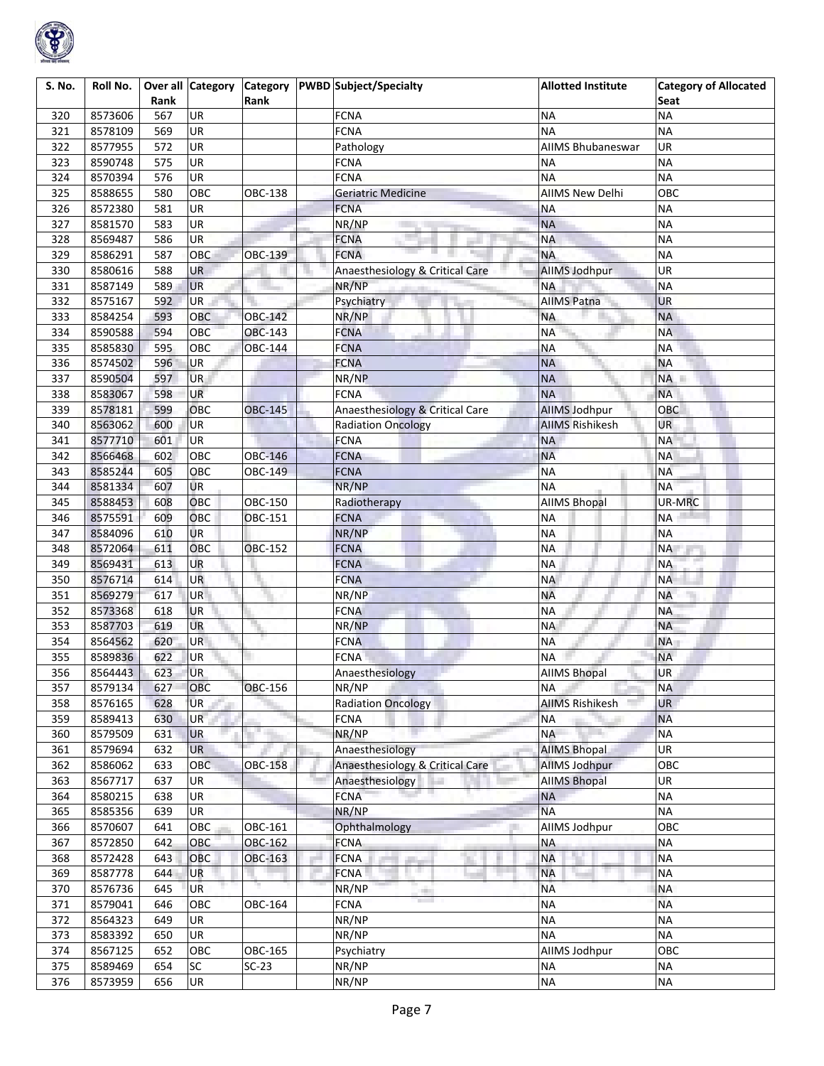

| S. No. | Roll No.           | Rank | Over all Category | Category<br>Rank |               | <b>PWBD</b> Subject/Specialty   | <b>Allotted Institute</b>        | <b>Category of Allocated</b><br>Seat |
|--------|--------------------|------|-------------------|------------------|---------------|---------------------------------|----------------------------------|--------------------------------------|
| 320    | 8573606            | 567  | <b>UR</b>         |                  |               | <b>FCNA</b>                     | <b>NA</b>                        | <b>NA</b>                            |
| 321    | 8578109            | 569  | <b>UR</b>         |                  |               | <b>FCNA</b>                     | <b>NA</b>                        | <b>NA</b>                            |
| 322    | 8577955            | 572  | UR                |                  |               | Pathology                       | AIIMS Bhubaneswar                | UR                                   |
| 323    | 8590748            | 575  | <b>UR</b>         |                  |               | <b>FCNA</b>                     | <b>NA</b>                        | <b>NA</b>                            |
| 324    | 8570394            | 576  | <b>UR</b>         |                  |               | <b>FCNA</b>                     | <b>NA</b>                        | <b>NA</b>                            |
| 325    | 8588655            | 580  | OBC               | OBC-138          |               | <b>Geriatric Medicine</b>       | <b>AIIMS New Delhi</b>           | OBC                                  |
| 326    | 8572380            | 581  | UR                |                  |               | <b>FCNA</b>                     | <b>NA</b>                        | <b>NA</b>                            |
| 327    | 8581570            | 583  | UR                |                  |               | NR/NP                           | <b>NA</b>                        | <b>NA</b>                            |
| 328    | 8569487            | 586  | UR                |                  |               | <b>FCNA</b>                     | <b>NA</b>                        | <b>NA</b>                            |
| 329    | 8586291            | 587  | OBC               | OBC-139          |               | m.<br><b>FCNA</b>               | <b>NA</b>                        | <b>NA</b>                            |
| 330    | 8580616            | 588  | <b>UR</b>         |                  |               | Anaesthesiology & Critical Care | AllMS Jodhpur                    | UR                                   |
| 331    | 8587149            | 589  | <b>UR</b>         |                  |               | NR/NP                           | <b>NA</b>                        | <b>NA</b>                            |
| 332    | 8575167            | 592  | <b>UR</b>         |                  |               | Psychiatry                      | <b>AIIMS Patna</b>               | <b>UR</b>                            |
| 333    | 8584254            | 593  | OBC               | <b>OBC-142</b>   |               | NR/NP                           | <b>NA</b>                        | <b>NA</b>                            |
| 334    | 8590588            | 594  | OBC               | OBC-143          |               | <b>FCNA</b>                     | <b>NA</b>                        | <b>NA</b>                            |
| 335    | 8585830            | 595  | OBC               | OBC-144          |               | <b>FCNA</b>                     | <b>NA</b>                        | <b>NA</b>                            |
| 336    | 8574502            | 596  | <b>UR</b>         |                  |               | <b>FCNA</b>                     | <b>NA</b>                        | <b>NA</b>                            |
| 337    | 8590504            | 597  | <b>UR</b>         |                  |               | NR/NP                           | <b>NA</b>                        | NA <b>II</b>                         |
| 338    | 8583067            | 598  | <b>UR</b>         |                  |               | <b>FCNA</b>                     | <b>NA</b>                        | <b>NA</b>                            |
| 339    | 8578181            | 599  | OBC               | OBC-145          |               | Anaesthesiology & Critical Care | <b>AllMS Jodhpur</b>             | OBC                                  |
| 340    | 8563062            | 600  | <b>UR</b>         |                  |               | <b>Radiation Oncology</b>       | <b>AIIMS Rishikesh</b>           | UR                                   |
| 341    | 8577710            | 601  | <b>UR</b>         |                  |               | <b>FCNA</b>                     | <b>NA</b>                        | <b>NA</b>                            |
| 342    | 8566468            | 602  | OBC               | <b>OBC-146</b>   |               | <b>FCNA</b>                     | <b>NA</b>                        | <b>NA</b>                            |
| 343    | 8585244            | 605  | OBC               | OBC-149          |               | <b>FCNA</b>                     | <b>NA</b>                        | <b>NA</b>                            |
| 344    | 8581334            | 607  | <b>UR</b>         |                  |               | NR/NP                           | <b>NA</b>                        | <b>NA</b>                            |
| 345    |                    | 608  | ОВС               | OBC-150          |               |                                 |                                  | UR-MRC                               |
| 346    | 8588453<br>8575591 | 609  | OBC               | <b>OBC-151</b>   |               | Radiotherapy<br><b>FCNA</b>     | <b>AIIMS Bhopal</b><br><b>NA</b> | <b>NA</b>                            |
| 347    | 8584096            | 610  | <b>UR</b>         |                  |               | NR/NP                           | <b>NA</b>                        | <b>NA</b>                            |
| 348    | 8572064            | 611  | OBC               | <b>OBC-152</b>   |               | <b>FCNA</b>                     | <b>NA</b>                        | <b>NA</b>                            |
| 349    | 8569431            | 613  | UR                |                  |               | <b>FCNA</b>                     | <b>NA</b>                        | <b>NA</b>                            |
| 350    | 8576714            | 614  | <b>UR</b>         |                  |               | <b>FCNA</b>                     | <b>NA</b>                        | NA                                   |
| 351    | 8569279            | 617  | <b>UR</b>         |                  |               | NR/NP                           | <b>NA</b>                        | <b>NA</b>                            |
| 352    | 8573368            | 618  | <b>UR</b>         |                  |               | <b>FCNA</b>                     | <b>NA</b>                        | <b>NA</b>                            |
| 353    | 8587703            | 619  | <b>UR</b>         |                  |               | NR/NP                           | <b>NA</b>                        | <b>NA</b>                            |
| 354    | 8564562            | 620  | <b>UR</b>         |                  |               | <b>FCNA</b>                     | <b>NA</b>                        | <b>NA</b>                            |
| 355    | 8589836            | 622  | <b>UR</b>         |                  |               | <b>FCNA</b>                     | <b>NA</b>                        | <b>NA</b>                            |
| 356    | 8564443            | 623  | <b>UR</b>         |                  |               | Anaesthesiology                 | <b>AIIMS Bhopal</b>              | UR                                   |
| 357    | 8579134            | 627  | OBC               | <b>OBC-156</b>   |               | NR/NP                           | <b>NA</b>                        | <b>NA</b>                            |
| 358    | 8576165            | 628  | <b>UR</b>         |                  |               | <b>Radiation Oncology</b>       | <b>AIIMS Rishikesh</b>           | <b>UR</b>                            |
| 359    | 8589413            | 630  | <b>UR</b>         |                  |               | <b>FCNA</b>                     | <b>NA</b>                        | <b>NA</b>                            |
| 360    | 8579509            | 631  | <b>UR</b>         |                  |               | NR/NP                           | <b>NA</b>                        | <b>NA</b>                            |
| 361    | 8579694            | 632  | <b>UR</b>         |                  |               | Anaesthesiology                 | <b>AIIMS Bhopal</b>              | <b>UR</b>                            |
| 362    | 8586062            | 633  | OBC               | <b>OBC-158</b>   |               | Anaesthesiology & Critical Care | <b>AllMS Jodhpur</b>             | OBC                                  |
| 363    | 8567717            | 637  | UR                |                  |               | Anaesthesiology                 | <b>AIIMS Bhopal</b>              | UR                                   |
| 364    | 8580215            | 638  | <b>UR</b>         |                  |               | <b>FCNA</b>                     | <b>NA</b>                        | <b>NA</b>                            |
| 365    | 8585356            | 639  | <b>UR</b>         |                  |               | NR/NP                           | <b>NA</b>                        | <b>NA</b>                            |
| 366    | 8570607            | 641  | OBC               | OBC-161          |               | Ophthalmology                   | AllMS Jodhpur                    | OBC                                  |
| 367    | 8572850            | 642  | ОВС               | OBC-162          |               | <b>FCNA</b>                     | <b>NA</b>                        | <b>NA</b>                            |
| 368    | 8572428            | 643  | OBC               | OBC-163          | $\Rightarrow$ | <b>FCNA</b>                     | <b>NA</b>                        | <b>NA</b>                            |
| 369    | 8587778            | 644  | UR                |                  |               | a.<br>an i<br><b>FCNA</b>       | <b>NA</b>                        | <b>NA</b>                            |
| 370    | 8576736            | 645  | <b>UR</b>         |                  |               | NR/NP                           | <b>NA</b>                        | <b>NA</b>                            |
| 371    | 8579041            | 646  | OBC               | OBC-164          |               | et i<br><b>FCNA</b>             | <b>NA</b>                        | <b>NA</b>                            |
| 372    | 8564323            | 649  | <b>UR</b>         |                  |               | NR/NP                           | <b>NA</b>                        | <b>NA</b>                            |
| 373    | 8583392            | 650  | UR                |                  |               | NR/NP                           | <b>NA</b>                        | <b>NA</b>                            |
| 374    | 8567125            | 652  | OBC               | OBC-165          |               | Psychiatry                      | AllMS Jodhpur                    | OBC                                  |
| 375    | 8589469            | 654  | <b>SC</b>         | $SC-23$          |               | NR/NP                           | <b>NA</b>                        | <b>NA</b>                            |
| 376    | 8573959            | 656  | UR                |                  |               | NR/NP                           | <b>NA</b>                        | <b>NA</b>                            |
|        |                    |      |                   |                  |               |                                 |                                  |                                      |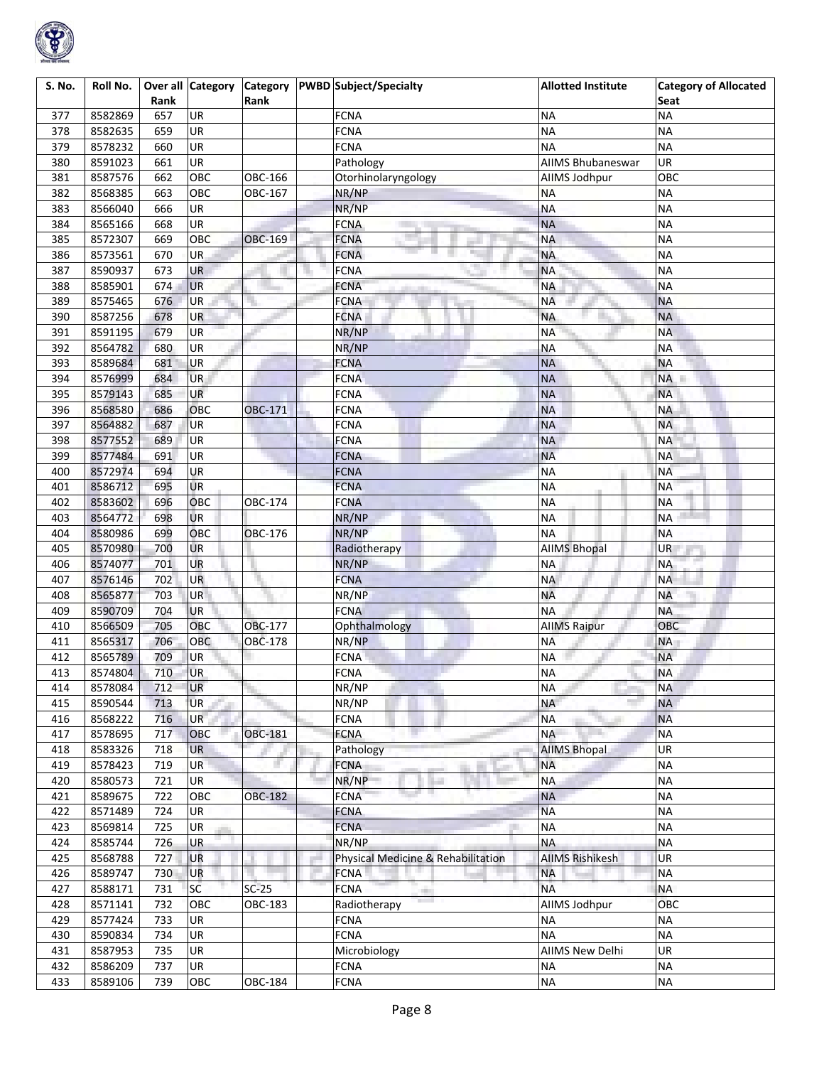

| S. No. | Roll No. |      | Over all Category |                |     | Category PWBD Subject/Specialty    | <b>Allotted Institute</b> | <b>Category of Allocated</b> |
|--------|----------|------|-------------------|----------------|-----|------------------------------------|---------------------------|------------------------------|
|        |          | Rank |                   | Rank           |     |                                    |                           | Seat                         |
| 377    | 8582869  | 657  | <b>UR</b>         |                |     | <b>FCNA</b>                        | <b>NA</b>                 | <b>NA</b>                    |
| 378    | 8582635  | 659  | UR                |                |     | <b>FCNA</b>                        | <b>NA</b>                 | <b>NA</b>                    |
| 379    | 8578232  | 660  | UR                |                |     | <b>FCNA</b>                        | <b>NA</b>                 | <b>NA</b>                    |
| 380    | 8591023  | 661  | UR                |                |     | Pathology                          | <b>AIIMS Bhubaneswar</b>  | <b>UR</b>                    |
| 381    | 8587576  | 662  | OBC               | OBC-166        |     | Otorhinolaryngology                | AllMS Jodhpur             | OBC                          |
| 382    | 8568385  | 663  | OBC               | OBC-167        |     | NR/NP                              | <b>NA</b>                 | <b>NA</b>                    |
| 383    | 8566040  | 666  | UR                |                |     | NR/NP                              | <b>NA</b>                 | <b>NA</b>                    |
| 384    | 8565166  | 668  | UR                |                |     | <b>FCNA</b>                        | <b>NA</b>                 | <b>NA</b>                    |
| 385    | 8572307  | 669  | OBC               | OBC-169        |     | <b>FCNA</b>                        | <b>NA</b>                 | <b>NA</b>                    |
| 386    | 8573561  | 670  | UR                |                |     | <b>FCNA</b>                        | <b>NA</b>                 | <b>NA</b>                    |
| 387    | 8590937  | 673  | UR                |                |     | <b>FCNA</b>                        | <b>NA</b>                 | <b>NA</b>                    |
| 388    | 8585901  | 674  | <b>UR</b>         |                |     | FCNA                               | <b>NA</b>                 | <b>NA</b>                    |
| 389    | 8575465  | 676  | <b>UR</b>         |                |     | <b>FCNA</b>                        | <b>NA</b>                 | <b>NA</b>                    |
| 390    | 8587256  | 678  | <b>UR</b>         |                |     | <b>FCNA</b>                        | <b>NA</b>                 | <b>NA</b>                    |
| 391    | 8591195  | 679  | <b>UR</b>         |                |     | NR/NP                              | <b>NA</b>                 | <b>NA</b>                    |
| 392    | 8564782  | 680  | UR                |                |     | NR/NP                              | <b>NA</b>                 | <b>NA</b>                    |
| 393    | 8589684  | 681  | UR                |                |     | <b>FCNA</b>                        | <b>NA</b>                 | <b>NA</b>                    |
| 394    | 8576999  | 684  | UR                |                |     | <b>FCNA</b>                        | <b>NA</b>                 | NA                           |
| 395    | 8579143  | 685  | UR                |                |     | <b>FCNA</b>                        | <b>NA</b>                 | <b>NA</b>                    |
| 396    | 8568580  | 686  | OBC               | OBC-171        |     | <b>FCNA</b>                        | <b>NA</b>                 | <b>NA</b>                    |
| 397    | 8564882  | 687  | <b>UR</b>         |                |     | <b>FCNA</b>                        | <b>NA</b>                 | <b>NA</b>                    |
| 398    | 8577552  | 689  | UR                |                |     | <b>FCNA</b>                        | <b>NA</b>                 | <b>NA</b>                    |
| 399    | 8577484  | 691  | UR                |                |     | <b>FCNA</b>                        | <b>NA</b>                 | <b>NA</b>                    |
| 400    | 8572974  | 694  | UR                |                |     | <b>FCNA</b>                        | <b>NA</b>                 | <b>NA</b>                    |
| 401    | 8586712  | 695  | UR                |                |     | <b>FCNA</b>                        | <b>NA</b>                 | <b>NA</b>                    |
| 402    | 8583602  | 696  | ОВС               | OBC-174        |     | <b>FCNA</b>                        | <b>NA</b>                 | <b>NA</b>                    |
| 403    | 8564772  | 698  | UR                |                |     | NR/NP                              | <b>NA</b>                 | <b>NA</b>                    |
| 404    | 8580986  | 699  | OBC               | OBC-176        |     | NR/NP                              | <b>NA</b>                 | <b>NA</b>                    |
| 405    | 8570980  | 700  | UR                |                |     | Radiotherapy                       | <b>AIIMS Bhopal</b>       | <b>UR</b>                    |
| 406    | 8574077  | 701  | UR                |                |     | NR/NP                              | <b>NA</b>                 | <b>NA</b>                    |
| 407    | 8576146  | 702  | UR                |                |     | <b>FCNA</b>                        | <b>NA</b>                 | <b>NA</b>                    |
| 408    | 8565877  | 703  | UR                |                |     | NR/NP                              | <b>NA</b>                 | <b>NA</b>                    |
| 409    | 8590709  | 704  | <b>UR</b>         |                |     | <b>FCNA</b>                        | <b>NA</b>                 | <b>NA</b>                    |
| 410    | 8566509  | 705  | OBC               | OBC-177        |     | Ophthalmology                      | <b>AllMS Raipur</b>       | OBC                          |
| 411    | 8565317  | 706  | OBC               | OBC-178        |     | NR/NP                              | <b>NA</b>                 | <b>NA</b>                    |
| 412    | 8565789  | 709  | <b>UR</b>         |                |     | <b>FCNA</b>                        | <b>NA</b>                 | <b>NA</b>                    |
| 413    | 8574804  | 710  | <b>UR</b>         |                |     | <b>FCNA</b>                        | <b>NA</b>                 | <b>NA</b>                    |
| 414    | 8578084  | 712  | UR                |                |     | NR/NP                              | <b>NA</b>                 | <b>NA</b>                    |
| 415    | 8590544  | 713  | <b>UR</b>         |                |     | NR/NP                              | <b>NA</b>                 | <b>NA</b>                    |
| 416    | 8568222  | 716  | UR                |                |     | <b>FCNA</b>                        | <b>NA</b>                 | <b>NA</b>                    |
| 417    | 8578695  | 717  | OBC               | <b>OBC-181</b> |     | <b>FCNA</b>                        | <b>NA</b>                 | <b>NA</b>                    |
| 418    | 8583326  | 718  | <b>UR</b>         |                |     | Pathology                          | <b>AllMS Bhopal</b>       | <b>UR</b>                    |
| 419    | 8578423  | 719  | UR                |                |     | <b>FCNA</b>                        | <b>NA</b>                 | <b>NA</b>                    |
| 420    | 8580573  | 721  | UR                |                |     | NR/NP                              | <b>NA</b>                 | <b>NA</b>                    |
| 421    | 8589675  | 722  | OBC               | <b>OBC-182</b> |     | <b>FCNA</b>                        | <b>NA</b>                 | <b>NA</b>                    |
| 422    | 8571489  | 724  | UR                |                |     | <b>FCNA</b>                        | <b>NA</b>                 | <b>NA</b>                    |
| 423    | 8569814  | 725  | UR                |                |     | <b>FCNA</b>                        | <b>NA</b>                 | <b>NA</b>                    |
| 424    | 8585744  | 726  | UR                |                |     | NR/NP                              | <b>NA</b>                 | <b>NA</b>                    |
| 425    | 8568788  | 727  | UR                |                | e i | Physical Medicine & Rehabilitation | <b>AIIMS Rishikesh</b>    | UR                           |
| 426    | 8589747  | 730  | UR                |                |     | <b>FCNA</b>                        | <b>NA</b>                 | <b>NA</b>                    |
| 427    | 8588171  | 731  | SC                | $SC-25$        |     | <b>FCNA</b><br>a.                  | <b>NA</b>                 | <b>NA</b>                    |
| 428    | 8571141  | 732  | OBC               | OBC-183        |     | Radiotherapy                       | AllMS Jodhpur             | OBC                          |
| 429    | 8577424  | 733  | UR                |                |     | FCNA                               | <b>NA</b>                 | <b>NA</b>                    |
| 430    | 8590834  | 734  | <b>UR</b>         |                |     | <b>FCNA</b>                        | <b>NA</b>                 | <b>NA</b>                    |
| 431    | 8587953  | 735  | UR                |                |     | Microbiology                       | <b>AIIMS New Delhi</b>    | UR                           |
| 432    | 8586209  | 737  | UR                |                |     | <b>FCNA</b>                        | <b>NA</b>                 | <b>NA</b>                    |
|        |          |      |                   |                |     | <b>FCNA</b>                        | <b>NA</b>                 | <b>NA</b>                    |
| 433    | 8589106  | 739  | OBC               | OBC-184        |     |                                    |                           |                              |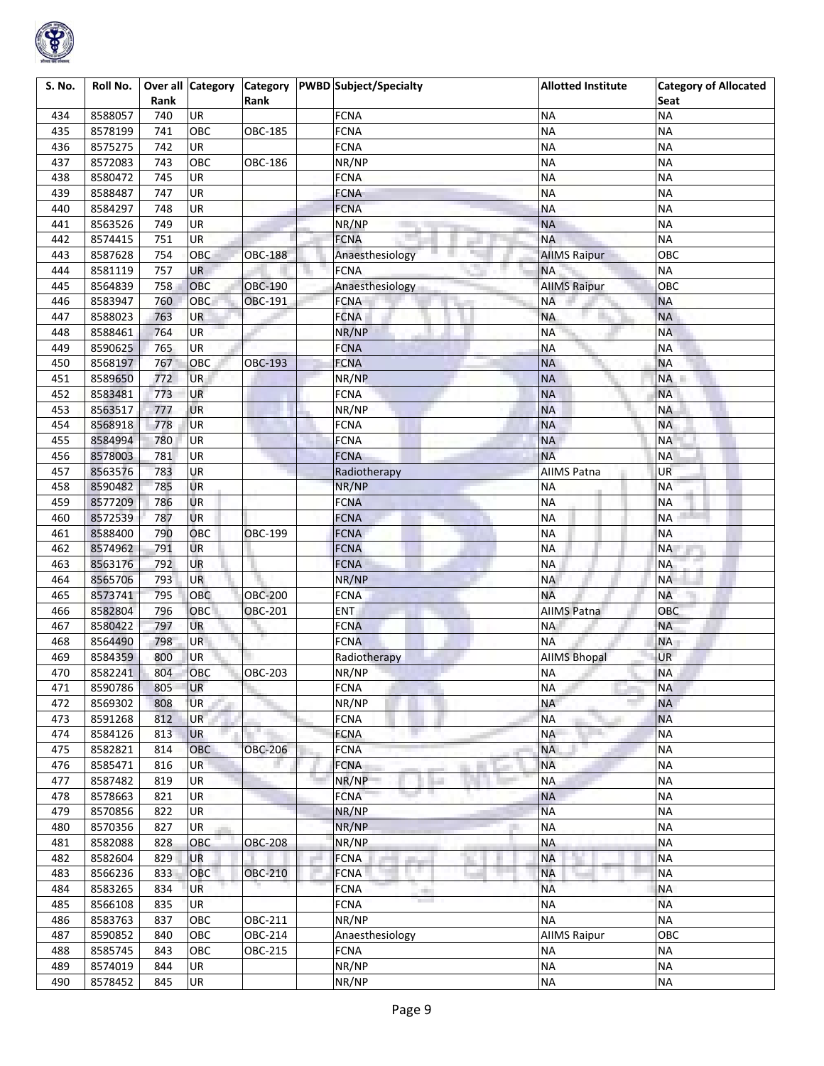

| S. No.     | Roll No.           | Rank       |           | Rank           | Over all Category Category PWBD Subject/Specialty | <b>Allotted Institute</b>        | <b>Category of Allocated</b><br>Seat |
|------------|--------------------|------------|-----------|----------------|---------------------------------------------------|----------------------------------|--------------------------------------|
| 434        | 8588057            | 740        | UR        |                | <b>FCNA</b>                                       | <b>NA</b>                        | <b>NA</b>                            |
| 435        | 8578199            | 741        | OBC       | OBC-185        | <b>FCNA</b>                                       | <b>NA</b>                        | <b>NA</b>                            |
|            | 8575275            | 742        | UR        |                | <b>FCNA</b>                                       | <b>NA</b>                        | <b>NA</b>                            |
| 436        | 8572083            | 743        | OBC       |                | NR/NP                                             | <b>NA</b>                        | <b>NA</b>                            |
| 437<br>438 | 8580472            | 745        | UR        | OBC-186        | <b>FCNA</b>                                       | <b>NA</b>                        | <b>NA</b>                            |
|            |                    | 747        | UR        |                | <b>FCNA</b>                                       | <b>NA</b>                        | <b>NA</b>                            |
| 439        | 8588487            |            |           |                |                                                   |                                  |                                      |
| 440        | 8584297            | 748        | UR<br>UR  |                | <b>FCNA</b><br>NR/NP                              | <b>NA</b><br><b>NA</b>           | <b>NA</b><br><b>NA</b>               |
| 441<br>442 | 8563526            | 749        | UR        |                | <b>FCNA</b>                                       | <b>NA</b>                        | <b>NA</b>                            |
|            | 8574415<br>8587628 | 751<br>754 | OBC       |                | m                                                 |                                  | OBC                                  |
| 443        |                    |            |           | <b>OBC-188</b> | Anaesthesiology                                   | <b>AllMS Raipur</b>              |                                      |
| 444        | 8581119            | 757        | UR        |                | <b>FCNA</b>                                       | <b>NA</b>                        | <b>NA</b><br>OBC                     |
| 445<br>446 | 8564839            | 758<br>760 | OBC       | OBC-190        | Anaesthesiology                                   | <b>AIIMS Raipur</b><br><b>NA</b> | <b>NA</b>                            |
|            | 8583947            |            | OBC       | OBC-191        | <b>FCNA</b>                                       |                                  |                                      |
| 447        | 8588023            | 763        | <b>UR</b> |                | <b>FCNA</b>                                       | <b>NA</b>                        | <b>NA</b>                            |
| 448        | 8588461            | 764        | <b>UR</b> |                | NR/NP                                             | <b>NA</b>                        | <b>NA</b>                            |
| 449        | 8590625            | 765        | UR        |                | <b>FCNA</b>                                       | <b>NA</b>                        | <b>NA</b>                            |
| 450        | 8568197            | 767        | OBC       | OBC-193        | <b>FCNA</b>                                       | <b>NA</b>                        | <b>NA</b>                            |
| 451        | 8589650            | 772        | <b>UR</b> |                | NR/NP                                             | <b>NA</b>                        | <b>NA</b>                            |
| 452        | 8583481            | 773        | UR        |                | <b>FCNA</b>                                       | <b>NA</b>                        | <b>NA</b>                            |
| 453        | 8563517            | 777        | UR        |                | NR/NP                                             | <b>NA</b>                        | <b>NA</b>                            |
| 454        | 8568918            | 778        | UR        |                | <b>FCNA</b>                                       | <b>NA</b>                        | <b>NA</b>                            |
| 455        | 8584994            | 780        | UR        |                | <b>FCNA</b>                                       | <b>NA</b>                        | <b>NA</b>                            |
| 456        | 8578003            | 781        | UR        |                | <b>FCNA</b>                                       | <b>NA</b>                        | <b>NA</b>                            |
| 457        | 8563576            | 783        | UR        |                | Radiotherapy                                      | <b>AIIMS Patna</b>               | UR                                   |
| 458        | 8590482            | 785        | UR        |                | NR/NP                                             | <b>NA</b>                        | <b>NA</b>                            |
| 459        | 8577209            | 786        | UR        |                | <b>FCNA</b>                                       | <b>NA</b>                        | <b>NA</b>                            |
| 460        | 8572539            | 787        | UR        |                | <b>FCNA</b>                                       | <b>NA</b>                        | <b>NA</b>                            |
| 461        | 8588400            | 790        | ОВС       | OBC-199        | <b>FCNA</b>                                       | <b>NA</b>                        | <b>NA</b>                            |
| 462        | 8574962            | 791        | UR        |                | <b>FCNA</b>                                       | <b>NA</b>                        | <b>NA</b>                            |
| 463        | 8563176            | 792        | UR        |                | <b>FCNA</b>                                       | <b>NA</b>                        | <b>NA</b>                            |
| 464        | 8565706            | 793        | UR        |                | NR/NP                                             | <b>NA</b>                        | <b>NA</b>                            |
| 465        | 8573741            | 795        | OBC       | OBC-200        | <b>FCNA</b>                                       | <b>NA</b>                        | <b>NA</b>                            |
| 466        | 8582804            | 796        | OBC       | <b>OBC-201</b> | <b>ENT</b>                                        | <b>AIIMS Patna</b>               | OBC                                  |
| 467        | 8580422            | 797        | <b>UR</b> |                | <b>FCNA</b>                                       | <b>NA</b>                        | <b>NA</b>                            |
| 468        | 8564490            | 798        | <b>UR</b> |                | <b>FCNA</b>                                       | <b>NA</b>                        | <b>NA</b>                            |
| 469        | 8584359            | 800        | <b>UR</b> |                | Radiotherapy                                      | <b>AIIMS Bhopal</b>              | <b>UR</b>                            |
| 470        | 8582241            | 804        | OBC       | OBC-203        | NR/NP                                             | <b>NA</b>                        | <b>NA</b>                            |
| 471        | 8590786            | 805        | <b>UR</b> |                | <b>FCNA</b>                                       | <b>NA</b>                        | <b>NA</b>                            |
| 472        | 8569302            | 808        | <b>UR</b> |                | NR/NP                                             | <b>NA</b>                        | <b>NA</b>                            |
| 473        | 8591268            | 812        | <b>UR</b> |                | <b>FCNA</b>                                       | <b>NA</b>                        | <b>NA</b>                            |
| 474        | 8584126            | 813        | <b>UR</b> |                | <b>FCNA</b>                                       | <b>NA</b>                        | <b>NA</b>                            |
| 475        | 8582821            | 814        | OBC       | <b>OBC-206</b> | <b>FCNA</b>                                       | <b>NA</b>                        | <b>NA</b>                            |
| 476        | 8585471            | 816        | UR        |                | <b>FCNA</b>                                       | <b>NA</b>                        | <b>NA</b>                            |
| 477        | 8587482            | 819<br>821 | UR<br>UR  |                | NR/NP<br>ш                                        | <b>NA</b><br><b>NA</b>           | <b>NA</b><br><b>NA</b>               |
| 478        | 8578663            |            |           |                | <b>FCNA</b>                                       |                                  |                                      |
| 479        | 8570856            | 822        | UR        |                | NR/NP                                             | <b>NA</b>                        | <b>NA</b>                            |
| 480        | 8570356            | 827        | UR        |                | NR/NP                                             | <b>NA</b>                        | <b>NA</b>                            |
| 481        | 8582088            | 828        | OBC       | <b>OBC-208</b> | NR/NP                                             | <b>NA</b>                        | <b>NA</b>                            |
| 482        | 8582604            | 829        | UR        |                | <b>FCNA</b><br>a pr                               | <b>NA</b>                        | <b>NA</b>                            |
| 483        | 8566236            | 833        | OBC       | OBC-210        | <b>FCNA</b>                                       | <b>NA</b>                        | <b>NA</b>                            |
| 484        | 8583265            | 834        | <b>UR</b> |                | <b>FCNA</b><br>cin)                               | <b>NA</b>                        | <b>NA</b>                            |
| 485        | 8566108            | 835        | UR        |                | <b>FCNA</b>                                       | <b>NA</b>                        | <b>NA</b>                            |
| 486        | 8583763            | 837        | OBC       | OBC-211        | NR/NP                                             | <b>NA</b>                        | <b>NA</b>                            |
| 487        | 8590852            | 840        | OBC       | OBC-214        | Anaesthesiology                                   | <b>AllMS Raipur</b>              | OBC                                  |
| 488        | 8585745            | 843        | OBC       | OBC-215        | FCNA                                              | <b>NA</b>                        | <b>NA</b>                            |
| 489        | 8574019            | 844        | UR        |                | NR/NP                                             | <b>NA</b>                        | <b>NA</b>                            |
| 490        | 8578452            | 845        | UR        |                | NR/NP                                             | <b>NA</b>                        | <b>NA</b>                            |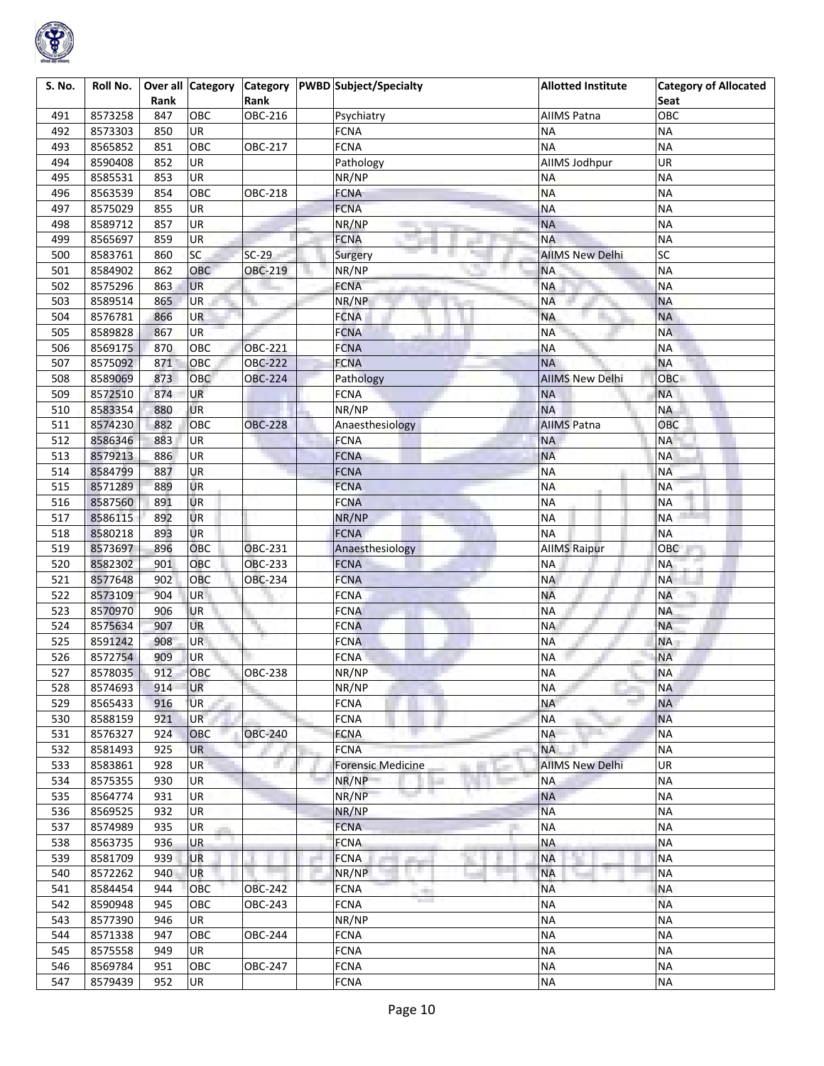

| S. No. | Roll No. | Rank | Over all Category | <b>Category</b><br>Rank | PWBD Subject/Specialty   | <b>Allotted Institute</b> | <b>Category of Allocated</b><br>Seat |
|--------|----------|------|-------------------|-------------------------|--------------------------|---------------------------|--------------------------------------|
| 491    | 8573258  | 847  | OBC               | OBC-216                 | Psychiatry               | <b>AIIMS Patna</b>        | OBC                                  |
| 492    | 8573303  | 850  | UR                |                         | <b>FCNA</b>              | <b>NA</b>                 | <b>NA</b>                            |
|        |          |      | OBC               | OBC-217                 | <b>FCNA</b>              | <b>NA</b>                 | <b>NA</b>                            |
| 493    | 8565852  | 851  | UR                |                         |                          |                           |                                      |
| 494    | 8590408  | 852  |                   |                         | Pathology                | AllMS Jodhpur             | UR<br><b>NA</b>                      |
| 495    | 8585531  | 853  | UR                |                         | NR/NP                    | <b>NA</b>                 |                                      |
| 496    | 8563539  | 854  | OBC               | OBC-218                 | <b>FCNA</b>              | <b>NA</b>                 | <b>NA</b>                            |
| 497    | 8575029  | 855  | UR                |                         | <b>FCNA</b>              | <b>NA</b>                 | <b>NA</b>                            |
| 498    | 8589712  | 857  | UR                |                         | NR/NP                    | <b>NA</b>                 | <b>NA</b>                            |
| 499    | 8565697  | 859  | UR                |                         | <b>FCNA</b>              | <b>NA</b>                 | <b>NA</b>                            |
| 500    | 8583761  | 860  | SC                | $SC-29$                 | Surgery                  | <b>AIIMS New Delhi</b>    | SC                                   |
| 501    | 8584902  | 862  | OBC               | OBC-219                 | NR/NP                    | <b>NA</b>                 | <b>NA</b>                            |
| 502    | 8575296  | 863  | <b>UR</b>         |                         | <b>FCNA</b>              | <b>NA</b>                 | <b>NA</b>                            |
| 503    | 8589514  | 865  | <b>UR</b>         |                         | NR/NP                    | <b>NA</b>                 | <b>NA</b>                            |
| 504    | 8576781  | 866  | <b>UR</b>         |                         | <b>FCNA</b>              | <b>NA</b>                 | <b>NA</b>                            |
| 505    | 8589828  | 867  | <b>UR</b>         |                         | <b>FCNA</b>              | <b>NA</b>                 | <b>NA</b>                            |
| 506    | 8569175  | 870  | OBC               | <b>OBC-221</b>          | <b>FCNA</b>              | <b>NA</b>                 | <b>NA</b>                            |
| 507    | 8575092  | 871  | OBC               | <b>OBC-222</b>          | <b>FCNA</b>              | <b>NA</b>                 | <b>NA</b>                            |
| 508    | 8589069  | 873  | ОВС               | <b>OBC-224</b>          | Pathology                | <b>AIIMS New Delhi</b>    | <b>OBC</b>                           |
| 509    | 8572510  | 874  | <b>UR</b>         |                         | <b>FCNA</b>              | <b>NA</b>                 | <b>NA</b>                            |
| 510    | 8583354  | 880  | UR                |                         | NR/NP                    | <b>NA</b>                 | <b>NA</b>                            |
| 511    | 8574230  | 882  | OBC               | <b>OBC-228</b>          | Anaesthesiology          | <b>AIIMS Patna</b>        | OBC                                  |
| 512    | 8586346  | 883  | <b>UR</b>         |                         | <b>FCNA</b>              | <b>NA</b>                 | <b>NA</b>                            |
| 513    | 8579213  | 886  | UR                |                         | <b>FCNA</b>              | <b>NA</b>                 | <b>NA</b>                            |
| 514    | 8584799  | 887  | UR                |                         | <b>FCNA</b>              | <b>NA</b>                 | <b>NA</b>                            |
| 515    | 8571289  | 889  | UR                |                         | <b>FCNA</b>              | <b>NA</b>                 | <b>NA</b>                            |
| 516    | 8587560  | 891  | UR                |                         | <b>FCNA</b>              | <b>NA</b>                 | <b>NA</b>                            |
| 517    | 8586115  | 892  | UR                |                         | NR/NP                    | <b>NA</b>                 | <b>NA</b>                            |
| 518    | 8580218  | 893  | UR                |                         | <b>FCNA</b>              | <b>NA</b>                 | <b>NA</b>                            |
| 519    | 8573697  | 896  | OBC               | <b>OBC-231</b>          | Anaesthesiology          | <b>AllMS Raipur</b>       | OBC                                  |
| 520    | 8582302  | 901  | ОВС               | <b>OBC-233</b>          | <b>FCNA</b>              | <b>NA</b>                 | <b>NA</b>                            |
| 521    | 8577648  | 902  | OBC               | OBC-234                 | <b>FCNA</b>              | <b>NA</b>                 | <b>NA</b>                            |
| 522    | 8573109  | 904  | <b>UR</b>         |                         | <b>FCNA</b>              | <b>NA</b>                 | <b>NA</b>                            |
| 523    | 8570970  | 906  | <b>UR</b>         |                         | <b>FCNA</b>              | <b>NA</b>                 | <b>NA</b>                            |
| 524    | 8575634  | 907  | <b>UR</b>         |                         | <b>FCNA</b>              | <b>NA</b>                 | <b>NA</b>                            |
| 525    | 8591242  | 908  | UR                |                         | <b>FCNA</b>              | <b>NA</b>                 | <b>NA</b>                            |
| 526    | 8572754  | 909  | UR.               |                         | <b>FCNA</b>              | <b>NA</b>                 | <b>NA</b>                            |
| 527    | 8578035  | 912  | OBC               | <b>OBC-238</b>          | NR/NP                    | <b>NA</b>                 | <b>NA</b>                            |
| 528    | 8574693  | 914  | <b>UR</b>         |                         | NR/NP                    | <b>NA</b>                 | <b>NA</b>                            |
| 529    | 8565433  | 916  | <b>UR</b>         |                         | <b>FCNA</b>              | <b>NA</b>                 | <b>NA</b>                            |
| 530    | 8588159  | 921  | UR                |                         | <b>FCNA</b>              | <b>NA</b>                 | <b>NA</b>                            |
| 531    | 8576327  | 924  | <b>OBC</b>        | <b>OBC-240</b>          | <b>FCNA</b>              | <b>NA</b><br>. .          | <b>NA</b>                            |
| 532    | 8581493  | 925  | <b>UR</b>         |                         | <b>FCNA</b>              | <b>NA</b>                 | <b>NA</b>                            |
| 533    | 8583861  | 928  | UR                |                         | <b>Forensic Medicine</b> | <b>AIIMS New Delhi</b>    | UR                                   |
| 534    | 8575355  | 930  | UR                |                         | NR/NP<br>n.              | <b>NA</b>                 | <b>NA</b>                            |
| 535    | 8564774  | 931  | <b>UR</b>         |                         | NR/NP                    | <b>NA</b>                 | <b>NA</b>                            |
| 536    | 8569525  | 932  | UR                |                         | NR/NP                    | <b>NA</b>                 | <b>NA</b>                            |
| 537    | 8574989  | 935  | UR                |                         | <b>FCNA</b>              | <b>NA</b>                 | <b>NA</b>                            |
| 538    | 8563735  | 936  | UR                |                         | <b>FCNA</b>              | <b>NA</b>                 | <b>NA</b>                            |
| 539    | 8581709  | 939  | <b>UR</b>         |                         | <b>FCNA</b><br>a.        | <b>NA</b>                 | <b>NA</b>                            |
| 540    | 8572262  | 940  | UR                |                         | a pr<br>NR/NP            | <b>NA</b>                 | <b>NA</b>                            |
| 541    | 8584454  | 944  | OBC               | <b>OBC-242</b>          | <b>FCNA</b>              | <b>NA</b>                 | <b>NA</b>                            |
| 542    | 8590948  | 945  | OBC               | OBC-243                 | $\sim$<br><b>FCNA</b>    | <b>NA</b>                 | <b>NA</b>                            |
| 543    | 8577390  | 946  | <b>UR</b>         |                         | NR/NP                    | <b>NA</b>                 | <b>NA</b>                            |
| 544    | 8571338  | 947  | OBC               | OBC-244                 | <b>FCNA</b>              | <b>NA</b>                 | <b>NA</b>                            |
| 545    | 8575558  | 949  | UR                |                         | <b>FCNA</b>              | <b>NA</b>                 | <b>NA</b>                            |
| 546    | 8569784  | 951  | OBC               | OBC-247                 | <b>FCNA</b>              | <b>NA</b>                 | <b>NA</b>                            |
| 547    | 8579439  | 952  | <b>UR</b>         |                         | <b>FCNA</b>              | <b>NA</b>                 | <b>NA</b>                            |
|        |          |      |                   |                         |                          |                           |                                      |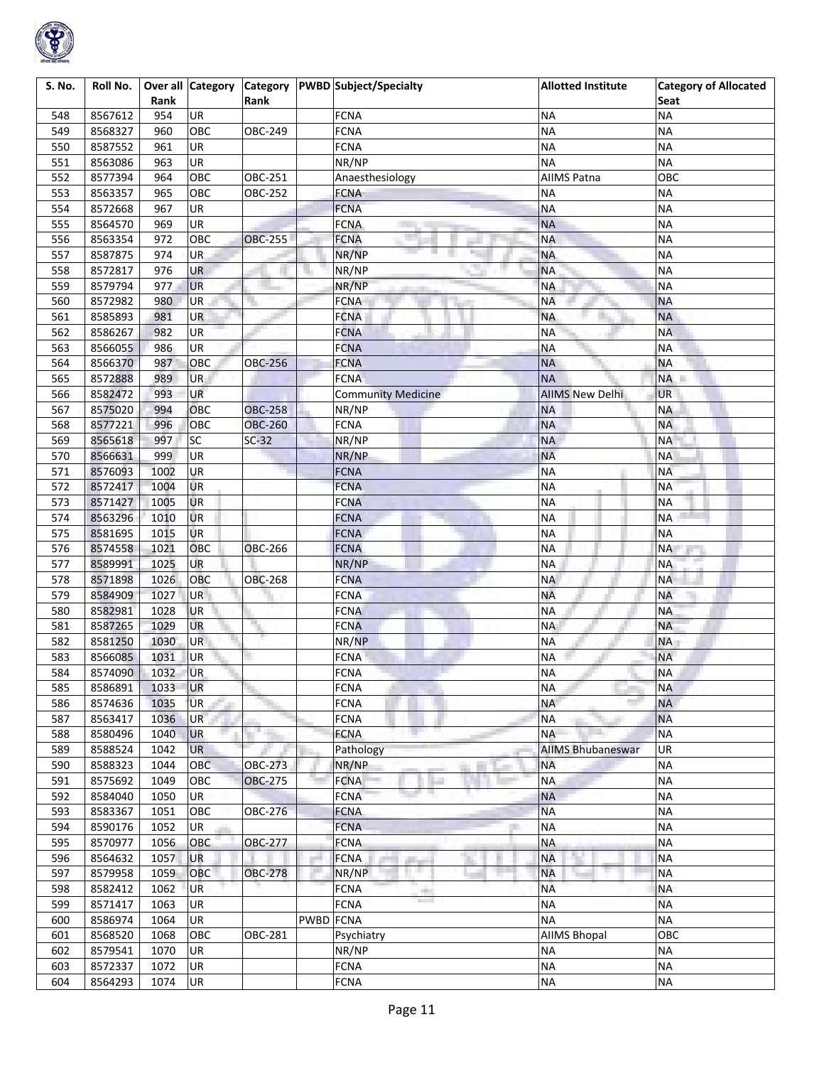

| S. No. | Roll No. |      |                 |                |           | Over all Category Category PWBD Subject/Specialty | <b>Allotted Institute</b> | <b>Category of Allocated</b> |
|--------|----------|------|-----------------|----------------|-----------|---------------------------------------------------|---------------------------|------------------------------|
|        |          | Rank |                 | Rank           |           |                                                   |                           | Seat                         |
| 548    | 8567612  | 954  | UR              |                |           | <b>FCNA</b>                                       | <b>NA</b>                 | <b>NA</b>                    |
| 549    | 8568327  | 960  | OBC             | OBC-249        |           | <b>FCNA</b>                                       | <b>NA</b>                 | <b>NA</b>                    |
| 550    | 8587552  | 961  | <b>UR</b>       |                |           | <b>FCNA</b>                                       | <b>NA</b>                 | <b>NA</b>                    |
| 551    | 8563086  | 963  | UR              |                |           | NR/NP                                             | <b>NA</b>                 | <b>NA</b>                    |
| 552    | 8577394  | 964  | OBC             | OBC-251        |           | Anaesthesiology                                   | <b>AIIMS Patna</b>        | OBC                          |
| 553    | 8563357  | 965  | OBC             | OBC-252        |           | <b>FCNA</b>                                       | <b>NA</b>                 | <b>NA</b>                    |
| 554    | 8572668  | 967  | UR              |                |           | <b>FCNA</b>                                       | <b>NA</b>                 | <b>NA</b>                    |
| 555    | 8564570  | 969  | UR              |                |           | <b>FCNA</b>                                       | <b>NA</b>                 | <b>NA</b>                    |
| 556    | 8563354  | 972  | OBC             | <b>OBC-255</b> |           | <b>FCNA</b>                                       | <b>NA</b>                 | <b>NA</b>                    |
| 557    | 8587875  | 974  | <b>UR</b>       |                |           | NR/NP<br>m                                        | <b>NA</b>                 | <b>NA</b>                    |
| 558    | 8572817  | 976  | UR              |                |           | NR/NP                                             | <b>NA</b>                 | <b>NA</b>                    |
| 559    | 8579794  | 977  | <b>UR</b>       |                |           | NR/NP                                             | <b>NA</b>                 | <b>NA</b>                    |
| 560    | 8572982  | 980  | <b>UR</b>       |                |           | <b>FCNA</b>                                       | <b>NA</b>                 | <b>NA</b>                    |
| 561    | 8585893  | 981  | <b>UR</b>       |                |           | <b>FCNA</b>                                       | <b>NA</b>                 | <b>NA</b>                    |
| 562    | 8586267  | 982  | <b>UR</b>       |                |           | <b>FCNA</b>                                       | <b>NA</b>                 | <b>NA</b>                    |
| 563    | 8566055  | 986  | UR              |                |           | <b>FCNA</b>                                       | <b>NA</b>                 | <b>NA</b>                    |
| 564    | 8566370  | 987  | OBC             | <b>OBC-256</b> |           | <b>FCNA</b>                                       | <b>NA</b>                 | <b>NA</b>                    |
| 565    | 8572888  | 989  | <b>UR</b>       |                |           | <b>FCNA</b>                                       | <b>NA</b>                 | <b>NA</b>                    |
| 566    | 8582472  | 993  | UR              |                |           | <b>Community Medicine</b>                         | <b>AIIMS New Delhi</b>    | <b>UR</b>                    |
| 567    | 8575020  | 994  | OBC             | <b>OBC-258</b> |           | NR/NP                                             | <b>NA</b>                 | <b>NA</b>                    |
| 568    | 8577221  | 996  | OBC             | <b>OBC-260</b> |           | <b>FCNA</b>                                       | <b>NA</b>                 | <b>NA</b>                    |
| 569    | 8565618  | 997  | <b>SC</b>       | $SC-32$        |           | NR/NP                                             | <b>NA</b>                 | <b>NA</b>                    |
| 570    | 8566631  | 999  | UR              |                |           | NR/NP                                             | <b>NA</b>                 | <b>NA</b>                    |
| 571    | 8576093  | 1002 | UR              |                |           | <b>FCNA</b>                                       | <b>NA</b>                 | <b>NA</b>                    |
| 572    | 8572417  | 1004 | <b>UR</b>       |                |           | <b>FCNA</b>                                       | <b>NA</b>                 | <b>NA</b>                    |
| 573    | 8571427  | 1005 | UR              |                |           | <b>FCNA</b>                                       | <b>NA</b>                 | <b>NA</b>                    |
| 574    | 8563296  | 1010 | UR              |                |           | <b>FCNA</b>                                       | <b>NA</b>                 | <b>NA</b>                    |
| 575    | 8581695  | 1015 | UR              |                |           | <b>FCNA</b>                                       | <b>NA</b>                 | <b>NA</b>                    |
| 576    | 8574558  | 1021 | OBC             | <b>OBC-266</b> |           | <b>FCNA</b>                                       | <b>NA</b>                 | <b>NA</b>                    |
| 577    | 8589991  | 1025 | UR              |                |           | NR/NP                                             | <b>NA</b>                 | <b>NA</b>                    |
| 578    | 8571898  | 1026 | OBC             | <b>OBC-268</b> |           | <b>FCNA</b>                                       | <b>NA</b>                 | <b>NA</b>                    |
| 579    | 8584909  | 1027 | UR <sup>1</sup> |                |           | <b>FCNA</b>                                       | <b>NA</b>                 | <b>NA</b>                    |
| 580    | 8582981  | 1028 | <b>UR</b>       |                |           | <b>FCNA</b>                                       | <b>NA</b>                 | <b>NA</b>                    |
| 581    | 8587265  | 1029 | UR              |                |           | <b>FCNA</b>                                       | <b>NA</b>                 | <b>NA</b>                    |
| 582    | 8581250  | 1030 | UR              |                |           | NR/NP                                             | <b>NA</b>                 | <b>NA</b>                    |
| 583    | 8566085  | 1031 | <b>UR</b>       |                |           | <b>FCNA</b>                                       | <b>NA</b>                 | <b>NA</b>                    |
| 584    | 8574090  | 1032 | <b>UR</b>       |                |           | <b>FCNA</b>                                       | <b>NA</b>                 | <b>NA</b>                    |
| 585    | 8586891  | 1033 | <b>UR</b>       |                |           | <b>FCNA</b>                                       | <b>NA</b>                 | <b>NA</b>                    |
| 586    | 8574636  | 1035 | <b>UR</b>       |                |           | <b>FCNA</b>                                       | <b>NA</b>                 | <b>NA</b>                    |
| 587    | 8563417  | 1036 | UR              |                |           | <b>FCNA</b>                                       | <b>NA</b>                 | <b>NA</b>                    |
| 588    | 8580496  | 1040 | <b>UR</b>       |                |           | <b>FCNA</b>                                       | <b>NA</b>                 | <b>NA</b>                    |
| 589    | 8588524  | 1042 | <b>UR</b>       |                |           | Pathology                                         | <b>AIIMS Bhubaneswar</b>  | <b>UR</b>                    |
| 590    | 8588323  | 1044 | OBC             | OBC-273        |           | NR/NP                                             | <b>NA</b>                 | <b>NA</b>                    |
| 591    | 8575692  | 1049 | OBC             | OBC-275        |           | <b>FCNA</b>                                       | <b>NA</b>                 | <b>NA</b>                    |
| 592    | 8584040  | 1050 | UR              |                |           | ш<br><b>FCNA</b>                                  | <b>NA</b>                 | <b>NA</b>                    |
| 593    | 8583367  | 1051 | OBC             | OBC-276        |           | <b>FCNA</b>                                       | <b>NA</b>                 | <b>NA</b>                    |
| 594    | 8590176  | 1052 | UR              |                |           | <b>FCNA</b>                                       | <b>NA</b>                 | <b>NA</b>                    |
| 595    | 8570977  | 1056 | OBC             | OBC-277        |           | <b>FCNA</b>                                       | <b>NA</b>                 | <b>NA</b>                    |
| 596    | 8564632  | 1057 | UR              |                |           | <b>FCNA</b>                                       | <b>NA</b>                 | <b>NA</b>                    |
| 597    | 8579958  | 1059 | OBC             | <b>OBC-278</b> |           | a.<br>NR/NP                                       | <b>NA</b>                 | <b>NA</b>                    |
| 598    | 8582412  | 1062 | <b>UR</b>       |                |           | <b>FCNA</b><br>cin)                               | <b>NA</b>                 | <b>NA</b>                    |
| 599    | 8571417  | 1063 | UR              |                |           | <b>FCNA</b>                                       | <b>NA</b>                 | <b>NA</b>                    |
| 600    | 8586974  | 1064 | UR              |                | PWBD FCNA |                                                   | <b>NA</b>                 | <b>NA</b>                    |
| 601    | 8568520  | 1068 | OBC             | OBC-281        |           | Psychiatry                                        | <b>AIIMS Bhopal</b>       | OBC                          |
| 602    | 8579541  | 1070 | UR              |                |           | NR/NP                                             | <b>NA</b>                 | <b>NA</b>                    |
| 603    | 8572337  | 1072 | UR              |                |           | <b>FCNA</b>                                       | <b>NA</b>                 | <b>NA</b>                    |
| 604    | 8564293  | 1074 | UR              |                |           | <b>FCNA</b>                                       | <b>NA</b>                 | <b>NA</b>                    |
|        |          |      |                 |                |           |                                                   |                           |                              |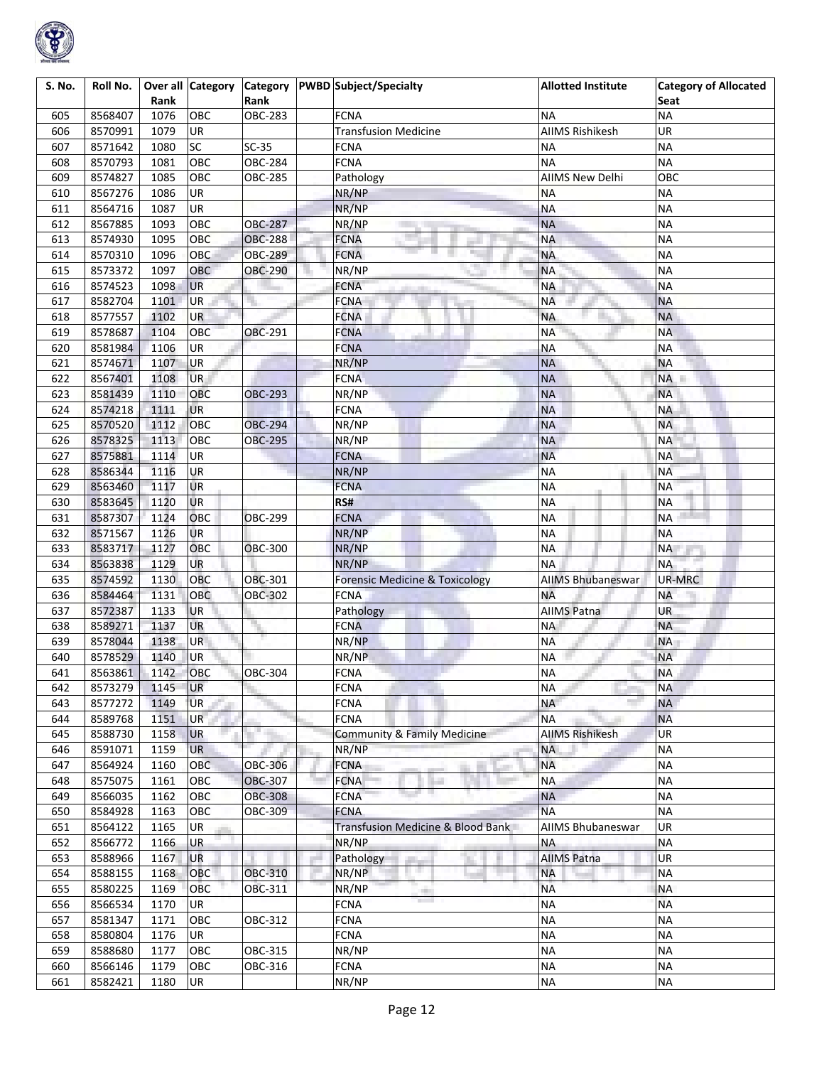

| S. No.     | Roll No. | Rank | Over all Category | <b>Category</b><br>Rank |   | <b>PWBD</b> Subject/Specialty          | <b>Allotted Institute</b> | <b>Category of Allocated</b><br>Seat |
|------------|----------|------|-------------------|-------------------------|---|----------------------------------------|---------------------------|--------------------------------------|
|            | 8568407  | 1076 | OBC               | OBC-283                 |   | <b>FCNA</b>                            | <b>NA</b>                 | <b>NA</b>                            |
| 605<br>606 | 8570991  | 1079 | <b>UR</b>         |                         |   | <b>Transfusion Medicine</b>            | <b>AIIMS Rishikesh</b>    | UR                                   |
| 607        | 8571642  | 1080 | <b>SC</b>         | $SC-35$                 |   | <b>FCNA</b>                            | <b>NA</b>                 | <b>NA</b>                            |
| 608        | 8570793  | 1081 | OBC               | OBC-284                 |   | <b>FCNA</b>                            | <b>NA</b>                 | <b>NA</b>                            |
| 609        | 8574827  | 1085 | OBC               | <b>OBC-285</b>          |   | Pathology                              | <b>AIIMS New Delhi</b>    | OBC                                  |
| 610        | 8567276  | 1086 | UR                |                         |   | NR/NP                                  | <b>NA</b>                 | <b>NA</b>                            |
| 611        | 8564716  | 1087 | UR                |                         |   | NR/NP                                  | <b>NA</b>                 | <b>NA</b>                            |
| 612        | 8567885  | 1093 | OBC               | <b>OBC-287</b>          |   | NR/NP                                  | <b>NA</b>                 | <b>NA</b>                            |
| 613        | 8574930  | 1095 | OBC               | <b>OBC-288</b>          |   | <b>FCNA</b>                            | <b>NA</b>                 | <b>NA</b>                            |
| 614        | 8570310  | 1096 | OBC               | <b>OBC-289</b>          |   | <b>FCNA</b>                            | <b>NA</b>                 | <b>NA</b>                            |
| 615        | 8573372  | 1097 | ОВС               | <b>OBC-290</b>          |   | NR/NP                                  | <b>NA</b>                 | <b>NA</b>                            |
| 616        | 8574523  | 1098 | <b>UR</b>         |                         |   | <b>FCNA</b>                            | <b>NA</b>                 | <b>NA</b>                            |
| 617        | 8582704  | 1101 | <b>UR</b>         |                         |   | <b>FCNA</b>                            | <b>NA</b>                 | <b>NA</b>                            |
| 618        | 8577557  | 1102 | <b>UR</b>         |                         |   | <b>FCNA</b>                            | <b>NA</b>                 | <b>NA</b>                            |
| 619        | 8578687  | 1104 | OBC               | <b>OBC-291</b>          |   | <b>FCNA</b>                            | <b>NA</b>                 | <b>NA</b>                            |
| 620        | 8581984  | 1106 | <b>UR</b>         |                         |   | <b>FCNA</b>                            | <b>NA</b>                 | <b>NA</b>                            |
| 621        | 8574671  | 1107 | <b>UR</b>         |                         |   | NR/NP                                  | <b>NA</b>                 | <b>NA</b>                            |
| 622        | 8567401  | 1108 | <b>UR</b>         |                         |   | <b>FCNA</b>                            | <b>NA</b>                 | NA <b>II</b>                         |
| 623        | 8581439  | 1110 | OBC               | <b>OBC-293</b>          |   | NR/NP                                  | <b>NA</b>                 | <b>NA</b>                            |
| 624        | 8574218  | 1111 | UR                |                         |   | <b>FCNA</b>                            | <b>NA</b>                 | <b>NA</b>                            |
| 625        | 8570520  | 1112 | OBC               | <b>OBC-294</b>          |   | NR/NP                                  | <b>NA</b>                 | <b>NA</b>                            |
| 626        | 8578325  | 1113 | OBC               | <b>OBC-295</b>          |   | NR/NP                                  | <b>NA</b>                 | <b>NA</b>                            |
| 627        | 8575881  | 1114 | <b>UR</b>         |                         |   | <b>FCNA</b>                            | <b>NA</b>                 | <b>NA</b>                            |
| 628        | 8586344  | 1116 | UR                |                         |   | NR/NP                                  | <b>NA</b>                 | <b>NA</b>                            |
| 629        | 8563460  | 1117 | UR                |                         |   | <b>FCNA</b>                            | <b>NA</b>                 | <b>NA</b>                            |
| 630        | 8583645  | 1120 | UR                |                         |   | RS#                                    | <b>NA</b>                 | <b>NA</b>                            |
| 631        | 8587307  | 1124 | OBC               | <b>OBC-299</b>          |   | <b>FCNA</b>                            | <b>NA</b>                 | <b>NA</b>                            |
| 632        | 8571567  | 1126 | <b>UR</b>         |                         |   | NR/NP                                  | <b>NA</b>                 | <b>NA</b>                            |
| 633        | 8583717  | 1127 | OBC               | <b>OBC-300</b>          |   | NR/NP                                  | <b>NA</b>                 | <b>NA</b>                            |
| 634        | 8563838  | 1129 | <b>UR</b>         |                         |   | NR/NP                                  | <b>NA</b>                 | <b>NA</b>                            |
| 635        | 8574592  | 1130 | ОВС               | OBC-301                 |   | Forensic Medicine & Toxicology         | <b>AIIMS Bhubaneswar</b>  | UR-MRC                               |
| 636        | 8584464  | 1131 | OBC               | OBC-302                 |   | <b>FCNA</b>                            | <b>NA</b>                 | <b>NA</b>                            |
| 637        | 8572387  | 1133 | <b>UR</b>         |                         |   | Pathology                              | <b>AIIMS Patna</b>        | <b>UR</b>                            |
| 638        | 8589271  | 1137 | <b>UR</b>         |                         |   | <b>FCNA</b>                            | <b>NA</b>                 | <b>NA</b>                            |
| 639        | 8578044  | 1138 | UR                |                         |   | NR/NP                                  | <b>NA</b>                 | <b>NA</b>                            |
| 640        | 8578529  | 1140 | <b>UR</b>         |                         |   | NR/NP                                  | <b>NA</b>                 | <b>NA</b>                            |
| 641        | 8563861  | 1142 | ОВС               | OBC-304                 |   | <b>FCNA</b>                            | <b>NA</b>                 | <b>NA</b>                            |
| 642        | 8573279  | 1145 | <b>UR</b>         |                         |   | <b>FCNA</b>                            | <b>NA</b>                 | <b>NA</b>                            |
| 643        | 8577272  | 1149 | <b>UR</b>         |                         |   | <b>FCNA</b>                            | <b>NA</b>                 | <b>NA</b>                            |
| 644        | 8589768  | 1151 | <b>UR</b>         |                         |   | <b>FCNA</b>                            | <b>NA</b>                 | <b>NA</b>                            |
| 645        | 8588730  | 1158 | <b>UR</b>         |                         |   | <b>Community &amp; Family Medicine</b> | <b>AIIMS Rishikesh</b>    | <b>UR</b>                            |
| 646        | 8591071  | 1159 | <b>UR</b>         |                         |   | NR/NP                                  | <b>NA</b>                 | <b>NA</b>                            |
| 647        | 8564924  | 1160 | OBC               | <b>OBC-306</b>          |   | <b>FCNA</b><br>m.                      | <b>NA</b>                 | <b>NA</b>                            |
| 648        | 8575075  | 1161 | OBC               | OBC-307                 |   | <b>FCNA</b>                            | <b>NA</b>                 | <b>NA</b>                            |
| 649        | 8566035  | 1162 | OBC               | <b>OBC-308</b>          |   | ш<br><b>FCNA</b>                       | <b>NA</b>                 | <b>NA</b>                            |
| 650        | 8584928  | 1163 | OBC               | OBC-309                 |   | <b>FCNA</b>                            | <b>NA</b>                 | <b>NA</b>                            |
| 651        | 8564122  | 1165 | UR                |                         |   | Transfusion Medicine & Blood Bank      | <b>AIIMS Bhubaneswar</b>  | UR                                   |
| 652        | 8566772  | 1166 | <b>UR</b>         |                         |   | NR/NP                                  | <b>NA</b>                 | <b>NA</b>                            |
| 653        | 8588966  | 1167 | <b>UR</b>         |                         | ÷ | Pathology<br>a.                        | <b>AIIMS Patna</b>        | UR                                   |
| 654        | 8588155  | 1168 | OBC               | OBC-310                 |   | an i<br>NR/NP                          | <b>NA</b>                 | <b>NA</b>                            |
| 655        | 8580225  | 1169 | OBC               | OBC-311                 |   | NR/NP<br>ak i                          | <b>NA</b>                 | <b>NA</b>                            |
| 656        | 8566534  | 1170 | <b>UR</b>         |                         |   | <b>FCNA</b>                            | <b>NA</b>                 | <b>NA</b>                            |
| 657        | 8581347  | 1171 | OBC               | OBC-312                 |   | <b>FCNA</b>                            | <b>NA</b>                 | <b>NA</b>                            |
| 658        | 8580804  | 1176 | <b>UR</b>         |                         |   | <b>FCNA</b>                            | <b>NA</b>                 | <b>NA</b>                            |
| 659        | 8588680  | 1177 | OBC               | OBC-315                 |   | NR/NP                                  | <b>NA</b>                 | <b>NA</b>                            |
| 660        | 8566146  | 1179 | OBC               | OBC-316                 |   | FCNA                                   | <b>NA</b>                 | <b>NA</b>                            |
| 661        | 8582421  | 1180 | UR                |                         |   | NR/NP                                  | <b>NA</b>                 | <b>NA</b>                            |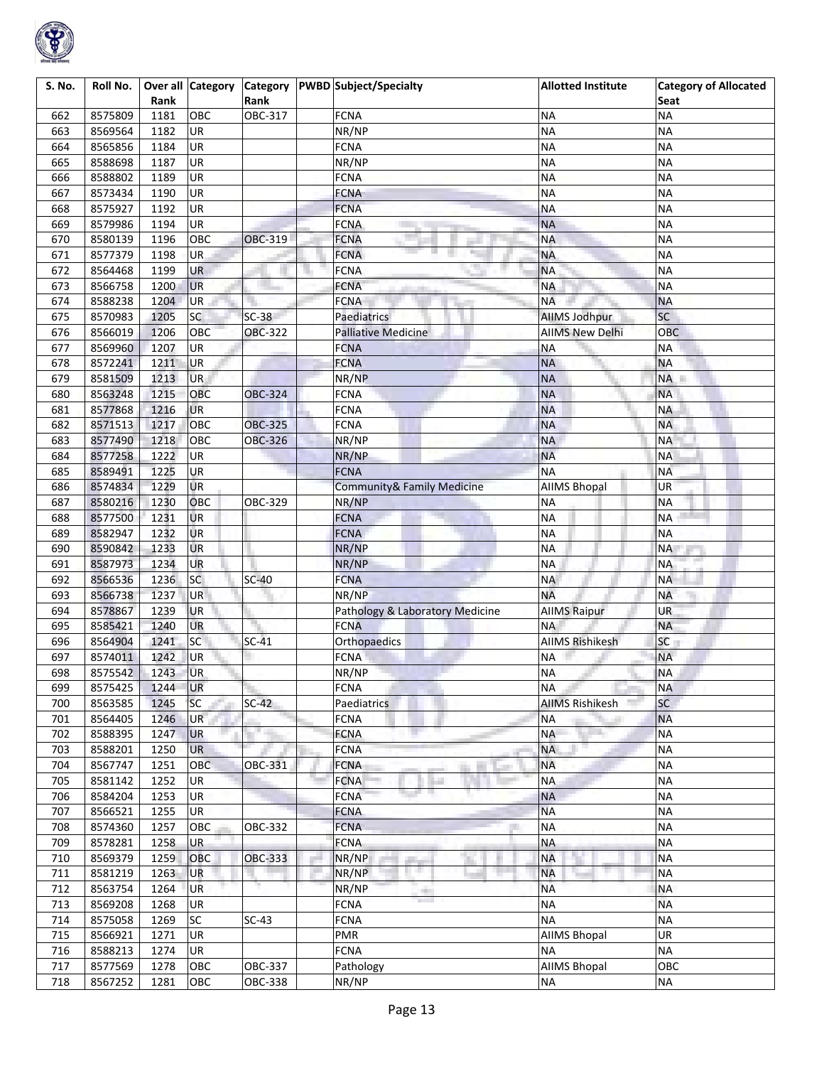

| S. No.     | Roll No.           | Rank         |                  | Rank           | Over all Category Category PWBD Subject/Specialty | <b>Allotted Institute</b>           | <b>Category of Allocated</b><br>Seat |
|------------|--------------------|--------------|------------------|----------------|---------------------------------------------------|-------------------------------------|--------------------------------------|
| 662        | 8575809            | 1181         | OBC              | OBC-317        | <b>FCNA</b>                                       | ΝA                                  | <b>NA</b>                            |
| 663        | 8569564            | 1182         | UR               |                | NR/NP                                             | <b>NA</b>                           | <b>NA</b>                            |
| 664        | 8565856            | 1184         | <b>UR</b>        |                | <b>FCNA</b>                                       | <b>NA</b>                           | <b>NA</b>                            |
| 665        | 8588698            | 1187         | UR               |                | NR/NP                                             | <b>NA</b>                           | <b>NA</b>                            |
| 666        | 8588802            | 1189         | UR               |                | <b>FCNA</b>                                       | <b>NA</b>                           | <b>NA</b>                            |
|            |                    |              | UR               |                | <b>FCNA</b>                                       | <b>NA</b>                           | <b>NA</b>                            |
| 667        | 8573434            | 1190         |                  |                |                                                   |                                     |                                      |
| 668        | 8575927            | 1192         | UR<br>UR         |                | <b>FCNA</b><br><b>FCNA</b>                        | <b>NA</b><br><b>NA</b>              | <b>NA</b><br><b>NA</b>               |
| 669        | 8579986            | 1194         | OBC              | OBC-319        |                                                   |                                     | <b>NA</b>                            |
| 670        | 8580139            | 1196         | UR.              |                | <b>FCNA</b><br><b>FCNA</b><br><b>BULL</b>         | <b>NA</b><br><b>NA</b>              | <b>NA</b>                            |
| 671        | 8577379            | 1198         |                  |                | <b>FCNA</b>                                       | <b>NA</b>                           | <b>NA</b>                            |
| 672        | 8564468            | 1199         | UR<br>UR         |                | <b>FCNA</b>                                       |                                     | <b>NA</b>                            |
| 673<br>674 | 8566758<br>8588238 | 1200<br>1204 | <b>UR</b>        |                | <b>FCNA</b>                                       | <b>NA</b><br><b>NA</b>              | <b>NA</b>                            |
| 675        | 8570983            | 1205         | SĊ               | $SC-38$        | Paediatrics                                       | <b>AIIMS Jodhpur</b>                | SC                                   |
| 676        | 8566019            | 1206         | OBC              | <b>OBC-322</b> | <b>Palliative Medicine</b>                        | <b>AIIMS New Delhi</b>              | OBC                                  |
| 677        | 8569960            | 1207         | UR               |                | <b>FCNA</b>                                       | <b>NA</b>                           | <b>NA</b>                            |
| 678        | 8572241            | 1211         | UR               |                | <b>FCNA</b>                                       | <b>NA</b>                           | <b>NA</b>                            |
| 679        | 8581509            | 1213         | UR               |                | NR/NP                                             | <b>NA</b>                           | NA L                                 |
| 680        |                    | 1215         | OBC              | <b>OBC-324</b> | <b>FCNA</b>                                       | <b>NA</b>                           | <b>NA</b>                            |
|            | 8563248            |              | <b>UR</b>        |                | <b>FCNA</b>                                       | <b>NA</b>                           |                                      |
| 681<br>682 | 8577868<br>8571513 | 1216<br>1217 | OBC              | <b>OBC-325</b> | <b>FCNA</b>                                       | <b>NA</b>                           | <b>NA</b><br><b>NA</b>               |
|            | 8577490            | 1218         | OBC              | <b>OBC-326</b> | NR/NP                                             | <b>NA</b>                           | <b>NA</b>                            |
| 683        | 8577258            |              | UR               |                | NR/NP                                             | <b>NA</b>                           | <b>NA</b>                            |
| 684<br>685 | 8589491            | 1222<br>1225 | UR               |                | <b>FCNA</b>                                       | <b>NA</b>                           | <b>NA</b>                            |
|            |                    |              | UR               |                |                                                   |                                     |                                      |
| 686        | 8574834            | 1229         |                  |                | Community& Family Medicine                        | <b>AIIMS Bhopal</b>                 | UR                                   |
| 687        | 8580216<br>8577500 | 1230<br>1231 | OBC<br><b>UR</b> | OBC-329        | NR/NP<br><b>FCNA</b>                              | <b>NA</b><br><b>NA</b>              | <b>NA</b><br><b>NA</b>               |
| 688        | 8582947            | 1232         | <b>UR</b>        |                | <b>FCNA</b>                                       | <b>NA</b>                           | <b>NA</b>                            |
| 689        |                    |              | UR               |                | NR/NP                                             | <b>NA</b>                           |                                      |
| 690        | 8590842            | 1233         | UR               |                | NR/NP                                             | <b>NA</b>                           | <b>NA</b><br><b>NA</b>               |
| 691        | 8587973            | 1234         | SC               | $SC-40$        | <b>FCNA</b>                                       | <b>NA</b>                           | <b>NA</b>                            |
| 692        | 8566536            | 1236         | UR               |                | NR/NP                                             | <b>NA</b>                           | <b>NA</b>                            |
| 693<br>694 | 8566738            | 1237         | UR               |                |                                                   |                                     | UR                                   |
| 695        | 8578867<br>8585421 | 1239<br>1240 | UR               |                | Pathology & Laboratory Medicine<br><b>FCNA</b>    | <b>AllMS Raipur</b><br><b>NA</b>    | <b>NA</b>                            |
| 696        | 8564904            | 1241         | SC               | $SC-41$        | Orthopaedics                                      | <b>AIIMS Rishikesh</b>              | SC                                   |
| 697        | 8574011            | 1242         | <b>UR</b>        |                | <b>FCNA</b>                                       | <b>NA</b>                           | <b>NA</b>                            |
| 698        | 8575542            | 1243         | UR               |                | NR/NP                                             | <b>NA</b>                           | <b>NA</b>                            |
|            | 8575425            | 1244         | <b>UR</b>        |                | <b>FCNA</b>                                       | <b>NA</b>                           |                                      |
| 699<br>700 |                    | 1245         | <b>SC</b>        | $SC-42$        | Paediatrics                                       |                                     | <b>NA</b><br>SC                      |
| 701        | 8563585<br>8564405 | 1246         | <b>UR</b>        |                | <b>FCNA</b>                                       | <b>AIIMS Rishikesh</b><br><b>NA</b> | <b>NA</b>                            |
| 702        | 8588395            | 1247         | UR               |                | <b>FCNA</b>                                       | <b>NA</b><br>. .                    | <b>NA</b>                            |
| 703        | 8588201            | 1250         | <b>UR</b>        |                | <b>FCNA</b>                                       | <b>NA</b>                           | <b>NA</b>                            |
| 704        | 8567747            | 1251         | OBC              | OBC-331        | <b>FCNA</b>                                       | <b>NA</b>                           | <b>NA</b>                            |
| 705        | 8581142            | 1252         | <b>UR</b>        |                | <b>FCNA</b>                                       | <b>NA</b>                           | <b>NA</b>                            |
| 706        | 8584204            | 1253         | <b>UR</b>        |                | ш<br><b>FCNA</b>                                  | <b>NA</b>                           | <b>NA</b>                            |
| 707        | 8566521            | 1255         | UR               |                | <b>FCNA</b>                                       | <b>NA</b>                           | <b>NA</b>                            |
| 708        | 8574360            | 1257         | OBC              | OBC-332        | <b>FCNA</b>                                       | <b>NA</b>                           | <b>NA</b>                            |
| 709        | 8578281            | 1258         | UR               |                | <b>FCNA</b>                                       | <b>NA</b>                           | <b>NA</b>                            |
| 710        | 8569379            | 1259         | OBC              | <b>OBC-333</b> | NR/NP                                             | <b>NA</b>                           | <b>NA</b>                            |
| 711        | 8581219            | 1263         | UR.              |                | u.<br>NR/NP                                       | <b>NA</b>                           | <b>NA</b>                            |
| 712        | 8563754            | 1264         | UR               |                | NR/NP                                             | <b>NA</b>                           | <b>NA</b>                            |
| 713        | 8569208            | 1268         | UR               |                | a.<br><b>FCNA</b>                                 | <b>NA</b>                           | <b>NA</b>                            |
| 714        | 8575058            | 1269         | <b>SC</b>        | $SC-43$        | <b>FCNA</b>                                       | <b>NA</b>                           | <b>NA</b>                            |
| 715        | 8566921            | 1271         | UR               |                | <b>PMR</b>                                        | <b>AIIMS Bhopal</b>                 | UR                                   |
|            |                    |              |                  |                | <b>FCNA</b>                                       | <b>NA</b>                           | <b>NA</b>                            |
| 716<br>717 | 8588213<br>8577569 | 1274<br>1278 | UR<br>OBC        | OBC-337        | Pathology                                         | <b>AIIMS Bhopal</b>                 | OBC                                  |
| 718        | 8567252            | 1281         | OBC              | OBC-338        | NR/NP                                             | <b>NA</b>                           | <b>NA</b>                            |
|            |                    |              |                  |                |                                                   |                                     |                                      |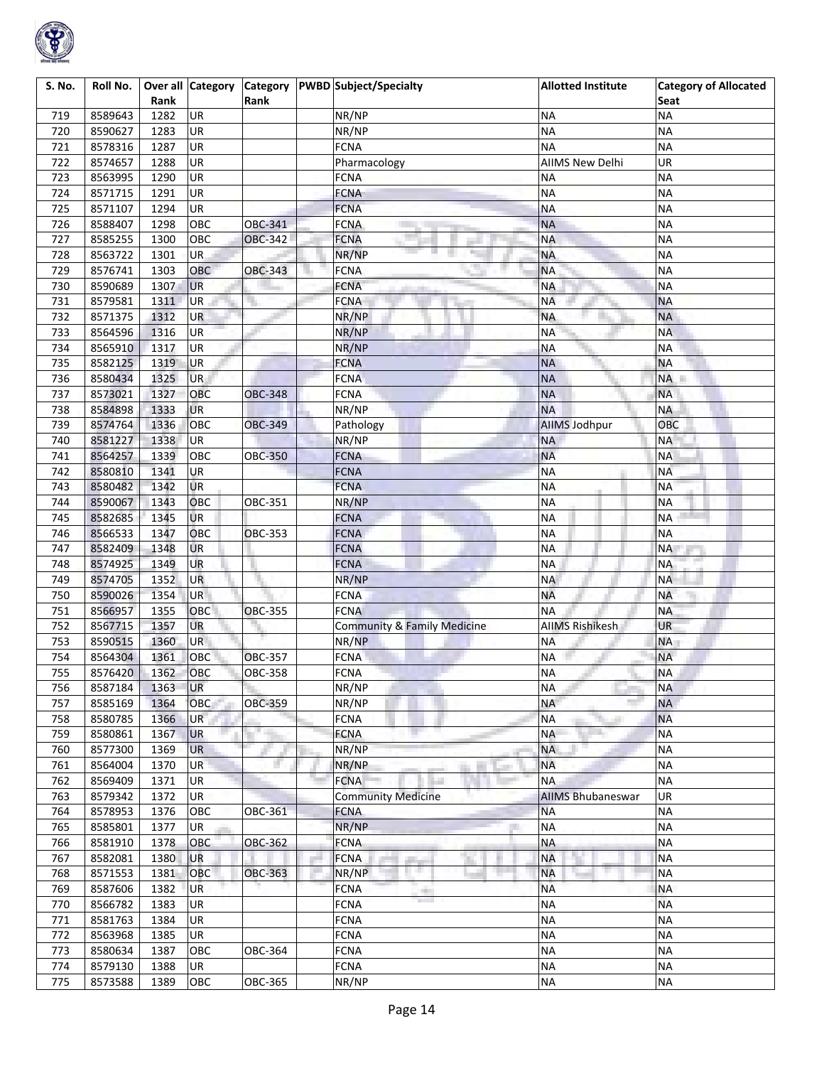

| Rank<br>Rank<br>Seat<br>8589643<br>1282<br><b>UR</b><br>NR/NP<br><b>NA</b><br>719<br><b>NA</b><br><b>UR</b><br>1283<br>NR/NP<br><b>NA</b><br><b>NA</b><br>720<br>8590627<br>UR<br><b>NA</b><br>721<br>8578316<br><b>FCNA</b><br><b>NA</b><br>1287<br><b>UR</b><br>UR<br>722<br>8574657<br>1288<br>Pharmacology<br><b>AIIMS New Delhi</b><br>723<br>8563995<br><b>UR</b><br><b>FCNA</b><br><b>NA</b><br>1290<br><b>NA</b><br>8571715<br><b>UR</b><br><b>FCNA</b><br><b>NA</b><br>724<br>1291<br><b>NA</b><br>UR<br><b>FCNA</b><br><b>NA</b><br>725<br>8571107<br>1294<br><b>NA</b><br><b>NA</b><br>726<br>OBC<br>OBC-341<br><b>FCNA</b><br><b>NA</b><br>8588407<br>1298<br>OBC<br><b>NA</b><br>727<br>8585255<br>OBC-342<br><b>FCNA</b><br><b>NA</b><br>1300<br>UR.<br>NR/NP<br><b>NA</b><br><b>NA</b><br>728<br>8563722<br>1301<br>ОВС<br><b>NA</b><br><b>NA</b><br>729<br>8576741<br><b>OBC-343</b><br><b>FCNA</b><br>1303<br><b>UR</b><br><b>FCNA</b><br><b>NA</b><br>730<br>8590689<br>1307<br><b>NA</b><br>731<br><b>UR</b><br><b>FCNA</b><br><b>NA</b><br>8579581<br>1311<br><b>NA</b><br><b>UR</b><br>NR/NP<br>732<br><b>NA</b><br>8571375<br>1312<br><b>NA</b><br><b>UR</b><br>NR/NP<br><b>NA</b><br><b>NA</b><br>733<br>8564596<br>1316<br>NR/NP<br>734<br><b>UR</b><br><b>NA</b><br><b>NA</b><br>8565910<br>1317<br><b>FCNA</b><br>735<br>8582125<br>1319<br><b>UR</b><br><b>NA</b><br><b>NA</b><br><b>FCNA</b><br>736<br>8580434<br>1325<br><b>UR</b><br><b>NA</b><br>NA <b>II</b><br><b>NA</b><br>1327<br>OBC<br>737<br>8573021<br><b>OBC-348</b><br><b>FCNA</b><br><b>NA</b><br>UR<br><b>NA</b><br>738<br>NR/NP<br><b>NA</b><br>8584898<br>1333<br>OBC<br>OBC<br>739<br>8574764<br>1336<br><b>OBC-349</b><br>Pathology<br>AllMS Jodhpur<br>8581227<br>1338<br><b>UR</b><br>NR/NP<br><b>NA</b><br><b>NA</b><br>740<br><b>NA</b><br>OBC<br><b>FCNA</b><br><b>NA</b><br>8564257<br><b>OBC-350</b><br>741<br>1339<br><b>NA</b><br><b>UR</b><br><b>NA</b><br>742<br>8580810<br>1341<br><b>FCNA</b><br>UR<br>1342<br><b>FCNA</b><br><b>NA</b><br><b>NA</b><br>743<br>8580482<br>ОВС<br>1343<br><b>NA</b><br><b>NA</b><br>744<br>8590067<br>OBC-351<br>NR/NP<br>UR<br>1345<br><b>FCNA</b><br><b>NA</b><br>745<br>8582685<br><b>NA</b><br>8566533<br>1347<br>OBC<br><b>FCNA</b><br><b>NA</b><br><b>NA</b><br>746<br><b>OBC-353</b><br>UR<br>747<br>1348<br><b>FCNA</b><br><b>NA</b><br><b>NA</b><br>8582409 | <b>Category of Allocated</b> |
|-----------------------------------------------------------------------------------------------------------------------------------------------------------------------------------------------------------------------------------------------------------------------------------------------------------------------------------------------------------------------------------------------------------------------------------------------------------------------------------------------------------------------------------------------------------------------------------------------------------------------------------------------------------------------------------------------------------------------------------------------------------------------------------------------------------------------------------------------------------------------------------------------------------------------------------------------------------------------------------------------------------------------------------------------------------------------------------------------------------------------------------------------------------------------------------------------------------------------------------------------------------------------------------------------------------------------------------------------------------------------------------------------------------------------------------------------------------------------------------------------------------------------------------------------------------------------------------------------------------------------------------------------------------------------------------------------------------------------------------------------------------------------------------------------------------------------------------------------------------------------------------------------------------------------------------------------------------------------------------------------------------------------------------------------------------------------------------------------------------------------------------------------------------------------------------------------------------------------------------------------------------------------------------------------------------------------------------------------------------------------------------------------------------------|------------------------------|
|                                                                                                                                                                                                                                                                                                                                                                                                                                                                                                                                                                                                                                                                                                                                                                                                                                                                                                                                                                                                                                                                                                                                                                                                                                                                                                                                                                                                                                                                                                                                                                                                                                                                                                                                                                                                                                                                                                                                                                                                                                                                                                                                                                                                                                                                                                                                                                                                                 |                              |
|                                                                                                                                                                                                                                                                                                                                                                                                                                                                                                                                                                                                                                                                                                                                                                                                                                                                                                                                                                                                                                                                                                                                                                                                                                                                                                                                                                                                                                                                                                                                                                                                                                                                                                                                                                                                                                                                                                                                                                                                                                                                                                                                                                                                                                                                                                                                                                                                                 |                              |
|                                                                                                                                                                                                                                                                                                                                                                                                                                                                                                                                                                                                                                                                                                                                                                                                                                                                                                                                                                                                                                                                                                                                                                                                                                                                                                                                                                                                                                                                                                                                                                                                                                                                                                                                                                                                                                                                                                                                                                                                                                                                                                                                                                                                                                                                                                                                                                                                                 |                              |
|                                                                                                                                                                                                                                                                                                                                                                                                                                                                                                                                                                                                                                                                                                                                                                                                                                                                                                                                                                                                                                                                                                                                                                                                                                                                                                                                                                                                                                                                                                                                                                                                                                                                                                                                                                                                                                                                                                                                                                                                                                                                                                                                                                                                                                                                                                                                                                                                                 |                              |
|                                                                                                                                                                                                                                                                                                                                                                                                                                                                                                                                                                                                                                                                                                                                                                                                                                                                                                                                                                                                                                                                                                                                                                                                                                                                                                                                                                                                                                                                                                                                                                                                                                                                                                                                                                                                                                                                                                                                                                                                                                                                                                                                                                                                                                                                                                                                                                                                                 |                              |
|                                                                                                                                                                                                                                                                                                                                                                                                                                                                                                                                                                                                                                                                                                                                                                                                                                                                                                                                                                                                                                                                                                                                                                                                                                                                                                                                                                                                                                                                                                                                                                                                                                                                                                                                                                                                                                                                                                                                                                                                                                                                                                                                                                                                                                                                                                                                                                                                                 |                              |
|                                                                                                                                                                                                                                                                                                                                                                                                                                                                                                                                                                                                                                                                                                                                                                                                                                                                                                                                                                                                                                                                                                                                                                                                                                                                                                                                                                                                                                                                                                                                                                                                                                                                                                                                                                                                                                                                                                                                                                                                                                                                                                                                                                                                                                                                                                                                                                                                                 |                              |
|                                                                                                                                                                                                                                                                                                                                                                                                                                                                                                                                                                                                                                                                                                                                                                                                                                                                                                                                                                                                                                                                                                                                                                                                                                                                                                                                                                                                                                                                                                                                                                                                                                                                                                                                                                                                                                                                                                                                                                                                                                                                                                                                                                                                                                                                                                                                                                                                                 |                              |
|                                                                                                                                                                                                                                                                                                                                                                                                                                                                                                                                                                                                                                                                                                                                                                                                                                                                                                                                                                                                                                                                                                                                                                                                                                                                                                                                                                                                                                                                                                                                                                                                                                                                                                                                                                                                                                                                                                                                                                                                                                                                                                                                                                                                                                                                                                                                                                                                                 |                              |
|                                                                                                                                                                                                                                                                                                                                                                                                                                                                                                                                                                                                                                                                                                                                                                                                                                                                                                                                                                                                                                                                                                                                                                                                                                                                                                                                                                                                                                                                                                                                                                                                                                                                                                                                                                                                                                                                                                                                                                                                                                                                                                                                                                                                                                                                                                                                                                                                                 |                              |
|                                                                                                                                                                                                                                                                                                                                                                                                                                                                                                                                                                                                                                                                                                                                                                                                                                                                                                                                                                                                                                                                                                                                                                                                                                                                                                                                                                                                                                                                                                                                                                                                                                                                                                                                                                                                                                                                                                                                                                                                                                                                                                                                                                                                                                                                                                                                                                                                                 |                              |
|                                                                                                                                                                                                                                                                                                                                                                                                                                                                                                                                                                                                                                                                                                                                                                                                                                                                                                                                                                                                                                                                                                                                                                                                                                                                                                                                                                                                                                                                                                                                                                                                                                                                                                                                                                                                                                                                                                                                                                                                                                                                                                                                                                                                                                                                                                                                                                                                                 |                              |
|                                                                                                                                                                                                                                                                                                                                                                                                                                                                                                                                                                                                                                                                                                                                                                                                                                                                                                                                                                                                                                                                                                                                                                                                                                                                                                                                                                                                                                                                                                                                                                                                                                                                                                                                                                                                                                                                                                                                                                                                                                                                                                                                                                                                                                                                                                                                                                                                                 |                              |
|                                                                                                                                                                                                                                                                                                                                                                                                                                                                                                                                                                                                                                                                                                                                                                                                                                                                                                                                                                                                                                                                                                                                                                                                                                                                                                                                                                                                                                                                                                                                                                                                                                                                                                                                                                                                                                                                                                                                                                                                                                                                                                                                                                                                                                                                                                                                                                                                                 |                              |
|                                                                                                                                                                                                                                                                                                                                                                                                                                                                                                                                                                                                                                                                                                                                                                                                                                                                                                                                                                                                                                                                                                                                                                                                                                                                                                                                                                                                                                                                                                                                                                                                                                                                                                                                                                                                                                                                                                                                                                                                                                                                                                                                                                                                                                                                                                                                                                                                                 |                              |
|                                                                                                                                                                                                                                                                                                                                                                                                                                                                                                                                                                                                                                                                                                                                                                                                                                                                                                                                                                                                                                                                                                                                                                                                                                                                                                                                                                                                                                                                                                                                                                                                                                                                                                                                                                                                                                                                                                                                                                                                                                                                                                                                                                                                                                                                                                                                                                                                                 |                              |
|                                                                                                                                                                                                                                                                                                                                                                                                                                                                                                                                                                                                                                                                                                                                                                                                                                                                                                                                                                                                                                                                                                                                                                                                                                                                                                                                                                                                                                                                                                                                                                                                                                                                                                                                                                                                                                                                                                                                                                                                                                                                                                                                                                                                                                                                                                                                                                                                                 |                              |
|                                                                                                                                                                                                                                                                                                                                                                                                                                                                                                                                                                                                                                                                                                                                                                                                                                                                                                                                                                                                                                                                                                                                                                                                                                                                                                                                                                                                                                                                                                                                                                                                                                                                                                                                                                                                                                                                                                                                                                                                                                                                                                                                                                                                                                                                                                                                                                                                                 |                              |
|                                                                                                                                                                                                                                                                                                                                                                                                                                                                                                                                                                                                                                                                                                                                                                                                                                                                                                                                                                                                                                                                                                                                                                                                                                                                                                                                                                                                                                                                                                                                                                                                                                                                                                                                                                                                                                                                                                                                                                                                                                                                                                                                                                                                                                                                                                                                                                                                                 |                              |
|                                                                                                                                                                                                                                                                                                                                                                                                                                                                                                                                                                                                                                                                                                                                                                                                                                                                                                                                                                                                                                                                                                                                                                                                                                                                                                                                                                                                                                                                                                                                                                                                                                                                                                                                                                                                                                                                                                                                                                                                                                                                                                                                                                                                                                                                                                                                                                                                                 |                              |
|                                                                                                                                                                                                                                                                                                                                                                                                                                                                                                                                                                                                                                                                                                                                                                                                                                                                                                                                                                                                                                                                                                                                                                                                                                                                                                                                                                                                                                                                                                                                                                                                                                                                                                                                                                                                                                                                                                                                                                                                                                                                                                                                                                                                                                                                                                                                                                                                                 |                              |
|                                                                                                                                                                                                                                                                                                                                                                                                                                                                                                                                                                                                                                                                                                                                                                                                                                                                                                                                                                                                                                                                                                                                                                                                                                                                                                                                                                                                                                                                                                                                                                                                                                                                                                                                                                                                                                                                                                                                                                                                                                                                                                                                                                                                                                                                                                                                                                                                                 |                              |
|                                                                                                                                                                                                                                                                                                                                                                                                                                                                                                                                                                                                                                                                                                                                                                                                                                                                                                                                                                                                                                                                                                                                                                                                                                                                                                                                                                                                                                                                                                                                                                                                                                                                                                                                                                                                                                                                                                                                                                                                                                                                                                                                                                                                                                                                                                                                                                                                                 |                              |
|                                                                                                                                                                                                                                                                                                                                                                                                                                                                                                                                                                                                                                                                                                                                                                                                                                                                                                                                                                                                                                                                                                                                                                                                                                                                                                                                                                                                                                                                                                                                                                                                                                                                                                                                                                                                                                                                                                                                                                                                                                                                                                                                                                                                                                                                                                                                                                                                                 |                              |
|                                                                                                                                                                                                                                                                                                                                                                                                                                                                                                                                                                                                                                                                                                                                                                                                                                                                                                                                                                                                                                                                                                                                                                                                                                                                                                                                                                                                                                                                                                                                                                                                                                                                                                                                                                                                                                                                                                                                                                                                                                                                                                                                                                                                                                                                                                                                                                                                                 |                              |
|                                                                                                                                                                                                                                                                                                                                                                                                                                                                                                                                                                                                                                                                                                                                                                                                                                                                                                                                                                                                                                                                                                                                                                                                                                                                                                                                                                                                                                                                                                                                                                                                                                                                                                                                                                                                                                                                                                                                                                                                                                                                                                                                                                                                                                                                                                                                                                                                                 |                              |
|                                                                                                                                                                                                                                                                                                                                                                                                                                                                                                                                                                                                                                                                                                                                                                                                                                                                                                                                                                                                                                                                                                                                                                                                                                                                                                                                                                                                                                                                                                                                                                                                                                                                                                                                                                                                                                                                                                                                                                                                                                                                                                                                                                                                                                                                                                                                                                                                                 |                              |
|                                                                                                                                                                                                                                                                                                                                                                                                                                                                                                                                                                                                                                                                                                                                                                                                                                                                                                                                                                                                                                                                                                                                                                                                                                                                                                                                                                                                                                                                                                                                                                                                                                                                                                                                                                                                                                                                                                                                                                                                                                                                                                                                                                                                                                                                                                                                                                                                                 |                              |
|                                                                                                                                                                                                                                                                                                                                                                                                                                                                                                                                                                                                                                                                                                                                                                                                                                                                                                                                                                                                                                                                                                                                                                                                                                                                                                                                                                                                                                                                                                                                                                                                                                                                                                                                                                                                                                                                                                                                                                                                                                                                                                                                                                                                                                                                                                                                                                                                                 |                              |
|                                                                                                                                                                                                                                                                                                                                                                                                                                                                                                                                                                                                                                                                                                                                                                                                                                                                                                                                                                                                                                                                                                                                                                                                                                                                                                                                                                                                                                                                                                                                                                                                                                                                                                                                                                                                                                                                                                                                                                                                                                                                                                                                                                                                                                                                                                                                                                                                                 |                              |
| 8574925<br>1349<br>UR<br><b>FCNA</b><br>748<br><b>NA</b><br><b>NA</b>                                                                                                                                                                                                                                                                                                                                                                                                                                                                                                                                                                                                                                                                                                                                                                                                                                                                                                                                                                                                                                                                                                                                                                                                                                                                                                                                                                                                                                                                                                                                                                                                                                                                                                                                                                                                                                                                                                                                                                                                                                                                                                                                                                                                                                                                                                                                           |                              |
| 8574705<br><b>UR</b><br>749<br>1352<br>NR/NP<br><b>NA</b><br>NA                                                                                                                                                                                                                                                                                                                                                                                                                                                                                                                                                                                                                                                                                                                                                                                                                                                                                                                                                                                                                                                                                                                                                                                                                                                                                                                                                                                                                                                                                                                                                                                                                                                                                                                                                                                                                                                                                                                                                                                                                                                                                                                                                                                                                                                                                                                                                 |                              |
| <b>NA</b><br><b>UR</b><br><b>FCNA</b><br><b>NA</b><br>750<br>8590026<br>1354                                                                                                                                                                                                                                                                                                                                                                                                                                                                                                                                                                                                                                                                                                                                                                                                                                                                                                                                                                                                                                                                                                                                                                                                                                                                                                                                                                                                                                                                                                                                                                                                                                                                                                                                                                                                                                                                                                                                                                                                                                                                                                                                                                                                                                                                                                                                    |                              |
| ОВС<br>751<br>8566957<br>1355<br><b>OBC-355</b><br><b>FCNA</b><br><b>NA</b><br><b>NA</b>                                                                                                                                                                                                                                                                                                                                                                                                                                                                                                                                                                                                                                                                                                                                                                                                                                                                                                                                                                                                                                                                                                                                                                                                                                                                                                                                                                                                                                                                                                                                                                                                                                                                                                                                                                                                                                                                                                                                                                                                                                                                                                                                                                                                                                                                                                                        |                              |
| 752<br><b>UR</b><br><b>AIIMS Rishikesh</b><br>UR<br>8567715<br>1357<br><b>Community &amp; Family Medicine</b>                                                                                                                                                                                                                                                                                                                                                                                                                                                                                                                                                                                                                                                                                                                                                                                                                                                                                                                                                                                                                                                                                                                                                                                                                                                                                                                                                                                                                                                                                                                                                                                                                                                                                                                                                                                                                                                                                                                                                                                                                                                                                                                                                                                                                                                                                                   |                              |
| UR<br>8590515<br>NR/NP<br><b>NA</b><br>753<br>1360<br><b>NA</b>                                                                                                                                                                                                                                                                                                                                                                                                                                                                                                                                                                                                                                                                                                                                                                                                                                                                                                                                                                                                                                                                                                                                                                                                                                                                                                                                                                                                                                                                                                                                                                                                                                                                                                                                                                                                                                                                                                                                                                                                                                                                                                                                                                                                                                                                                                                                                 |                              |
| <b>NA</b><br>754<br>8564304<br>1361<br>OBC<br><b>OBC-357</b><br><b>FCNA</b><br><b>NA</b>                                                                                                                                                                                                                                                                                                                                                                                                                                                                                                                                                                                                                                                                                                                                                                                                                                                                                                                                                                                                                                                                                                                                                                                                                                                                                                                                                                                                                                                                                                                                                                                                                                                                                                                                                                                                                                                                                                                                                                                                                                                                                                                                                                                                                                                                                                                        |                              |
| 1362<br><b>NA</b><br>755<br>8576420<br>OBC<br><b>FCNA</b><br><b>NA</b><br>OBC-358                                                                                                                                                                                                                                                                                                                                                                                                                                                                                                                                                                                                                                                                                                                                                                                                                                                                                                                                                                                                                                                                                                                                                                                                                                                                                                                                                                                                                                                                                                                                                                                                                                                                                                                                                                                                                                                                                                                                                                                                                                                                                                                                                                                                                                                                                                                               |                              |
| 8587184<br><b>UR</b><br>NR/NP<br><b>NA</b><br><b>NA</b><br>1363<br>756                                                                                                                                                                                                                                                                                                                                                                                                                                                                                                                                                                                                                                                                                                                                                                                                                                                                                                                                                                                                                                                                                                                                                                                                                                                                                                                                                                                                                                                                                                                                                                                                                                                                                                                                                                                                                                                                                                                                                                                                                                                                                                                                                                                                                                                                                                                                          |                              |
| OBC<br><b>OBC-359</b><br>NR/NP<br><b>NA</b><br><b>NA</b><br>757<br>8585169<br>1364                                                                                                                                                                                                                                                                                                                                                                                                                                                                                                                                                                                                                                                                                                                                                                                                                                                                                                                                                                                                                                                                                                                                                                                                                                                                                                                                                                                                                                                                                                                                                                                                                                                                                                                                                                                                                                                                                                                                                                                                                                                                                                                                                                                                                                                                                                                              |                              |
| 8580785<br><b>UR</b><br><b>FCNA</b><br><b>NA</b><br><b>NA</b><br>758<br>1366                                                                                                                                                                                                                                                                                                                                                                                                                                                                                                                                                                                                                                                                                                                                                                                                                                                                                                                                                                                                                                                                                                                                                                                                                                                                                                                                                                                                                                                                                                                                                                                                                                                                                                                                                                                                                                                                                                                                                                                                                                                                                                                                                                                                                                                                                                                                    |                              |
| 8580861<br>1367<br><b>UR</b><br><b>FCNA</b><br><b>NA</b><br><b>NA</b><br>759                                                                                                                                                                                                                                                                                                                                                                                                                                                                                                                                                                                                                                                                                                                                                                                                                                                                                                                                                                                                                                                                                                                                                                                                                                                                                                                                                                                                                                                                                                                                                                                                                                                                                                                                                                                                                                                                                                                                                                                                                                                                                                                                                                                                                                                                                                                                    |                              |
| <b>NA</b><br>NR/NP<br>760<br>8577300<br>1369<br><b>UR</b><br><b>NA</b>                                                                                                                                                                                                                                                                                                                                                                                                                                                                                                                                                                                                                                                                                                                                                                                                                                                                                                                                                                                                                                                                                                                                                                                                                                                                                                                                                                                                                                                                                                                                                                                                                                                                                                                                                                                                                                                                                                                                                                                                                                                                                                                                                                                                                                                                                                                                          |                              |
| <b>NA</b><br>761<br>8564004<br><b>UR</b><br>NR/NP<br>1370<br>ΝA                                                                                                                                                                                                                                                                                                                                                                                                                                                                                                                                                                                                                                                                                                                                                                                                                                                                                                                                                                                                                                                                                                                                                                                                                                                                                                                                                                                                                                                                                                                                                                                                                                                                                                                                                                                                                                                                                                                                                                                                                                                                                                                                                                                                                                                                                                                                                 |                              |
| UR<br><b>NA</b><br><b>NA</b><br>762<br>8569409<br><b>FCNA</b><br>1371                                                                                                                                                                                                                                                                                                                                                                                                                                                                                                                                                                                                                                                                                                                                                                                                                                                                                                                                                                                                                                                                                                                                                                                                                                                                                                                                                                                                                                                                                                                                                                                                                                                                                                                                                                                                                                                                                                                                                                                                                                                                                                                                                                                                                                                                                                                                           |                              |
| <b>UR</b><br><b>Community Medicine</b><br>763<br>8579342<br>1372<br><b>AIIMS Bhubaneswar</b><br>UR                                                                                                                                                                                                                                                                                                                                                                                                                                                                                                                                                                                                                                                                                                                                                                                                                                                                                                                                                                                                                                                                                                                                                                                                                                                                                                                                                                                                                                                                                                                                                                                                                                                                                                                                                                                                                                                                                                                                                                                                                                                                                                                                                                                                                                                                                                              |                              |
| OBC<br><b>NA</b><br>764<br>8578953<br>1376<br>OBC-361<br><b>FCNA</b><br><b>NA</b>                                                                                                                                                                                                                                                                                                                                                                                                                                                                                                                                                                                                                                                                                                                                                                                                                                                                                                                                                                                                                                                                                                                                                                                                                                                                                                                                                                                                                                                                                                                                                                                                                                                                                                                                                                                                                                                                                                                                                                                                                                                                                                                                                                                                                                                                                                                               |                              |
| NR/NP<br><b>NA</b><br><b>NA</b><br>8585801<br>1377<br>UR<br>765                                                                                                                                                                                                                                                                                                                                                                                                                                                                                                                                                                                                                                                                                                                                                                                                                                                                                                                                                                                                                                                                                                                                                                                                                                                                                                                                                                                                                                                                                                                                                                                                                                                                                                                                                                                                                                                                                                                                                                                                                                                                                                                                                                                                                                                                                                                                                 |                              |
| <b>FCNA</b><br><b>NA</b><br><b>NA</b><br>766<br>8581910<br>1378<br>OBC<br>OBC-362                                                                                                                                                                                                                                                                                                                                                                                                                                                                                                                                                                                                                                                                                                                                                                                                                                                                                                                                                                                                                                                                                                                                                                                                                                                                                                                                                                                                                                                                                                                                                                                                                                                                                                                                                                                                                                                                                                                                                                                                                                                                                                                                                                                                                                                                                                                               |                              |
| <b>UR</b><br><b>FCNA</b><br><b>NA</b><br>767<br>8582081<br><b>NA</b><br>1380<br>e.<br>an i                                                                                                                                                                                                                                                                                                                                                                                                                                                                                                                                                                                                                                                                                                                                                                                                                                                                                                                                                                                                                                                                                                                                                                                                                                                                                                                                                                                                                                                                                                                                                                                                                                                                                                                                                                                                                                                                                                                                                                                                                                                                                                                                                                                                                                                                                                                      |                              |
| œ.<br>OBC<br>NR/NP<br><b>NA</b><br><b>NA</b><br>768<br>8571553<br>1381<br>OBC-363                                                                                                                                                                                                                                                                                                                                                                                                                                                                                                                                                                                                                                                                                                                                                                                                                                                                                                                                                                                                                                                                                                                                                                                                                                                                                                                                                                                                                                                                                                                                                                                                                                                                                                                                                                                                                                                                                                                                                                                                                                                                                                                                                                                                                                                                                                                               |                              |
| <b>UR</b><br><b>FCNA</b><br><b>NA</b><br>769<br>8587606<br>1382<br><b>NA</b><br>m.                                                                                                                                                                                                                                                                                                                                                                                                                                                                                                                                                                                                                                                                                                                                                                                                                                                                                                                                                                                                                                                                                                                                                                                                                                                                                                                                                                                                                                                                                                                                                                                                                                                                                                                                                                                                                                                                                                                                                                                                                                                                                                                                                                                                                                                                                                                              |                              |
| <b>UR</b><br><b>FCNA</b><br><b>NA</b><br><b>NA</b><br>770<br>8566782<br>1383                                                                                                                                                                                                                                                                                                                                                                                                                                                                                                                                                                                                                                                                                                                                                                                                                                                                                                                                                                                                                                                                                                                                                                                                                                                                                                                                                                                                                                                                                                                                                                                                                                                                                                                                                                                                                                                                                                                                                                                                                                                                                                                                                                                                                                                                                                                                    |                              |
| <b>FCNA</b><br><b>NA</b><br>8581763<br>1384<br>UR<br><b>NA</b><br>771                                                                                                                                                                                                                                                                                                                                                                                                                                                                                                                                                                                                                                                                                                                                                                                                                                                                                                                                                                                                                                                                                                                                                                                                                                                                                                                                                                                                                                                                                                                                                                                                                                                                                                                                                                                                                                                                                                                                                                                                                                                                                                                                                                                                                                                                                                                                           |                              |
| <b>FCNA</b><br><b>NA</b><br><b>NA</b><br>772<br>8563968<br>1385<br>UR                                                                                                                                                                                                                                                                                                                                                                                                                                                                                                                                                                                                                                                                                                                                                                                                                                                                                                                                                                                                                                                                                                                                                                                                                                                                                                                                                                                                                                                                                                                                                                                                                                                                                                                                                                                                                                                                                                                                                                                                                                                                                                                                                                                                                                                                                                                                           |                              |
| <b>NA</b><br>773<br>OBC<br>OBC-364<br>FCNA<br><b>NA</b><br>8580634<br>1387                                                                                                                                                                                                                                                                                                                                                                                                                                                                                                                                                                                                                                                                                                                                                                                                                                                                                                                                                                                                                                                                                                                                                                                                                                                                                                                                                                                                                                                                                                                                                                                                                                                                                                                                                                                                                                                                                                                                                                                                                                                                                                                                                                                                                                                                                                                                      |                              |
| <b>NA</b><br><b>NA</b><br>UR<br><b>FCNA</b><br>774<br>8579130<br>1388                                                                                                                                                                                                                                                                                                                                                                                                                                                                                                                                                                                                                                                                                                                                                                                                                                                                                                                                                                                                                                                                                                                                                                                                                                                                                                                                                                                                                                                                                                                                                                                                                                                                                                                                                                                                                                                                                                                                                                                                                                                                                                                                                                                                                                                                                                                                           |                              |
| <b>NA</b><br>NR/NP<br><b>NA</b><br>775<br>8573588<br>1389<br>OBC<br>OBC-365                                                                                                                                                                                                                                                                                                                                                                                                                                                                                                                                                                                                                                                                                                                                                                                                                                                                                                                                                                                                                                                                                                                                                                                                                                                                                                                                                                                                                                                                                                                                                                                                                                                                                                                                                                                                                                                                                                                                                                                                                                                                                                                                                                                                                                                                                                                                     |                              |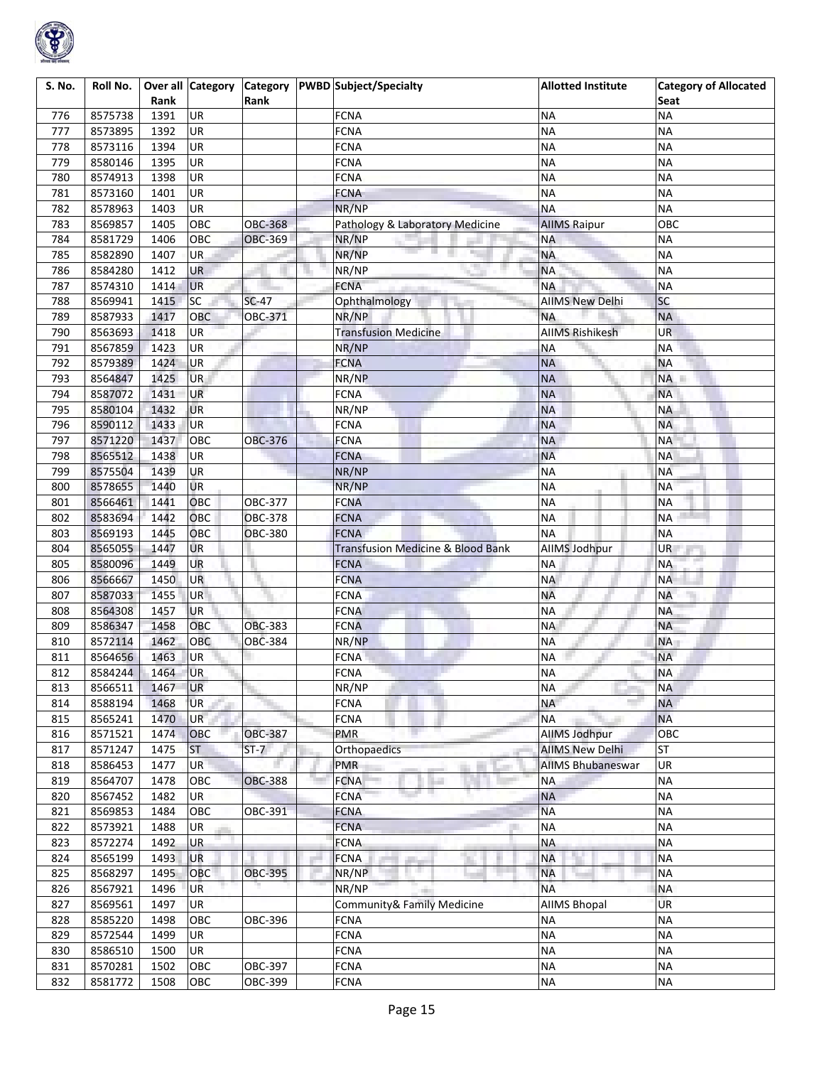

| S. No. | Roll No. |      | Over all Category | Category       |               | <b>PWBD</b> Subject/Specialty     | <b>Allotted Institute</b> | <b>Category of Allocated</b> |
|--------|----------|------|-------------------|----------------|---------------|-----------------------------------|---------------------------|------------------------------|
|        |          | Rank |                   | Rank           |               |                                   |                           | Seat                         |
| 776    | 8575738  | 1391 | <b>UR</b>         |                |               | <b>FCNA</b>                       | <b>NA</b>                 | <b>NA</b>                    |
| 777    | 8573895  | 1392 | <b>UR</b>         |                |               | <b>FCNA</b>                       | <b>NA</b>                 | <b>NA</b>                    |
| 778    | 8573116  | 1394 | UR                |                |               | <b>FCNA</b>                       | <b>NA</b>                 | <b>NA</b>                    |
| 779    | 8580146  | 1395 | <b>UR</b>         |                |               | <b>FCNA</b>                       | <b>NA</b>                 | <b>NA</b>                    |
| 780    | 8574913  | 1398 | <b>UR</b>         |                |               | <b>FCNA</b>                       | <b>NA</b>                 | <b>NA</b>                    |
| 781    | 8573160  | 1401 | <b>UR</b>         |                |               | <b>FCNA</b>                       | <b>NA</b>                 | <b>NA</b>                    |
| 782    | 8578963  | 1403 | UR                |                |               | NR/NP                             | <b>NA</b>                 | <b>NA</b>                    |
| 783    | 8569857  | 1405 | OBC               | <b>OBC-368</b> |               | Pathology & Laboratory Medicine   | <b>AllMS Raipur</b>       | OBC                          |
| 784    | 8581729  | 1406 | OBC               | OBC-369        |               | NR/NP                             | <b>NA</b>                 | <b>NA</b>                    |
| 785    | 8582890  | 1407 | UR.               |                |               | NR/NP                             | <b>NA</b>                 | <b>NA</b>                    |
| 786    | 8584280  | 1412 | <b>UR</b>         |                |               | NR/NP                             | <b>NA</b>                 | <b>NA</b>                    |
| 787    | 8574310  | 1414 | <b>UR</b>         |                |               | <b>FCNA</b>                       | <b>NA</b>                 | <b>NA</b>                    |
| 788    | 8569941  | 1415 | <b>SC</b>         | $SC-47$        |               | Ophthalmology                     | <b>AIIMS New Delhi</b>    | SC                           |
| 789    | 8587933  | 1417 | ОВС               | OBC-371        |               | NR/NP                             | <b>NA</b>                 | <b>NA</b>                    |
| 790    | 8563693  | 1418 | <b>UR</b>         |                |               | <b>Transfusion Medicine</b>       | <b>AIIMS Rishikesh</b>    | <b>UR</b>                    |
| 791    | 8567859  | 1423 | <b>UR</b>         |                |               | NR/NP                             | <b>NA</b>                 | <b>NA</b>                    |
| 792    | 8579389  | 1424 | <b>UR</b>         |                |               | <b>FCNA</b>                       | <b>NA</b>                 | <b>NA</b>                    |
| 793    | 8564847  | 1425 | <b>UR</b>         |                |               | NR/NP                             | <b>NA</b>                 | NA                           |
| 794    | 8587072  | 1431 | <b>UR</b>         |                |               | <b>FCNA</b>                       | <b>NA</b>                 | <b>NA</b>                    |
| 795    | 8580104  | 1432 | <b>UR</b>         |                |               | NR/NP                             | <b>NA</b>                 | <b>NA</b>                    |
| 796    | 8590112  | 1433 | UR                |                |               | <b>FCNA</b>                       | <b>NA</b>                 | <b>NA</b>                    |
| 797    | 8571220  | 1437 | OBC               | <b>OBC-376</b> |               | <b>FCNA</b>                       | <b>NA</b>                 | <b>NA</b>                    |
| 798    | 8565512  | 1438 | <b>UR</b>         |                |               | <b>FCNA</b>                       | <b>NA</b>                 | <b>NA</b>                    |
| 799    | 8575504  | 1439 | <b>UR</b>         |                |               | NR/NP                             | <b>NA</b>                 | <b>NA</b>                    |
| 800    | 8578655  | 1440 | UR                |                |               | NR/NP                             | <b>NA</b>                 | <b>NA</b>                    |
| 801    | 8566461  | 1441 | ОВС               | OBC-377        |               | <b>FCNA</b>                       | <b>NA</b>                 | <b>NA</b>                    |
| 802    | 8583694  | 1442 | OBC               | <b>OBC-378</b> |               | <b>FCNA</b>                       | <b>NA</b>                 | <b>NA</b>                    |
| 803    | 8569193  | 1445 | OBC               | <b>OBC-380</b> |               | <b>FCNA</b>                       | <b>NA</b>                 | <b>NA</b>                    |
| 804    | 8565055  | 1447 | UR                |                |               | Transfusion Medicine & Blood Bank | <b>AIIMS Jodhpur</b>      | <b>UR</b>                    |
| 805    | 8580096  | 1449 | UR                |                |               | <b>FCNA</b>                       | <b>NA</b>                 | <b>NA</b>                    |
| 806    | 8566667  | 1450 | <b>UR</b>         |                |               | <b>FCNA</b>                       | <b>NA</b>                 | <b>NA</b>                    |
| 807    | 8587033  | 1455 | UR                |                |               | <b>FCNA</b>                       | <b>NA</b>                 | <b>NA</b>                    |
| 808    | 8564308  | 1457 | <b>UR</b>         |                |               | <b>FCNA</b>                       | <b>NA</b>                 | <b>NA</b>                    |
| 809    | 8586347  | 1458 | OBC               | <b>OBC-383</b> |               | <b>FCNA</b>                       | <b>NA</b>                 | <b>NA</b>                    |
| 810    | 8572114  | 1462 | OBC               | <b>OBC-384</b> |               | NR/NP                             | <b>NA</b>                 | <b>NA</b>                    |
| 811    | 8564656  | 1463 | <b>UR</b>         |                |               | <b>FCNA</b>                       | <b>NA</b>                 | <b>NA</b>                    |
| 812    | 8584244  | 1464 | <b>UR</b>         |                |               | <b>FCNA</b>                       | <b>NA</b>                 | <b>NA</b>                    |
| 813    | 8566511  | 1467 | UR                |                |               | NR/NP                             | <b>NA</b>                 | <b>NA</b>                    |
| 814    | 8588194  | 1468 | <b>UR</b>         |                |               | <b>FCNA</b>                       | <b>NA</b>                 | <b>NA</b>                    |
| 815    | 8565241  | 1470 | <b>UR</b>         |                |               | <b>FCNA</b>                       | <b>NA</b>                 | <b>NA</b>                    |
| 816    | 8571521  | 1474 | OBC               | <b>OBC-387</b> |               | <b>PMR</b>                        | <b>AllMS Jodhpur</b>      | OBC                          |
| 817    | 8571247  | 1475 | <b>ST</b>         | $ST-7$         |               | Orthopaedics                      | <b>AIIMS New Delhi</b>    | <b>ST</b>                    |
| 818    | 8586453  | 1477 | <b>UR</b>         |                |               | <b>PMR</b>                        | <b>AIIMS Bhubaneswar</b>  | UR                           |
| 819    | 8564707  | 1478 | OBC               | <b>OBC-388</b> |               | <b>FCNA</b>                       | <b>NA</b>                 | <b>NA</b>                    |
| 820    | 8567452  | 1482 | <b>UR</b>         |                |               | <b>FCNA</b>                       | <b>NA</b>                 | <b>NA</b>                    |
| 821    | 8569853  | 1484 | OBC               | OBC-391        |               | <b>FCNA</b>                       | <b>NA</b>                 | <b>NA</b>                    |
| 822    | 8573921  | 1488 | UR                |                |               | <b>FCNA</b>                       | <b>NA</b>                 | <b>NA</b>                    |
| 823    | 8572274  | 1492 | <b>UR</b>         |                |               | <b>FCNA</b>                       | <b>NA</b>                 | <b>NA</b>                    |
| 824    | 8565199  | 1493 | UR                |                | $\Rightarrow$ | <b>FCNA</b><br>an i               | <b>NA</b>                 | <b>NA</b>                    |
| 825    | 8568297  | 1495 | OBC               | OBC-395        |               | ш.<br>NR/NP                       | <b>NA</b>                 | <b>NA</b>                    |
| 826    | 8567921  | 1496 | UR                |                |               | NR/NP                             | <b>NA</b>                 | <b>NA</b>                    |
| 827    | 8569561  | 1497 | <b>UR</b>         |                |               | Community& Family Medicine        | <b>AIIMS Bhopal</b>       | <b>UR</b>                    |
| 828    | 8585220  | 1498 | OBC               | OBC-396        |               | <b>FCNA</b>                       | <b>NA</b>                 | <b>NA</b>                    |
| 829    | 8572544  | 1499 | UR                |                |               | <b>FCNA</b>                       | <b>NA</b>                 | <b>NA</b>                    |
| 830    | 8586510  | 1500 | UR                |                |               | <b>FCNA</b>                       | <b>NA</b>                 | <b>NA</b>                    |
| 831    | 8570281  | 1502 | OBC               | OBC-397        |               | <b>FCNA</b>                       | <b>NA</b>                 | <b>NA</b>                    |
| 832    | 8581772  | 1508 | OBC               | OBC-399        |               | <b>FCNA</b>                       | <b>NA</b>                 | <b>NA</b>                    |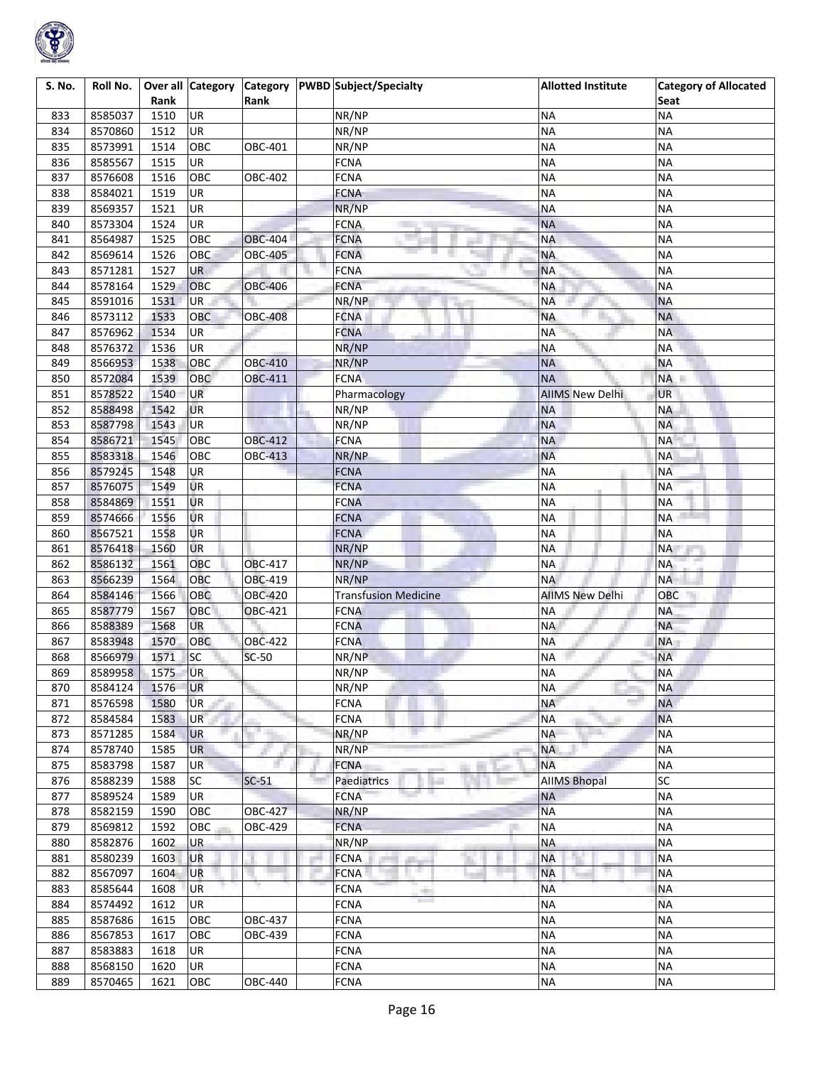

| S. No. | Roll No. |      | Over all Category |                | Category   PWBD Subject/Specialty | <b>Allotted Institute</b> | <b>Category of Allocated</b> |
|--------|----------|------|-------------------|----------------|-----------------------------------|---------------------------|------------------------------|
|        |          | Rank |                   | Rank           |                                   |                           | Seat                         |
| 833    | 8585037  | 1510 | <b>UR</b>         |                | NR/NP                             | <b>NA</b>                 | <b>NA</b>                    |
| 834    | 8570860  | 1512 | UR                |                | NR/NP                             | <b>NA</b>                 | <b>NA</b>                    |
| 835    | 8573991  | 1514 | OBC               | OBC-401        | NR/NP                             | <b>NA</b>                 | <b>NA</b>                    |
| 836    | 8585567  | 1515 | UR                |                | <b>FCNA</b>                       | <b>NA</b>                 | <b>NA</b>                    |
| 837    | 8576608  | 1516 | OBC               | OBC-402        | <b>FCNA</b>                       | <b>NA</b>                 | <b>NA</b>                    |
| 838    | 8584021  | 1519 | UR                |                | <b>FCNA</b>                       | <b>NA</b>                 | <b>NA</b>                    |
| 839    | 8569357  | 1521 | <b>UR</b>         |                | NR/NP                             | <b>NA</b>                 | <b>NA</b>                    |
| 840    | 8573304  | 1524 | <b>UR</b>         |                | <b>FCNA</b>                       | <b>NA</b>                 | <b>NA</b>                    |
| 841    | 8564987  | 1525 | OBC               | <b>OBC-404</b> | <b>FCNA</b>                       | <b>NA</b>                 | <b>NA</b>                    |
| 842    | 8569614  | 1526 | OBC               | <b>OBC-405</b> | <b>FCNA</b><br>m                  | <b>NA</b>                 | <b>NA</b>                    |
| 843    | 8571281  | 1527 | <b>UR</b>         |                | <b>FCNA</b>                       | <b>NA</b>                 | <b>NA</b>                    |
| 844    | 8578164  | 1529 | OBC               | <b>OBC-406</b> | <b>FCNA</b>                       | <b>NA</b>                 | <b>NA</b>                    |
| 845    | 8591016  | 1531 | <b>UR</b>         |                | NR/NP                             | <b>NA</b>                 | <b>NA</b>                    |
| 846    | 8573112  | 1533 | OBC               | <b>OBC-408</b> | <b>FCNA</b>                       | <b>NA</b>                 | <b>NA</b>                    |
| 847    | 8576962  | 1534 | <b>UR</b>         |                | <b>FCNA</b>                       | <b>NA</b>                 | <b>NA</b>                    |
| 848    | 8576372  | 1536 | <b>UR</b>         |                | NR/NP                             | <b>NA</b>                 | <b>NA</b>                    |
| 849    | 8566953  | 1538 | OBC               | <b>OBC-410</b> | NR/NP                             | <b>NA</b>                 | <b>NA</b>                    |
| 850    | 8572084  | 1539 | OBC               | <b>OBC-411</b> | <b>FCNA</b>                       | <b>NA</b>                 | <b>NA</b>                    |
| 851    | 8578522  | 1540 | UR                |                | Pharmacology                      | <b>AIIMS New Delhi</b>    | <b>UR</b>                    |
| 852    | 8588498  | 1542 | <b>UR</b>         |                | NR/NP                             | <b>NA</b>                 | <b>NA</b>                    |
| 853    | 8587798  | 1543 | UR                |                | NR/NP                             | <b>NA</b>                 | <b>NA</b>                    |
| 854    | 8586721  | 1545 | OBC               | <b>OBC-412</b> | <b>FCNA</b>                       | <b>NA</b>                 | <b>NA</b>                    |
| 855    | 8583318  | 1546 | OBC               | OBC-413        | NR/NP                             | <b>NA</b>                 | <b>NA</b>                    |
| 856    | 8579245  | 1548 | <b>UR</b>         |                | <b>FCNA</b>                       | <b>NA</b>                 | <b>NA</b>                    |
| 857    | 8576075  | 1549 | UR                |                | <b>FCNA</b>                       | <b>NA</b>                 | <b>NA</b>                    |
| 858    | 8584869  | 1551 | UR                |                | <b>FCNA</b>                       | <b>NA</b>                 | <b>NA</b>                    |
| 859    | 8574666  | 1556 | UR                |                | <b>FCNA</b>                       | <b>NA</b>                 | <b>NA</b>                    |
| 860    | 8567521  | 1558 | <b>UR</b>         |                | <b>FCNA</b>                       | <b>NA</b>                 | <b>NA</b>                    |
| 861    | 8576418  | 1560 | <b>UR</b>         |                | NR/NP                             | <b>NA</b>                 | <b>NA</b>                    |
| 862    | 8586132  | 1561 | OBC               | <b>OBC-417</b> | NR/NP                             | <b>NA</b>                 | <b>NA</b>                    |
| 863    | 8566239  | 1564 | OBC               | OBC-419        | NR/NP                             | <b>NA</b>                 | <b>NA</b>                    |
| 864    | 8584146  | 1566 | OBC               | OBC-420        | <b>Transfusion Medicine</b>       | <b>AIIMS New Delhi</b>    | OBC                          |
| 865    | 8587779  | 1567 | OBC               | <b>OBC-421</b> | <b>FCNA</b>                       | <b>NA</b>                 | <b>NA</b>                    |
| 866    | 8588389  | 1568 | <b>UR</b>         |                | <b>FCNA</b>                       | <b>NA</b>                 | <b>NA</b>                    |
| 867    | 8583948  | 1570 | OBC               | <b>OBC-422</b> | <b>FCNA</b>                       | <b>NA</b>                 | <b>NA</b>                    |
| 868    | 8566979  | 1571 | SC                | $SC-50$        | NR/NP                             | <b>NA</b>                 | <b>NA</b>                    |
| 869    | 8589958  | 1575 | <b>UR</b>         |                | NR/NP                             | <b>NA</b>                 | <b>NA</b>                    |
| 870    | 8584124  | 1576 | UR                |                | NR/NP                             | <b>NA</b>                 | <b>NA</b>                    |
| 871    | 8576598  | 1580 | <b>UR</b>         |                | <b>FCNA</b>                       | <b>NA</b>                 | <b>NA</b>                    |
| 872    | 8584584  | 1583 | <b>UR</b>         |                | <b>FCNA</b>                       | <b>NA</b>                 | <b>NA</b>                    |
| 873    | 8571285  | 1584 | <b>UR</b>         |                | NR/NP                             | <b>NA</b>                 | <b>NA</b>                    |
| 874    | 8578740  | 1585 | <b>UR</b>         |                | NR/NP                             | <b>NA</b>                 | ΝA                           |
| 875    | 8583798  | 1587 | UR                |                | <b>FCNA</b>                       | <b>NA</b>                 | <b>NA</b>                    |
| 876    | 8588239  | 1588 | <b>SC</b>         | $SC-51$        | Paediatrics                       | <b>AIIMS Bhopal</b>       | SC                           |
| 877    | 8589524  | 1589 | UR                |                | ш<br><b>FCNA</b>                  | <b>NA</b>                 | <b>NA</b>                    |
| 878    | 8582159  | 1590 | OBC               | <b>OBC-427</b> | NR/NP                             | <b>NA</b>                 | <b>NA</b>                    |
| 879    | 8569812  | 1592 | OBC               | OBC-429        | <b>FCNA</b>                       | <b>NA</b>                 | <b>NA</b>                    |
| 880    | 8582876  | 1602 | UR                |                | NR/NP                             | <b>NA</b>                 | <b>NA</b>                    |
| 881    | 8580239  | 1603 | UR                |                | <b>FCNA</b>                       | <b>NA</b>                 | <b>NA</b>                    |
| 882    | 8567097  | 1604 | <b>UR</b>         |                | ш.<br><b>FCNA</b>                 | <b>NA</b>                 | <b>NA</b>                    |
| 883    | 8585644  | 1608 | <b>UR</b>         |                | <b>FCNA</b><br>ak i               | <b>NA</b>                 | <b>NA</b>                    |
| 884    | 8574492  | 1612 | UR                |                | <b>FCNA</b>                       | <b>NA</b>                 | <b>NA</b>                    |
| 885    | 8587686  | 1615 | OBC               | OBC-437        | <b>FCNA</b>                       | <b>NA</b>                 | <b>NA</b>                    |
| 886    | 8567853  | 1617 | OBC               | OBC-439        | FCNA                              | <b>NA</b>                 | <b>NA</b>                    |
| 887    | 8583883  | 1618 | UR                |                | FCNA                              | <b>NA</b>                 | <b>NA</b>                    |
| 888    | 8568150  | 1620 | <b>UR</b>         |                | <b>FCNA</b>                       | <b>NA</b>                 | <b>NA</b>                    |
| 889    | 8570465  | 1621 | OBC               | OBC-440        | <b>FCNA</b>                       | <b>NA</b>                 | <b>NA</b>                    |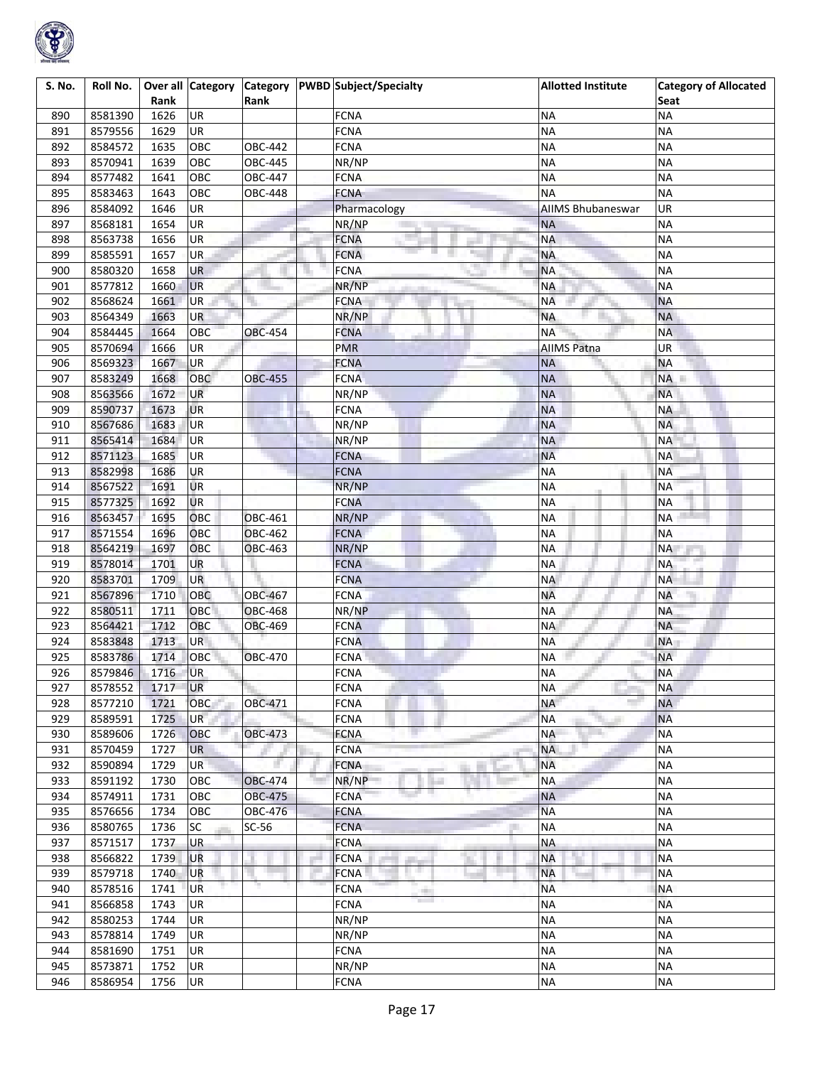

| S. No. | Roll No. |      | Over all Category | Category       |    | <b>PWBD</b> Subject/Specialty | <b>Allotted Institute</b> | <b>Category of Allocated</b> |
|--------|----------|------|-------------------|----------------|----|-------------------------------|---------------------------|------------------------------|
|        |          | Rank |                   | Rank           |    |                               |                           | Seat                         |
| 890    | 8581390  | 1626 | <b>UR</b>         |                |    | <b>FCNA</b>                   | <b>NA</b>                 | <b>NA</b>                    |
| 891    | 8579556  | 1629 | UR                |                |    | <b>FCNA</b>                   | <b>NA</b>                 | <b>NA</b>                    |
| 892    | 8584572  | 1635 | OBC               | OBC-442        |    | <b>FCNA</b>                   | <b>NA</b>                 | <b>NA</b>                    |
| 893    | 8570941  | 1639 | OBC               | <b>OBC-445</b> |    | NR/NP                         | <b>NA</b>                 | <b>NA</b>                    |
| 894    | 8577482  | 1641 | OBC               | OBC-447        |    | <b>FCNA</b>                   | <b>NA</b>                 | <b>NA</b>                    |
| 895    | 8583463  | 1643 | OBC               | <b>OBC-448</b> |    | <b>FCNA</b>                   | <b>NA</b>                 | <b>NA</b>                    |
| 896    | 8584092  | 1646 | UR                |                |    | Pharmacology                  | <b>AIIMS Bhubaneswar</b>  | <b>UR</b>                    |
| 897    | 8568181  | 1654 | UR                |                |    | NR/NP                         | <b>NA</b>                 | <b>NA</b>                    |
| 898    | 8563738  | 1656 | UR                |                |    | <b>FCNA</b>                   | <b>NA</b>                 | <b>NA</b>                    |
| 899    | 8585591  | 1657 | <b>UR</b>         |                |    | <b>FCNA</b>                   | <b>NA</b>                 | <b>NA</b>                    |
| 900    | 8580320  | 1658 | UR                |                |    | <b>FCNA</b>                   | <b>NA</b>                 | <b>NA</b>                    |
| 901    | 8577812  | 1660 | <b>UR</b>         |                |    | NR/NP                         | <b>NA</b>                 | <b>NA</b>                    |
| 902    | 8568624  | 1661 | <b>UR</b>         |                |    | <b>FCNA</b>                   | <b>NA</b>                 | <b>NA</b>                    |
| 903    | 8564349  | 1663 | <b>UR</b>         |                |    | NR/NP                         | <b>NA</b>                 | <b>NA</b>                    |
| 904    | 8584445  | 1664 | OBC               | <b>OBC-454</b> |    | <b>FCNA</b>                   | <b>NA</b>                 | <b>NA</b>                    |
| 905    | 8570694  | 1666 | UR                |                |    | <b>PMR</b>                    | <b>AIIMS Patna</b>        | UR                           |
| 906    | 8569323  | 1667 | UR                |                |    | <b>FCNA</b>                   | <b>NA</b>                 | <b>NA</b>                    |
| 907    | 8583249  | 1668 | OBC               | <b>OBC-455</b> |    | <b>FCNA</b>                   | <b>NA</b>                 | NA <b>II</b>                 |
| 908    | 8563566  | 1672 | UR                |                |    | NR/NP                         | <b>NA</b>                 | <b>NA</b>                    |
| 909    | 8590737  | 1673 | UR                |                |    | <b>FCNA</b>                   | <b>NA</b>                 | <b>NA</b>                    |
| 910    | 8567686  | 1683 | UR                |                |    | NR/NP                         | <b>NA</b>                 | <b>NA</b>                    |
| 911    | 8565414  | 1684 | <b>UR</b>         |                |    | NR/NP                         | <b>NA</b>                 | <b>NA</b>                    |
| 912    | 8571123  | 1685 | UR                |                |    | <b>FCNA</b>                   | <b>NA</b>                 | <b>NA</b>                    |
| 913    | 8582998  | 1686 | UR                |                |    | <b>FCNA</b>                   | <b>NA</b>                 | <b>NA</b>                    |
| 914    | 8567522  | 1691 | <b>UR</b>         |                |    | NR/NP                         | <b>NA</b>                 | <b>NA</b>                    |
| 915    | 8577325  | 1692 | <b>UR</b>         |                |    | <b>FCNA</b>                   | <b>NA</b>                 | <b>NA</b>                    |
| 916    | 8563457  | 1695 | OBC               | <b>OBC-461</b> |    | NR/NP                         | <b>NA</b>                 | <b>NA</b>                    |
| 917    | 8571554  | 1696 | OBC               | <b>OBC-462</b> |    | <b>FCNA</b>                   | <b>NA</b>                 | <b>NA</b>                    |
| 918    | 8564219  | 1697 | OBC               | <b>OBC-463</b> |    | NR/NP                         | <b>NA</b>                 | <b>NA</b>                    |
| 919    | 8578014  | 1701 | UR                |                |    | <b>FCNA</b>                   | <b>NA</b>                 | <b>NA</b>                    |
| 920    | 8583701  | 1709 | UR                |                |    | <b>FCNA</b>                   | <b>NA</b>                 | <b>NA</b>                    |
| 921    | 8567896  | 1710 | OBC               | OBC-467        |    | <b>FCNA</b>                   | <b>NA</b>                 | <b>NA</b>                    |
| 922    | 8580511  | 1711 | ОВС               | <b>OBC-468</b> |    | NR/NP                         | <b>NA</b>                 | <b>NA</b>                    |
| 923    | 8564421  | 1712 | OBC               | OBC-469        |    | <b>FCNA</b>                   | <b>NA</b>                 | <b>NA</b>                    |
| 924    | 8583848  | 1713 | UR                |                |    | <b>FCNA</b>                   | <b>NA</b>                 | <b>NA</b>                    |
| 925    | 8583786  | 1714 | OBC               | <b>OBC-470</b> |    | <b>FCNA</b>                   | <b>NA</b>                 | <b>NA</b>                    |
| 926    | 8579846  | 1716 | <b>UR</b>         |                |    | <b>FCNA</b>                   | <b>NA</b>                 | <b>NA</b>                    |
| 927    | 8578552  | 1717 | <b>UR</b>         |                |    | <b>FCNA</b>                   | <b>NA</b>                 | <b>NA</b>                    |
| 928    | 8577210  | 1721 | OBC               | OBC-471        |    | <b>FCNA</b>                   | <b>NA</b>                 | <b>NA</b>                    |
| 929    | 8589591  | 1725 | <b>UR</b>         |                |    | <b>FCNA</b>                   | <b>NA</b>                 | <b>NA</b>                    |
| 930    | 8589606  | 1726 | OBC               | <b>OBC-473</b> |    | <b>FCNA</b>                   | <b>NA</b>                 | <b>NA</b>                    |
| 931    | 8570459  | 1727 | UR                |                |    | <b>FCNA</b>                   | <b>NA</b>                 | <b>NA</b>                    |
| 932    | 8590894  | 1729 | UR                |                |    | <b>FCNA</b>                   | <b>NA</b>                 | NА                           |
| 933    | 8591192  | 1730 | OBC               | OBC-474        |    | NR/NP                         | <b>NA</b>                 | <b>NA</b>                    |
| 934    | 8574911  | 1731 | OBC               | <b>OBC-475</b> |    | <b>FCNA</b>                   | <b>NA</b>                 | <b>NA</b>                    |
| 935    | 8576656  | 1734 | OBC               | OBC-476        |    | <b>FCNA</b>                   | <b>NA</b>                 | <b>NA</b>                    |
| 936    | 8580765  | 1736 | SC                | $SC-56$        |    | <b>FCNA</b>                   | <b>NA</b>                 | <b>NA</b>                    |
| 937    | 8571517  | 1737 | UR                |                |    | <b>FCNA</b>                   | <b>NA</b>                 | <b>NA</b>                    |
| 938    | 8566822  | 1739 | <b>UR</b>         |                | e. | <b>FCNA</b><br>an a           | <b>NA</b>                 | <b>NA</b>                    |
| 939    | 8579718  | 1740 | UR                |                |    | an i<br><b>FCNA</b>           | <b>NA</b>                 | <b>NA</b>                    |
| 940    | 8578516  | 1741 | UR                | ۳              |    | <b>FCNA</b>                   | <b>NA</b>                 | <b>NA</b>                    |
| 941    | 8566858  | 1743 | UR                |                |    | <b>FCNA</b>                   | <b>NA</b>                 | <b>NA</b>                    |
| 942    | 8580253  | 1744 | UR                |                |    | NR/NP                         | <b>NA</b>                 | <b>NA</b>                    |
| 943    | 8578814  | 1749 | UR                |                |    | NR/NP                         | <b>NA</b>                 | <b>NA</b>                    |
| 944    | 8581690  | 1751 | UR                |                |    | <b>FCNA</b>                   | <b>NA</b>                 | <b>NA</b>                    |
| 945    | 8573871  | 1752 | UR                |                |    | NR/NP                         | <b>NA</b>                 | <b>NA</b>                    |
| 946    | 8586954  | 1756 | UR                |                |    | <b>FCNA</b>                   | <b>NA</b>                 | <b>NA</b>                    |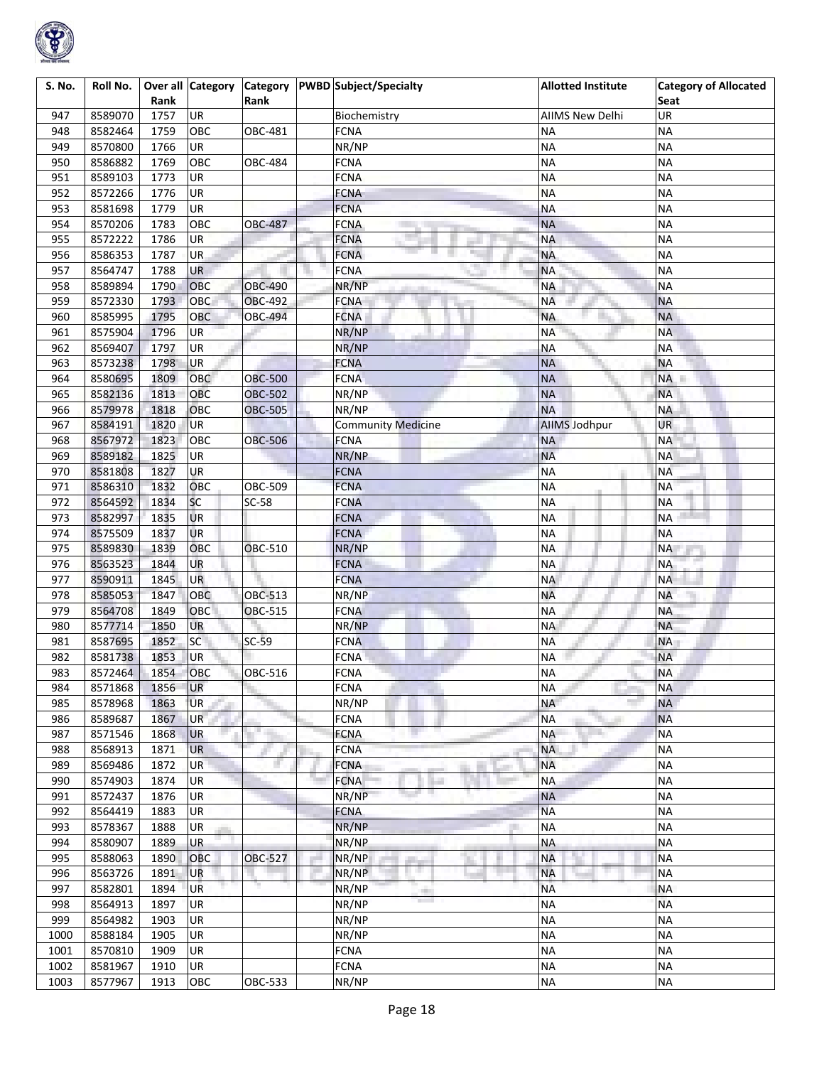

| S. No.     | Roll No.           | Rank         | Over all Category | <b>Category</b><br>Rank |               | <b>PWBD</b> Subject/Specialty | <b>Allotted Institute</b> | <b>Category of Allocated</b><br>Seat |
|------------|--------------------|--------------|-------------------|-------------------------|---------------|-------------------------------|---------------------------|--------------------------------------|
| 947        | 8589070            | 1757         | <b>UR</b>         |                         |               | Biochemistry                  | AIIMS New Delhi           | UR                                   |
| 948        | 8582464            | 1759         | OBC               | OBC-481                 |               | <b>FCNA</b>                   | <b>NA</b>                 | <b>NA</b>                            |
| 949        | 8570800            | 1766         | UR                |                         |               | NR/NP                         | <b>NA</b>                 | <b>NA</b>                            |
| 950        | 8586882            | 1769         | OBC               | <b>OBC-484</b>          |               | <b>FCNA</b>                   | <b>NA</b>                 | <b>NA</b>                            |
| 951        | 8589103            | 1773         | <b>UR</b>         |                         |               | <b>FCNA</b>                   | <b>NA</b>                 | <b>NA</b>                            |
| 952        | 8572266            | 1776         | UR                |                         |               | <b>FCNA</b>                   | <b>NA</b>                 | <b>NA</b>                            |
| 953        | 8581698            | 1779         | UR                |                         |               | <b>FCNA</b>                   | <b>NA</b>                 | <b>NA</b>                            |
| 954        | 8570206            | 1783         | OBC               | <b>OBC-487</b>          |               | <b>FCNA</b>                   | <b>NA</b>                 | <b>NA</b>                            |
| 955        | 8572222            | 1786         | UR                |                         |               | <b>FCNA</b>                   | <b>NA</b>                 | <b>NA</b>                            |
| 956        | 8586353            | 1787         | <b>UR</b>         |                         |               | <b>FCNA</b>                   | <b>NA</b>                 | <b>NA</b>                            |
| 957        | 8564747            | 1788         | <b>UR</b>         |                         |               | <b>FCNA</b>                   | <b>NA</b>                 | <b>NA</b>                            |
| 958        | 8589894            | 1790         | OBC               | <b>OBC-490</b>          |               | NR/NP                         | <b>NA</b>                 | <b>NA</b>                            |
| 959        | 8572330            | 1793         | OBC               | <b>OBC-492</b>          |               | <b>FCNA</b>                   | <b>NA</b>                 | <b>NA</b>                            |
| 960        | 8585995            | 1795         | OBC               | <b>OBC-494</b>          |               | <b>FCNA</b>                   | <b>NA</b>                 | <b>NA</b>                            |
|            |                    |              | <b>UR</b>         |                         |               | NR/NP                         | <b>NA</b>                 | <b>NA</b>                            |
| 961<br>962 | 8575904<br>8569407 | 1796<br>1797 | <b>UR</b>         |                         |               | NR/NP                         | <b>NA</b>                 | <b>NA</b>                            |
| 963        | 8573238            | 1798         | <b>UR</b>         |                         |               | <b>FCNA</b>                   | <b>NA</b>                 | <b>NA</b>                            |
| 964        | 8580695            | 1809         | OBC               | <b>OBC-500</b>          |               | <b>FCNA</b>                   | <b>NA</b>                 | NA <b>NA</b>                         |
| 965        |                    |              | OBC               |                         |               |                               | <b>NA</b>                 | <b>NA</b>                            |
|            | 8582136            | 1813         |                   | <b>OBC-502</b>          |               | NR/NP                         |                           |                                      |
| 966        | 8579978            | 1818         | OBC               | <b>OBC-505</b>          |               | NR/NP                         | <b>NA</b>                 | <b>NA</b>                            |
| 967        | 8584191            | 1820         | <b>UR</b>         |                         |               | <b>Community Medicine</b>     | AllMS Jodhpur             | UR                                   |
| 968        | 8567972            | 1823         | OBC               | <b>OBC-506</b>          |               | <b>FCNA</b>                   | <b>NA</b>                 | <b>NA</b>                            |
| 969        | 8589182            | 1825         | <b>UR</b>         |                         |               | NR/NP                         | <b>NA</b>                 | <b>NA</b>                            |
| 970        | 8581808            | 1827         | <b>UR</b>         |                         |               | <b>FCNA</b>                   | <b>NA</b>                 | <b>NA</b>                            |
| 971        | 8586310            | 1832         | ОВС               | OBC-509                 |               | <b>FCNA</b>                   | <b>NA</b>                 | <b>NA</b>                            |
| 972        | 8564592            | 1834         | <b>SC</b>         | $SC-58$                 |               | <b>FCNA</b>                   | <b>NA</b>                 | <b>NA</b>                            |
| 973        | 8582997            | 1835         | UR                |                         |               | <b>FCNA</b>                   | <b>NA</b>                 | <b>NA</b>                            |
| 974        | 8575509            | 1837         | UR                |                         |               | <b>FCNA</b>                   | <b>NA</b>                 | <b>NA</b>                            |
| 975        | 8589830            | 1839         | OBC               | <b>OBC-510</b>          |               | NR/NP                         | <b>NA</b>                 | <b>NA</b>                            |
| 976        | 8563523            | 1844         | <b>UR</b>         |                         |               | <b>FCNA</b>                   | <b>NA</b>                 | <b>NA</b>                            |
| 977        | 8590911            | 1845         | <b>UR</b>         |                         |               | <b>FCNA</b>                   | <b>NA</b>                 | NA                                   |
| 978        | 8585053            | 1847         | OBC               | OBC-513                 |               | NR/NP                         | <b>NA</b>                 | <b>NA</b>                            |
| 979        | 8564708            | 1849         | OBC               | <b>OBC-515</b>          |               | <b>FCNA</b>                   | <b>NA</b>                 | <b>NA</b>                            |
| 980        | 8577714            | 1850         | <b>UR</b>         |                         |               | NR/NP                         | <b>NA</b>                 | <b>NA</b>                            |
| 981        | 8587695            | 1852         | <b>SC</b>         | SC-59                   |               | <b>FCNA</b>                   | <b>NA</b>                 | <b>NA</b>                            |
| 982        | 8581738            | 1853         | <b>UR</b>         |                         |               | <b>FCNA</b>                   | <b>NA</b>                 | <b>NA</b>                            |
| 983        | 8572464            | 1854         | OBC               | OBC-516                 |               | <b>FCNA</b>                   | <b>NA</b>                 | <b>NA</b>                            |
| 984        | 8571868            | 1856         | UR                |                         |               | <b>FCNA</b>                   | <b>NA</b>                 | <b>NA</b>                            |
| 985        | 8578968            | 1863         | <b>UR</b>         |                         |               | NR/NP                         | <b>NA</b>                 | <b>NA</b>                            |
| 986        | 8589687            | 1867         | <b>UR</b>         |                         |               | <b>FCNA</b>                   | <b>NA</b>                 | <b>NA</b>                            |
| 987        | 8571546            | 1868         | <b>UR</b>         |                         |               | <b>FCNA</b>                   | <b>NA</b>                 | <b>NA</b>                            |
| 988        | 8568913            | 1871         | <b>UR</b>         |                         |               | <b>FCNA</b>                   | <b>NA</b>                 | <b>NA</b>                            |
| 989        | 8569486            | 1872         | UR                |                         |               | <b>FCNA</b>                   | <b>NA</b>                 | <b>NA</b>                            |
| 990        | 8574903            | 1874         | UR                |                         |               | <b>FCNA</b>                   | <b>NA</b>                 | <b>NA</b>                            |
| 991        | 8572437            | 1876         | UR                |                         |               | NR/NP                         | <b>NA</b>                 | <b>NA</b>                            |
| 992        | 8564419            | 1883         | <b>UR</b>         |                         |               | <b>FCNA</b>                   | <b>NA</b>                 | <b>NA</b>                            |
| 993        | 8578367            | 1888         | UR                |                         |               | NR/NP                         | <b>NA</b>                 | <b>NA</b>                            |
| 994        | 8580907            | 1889         | UR                |                         |               | NR/NP                         | <b>NA</b>                 | <b>NA</b>                            |
| 995        | 8588063            | 1890         | OBC               | <b>OBC-527</b>          | $\Rightarrow$ | NR/NP<br>a.                   | <b>NA</b>                 | <b>NA</b>                            |
| 996        | 8563726            | 1891         | UR                |                         |               | a.<br>NR/NP                   | <b>NA</b>                 | <b>NA</b>                            |
| 997        | 8582801            | 1894         | UR                |                         |               | NR/NP                         | <b>NA</b>                 | <b>NA</b>                            |
| 998        | 8564913            | 1897         | <b>UR</b>         |                         |               | NR/NP                         | <b>NA</b>                 | <b>NA</b>                            |
| 999        | 8564982            | 1903         | <b>UR</b>         |                         |               | NR/NP                         | <b>NA</b>                 | <b>NA</b>                            |
| 1000       | 8588184            | 1905         | <b>UR</b>         |                         |               | NR/NP                         | <b>NA</b>                 | <b>NA</b>                            |
| 1001       | 8570810            | 1909         | UR                |                         |               | <b>FCNA</b>                   | <b>NA</b>                 | <b>NA</b>                            |
| 1002       | 8581967            | 1910         | UR                |                         |               | <b>FCNA</b>                   | <b>NA</b>                 | <b>NA</b>                            |
| 1003       | 8577967            | 1913         | OBC               | OBC-533                 |               | NR/NP                         | <b>NA</b>                 | <b>NA</b>                            |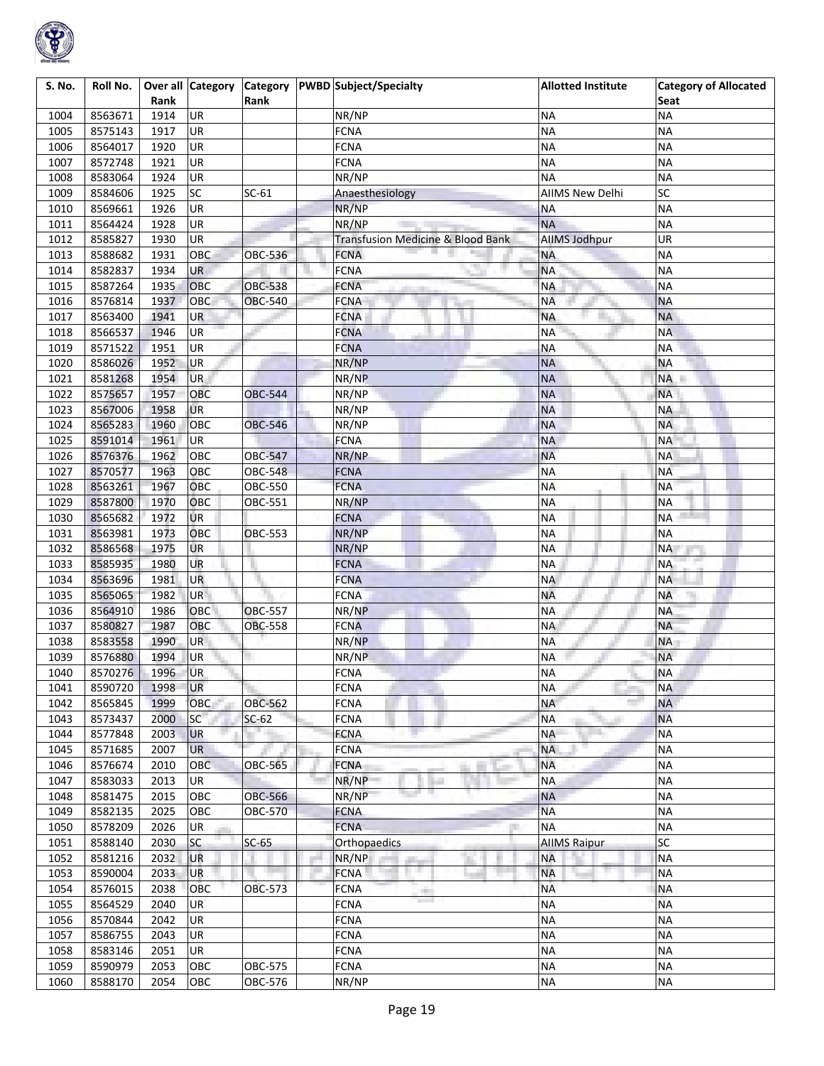

| S. No. | Roll No. |      | Over all Category |                |    | Category PWBD Subject/Specialty              | <b>Allotted Institute</b> | <b>Category of Allocated</b> |
|--------|----------|------|-------------------|----------------|----|----------------------------------------------|---------------------------|------------------------------|
|        |          | Rank |                   | Rank           |    |                                              |                           | Seat                         |
| 1004   | 8563671  | 1914 | <b>UR</b>         |                |    | NR/NP                                        | <b>NA</b>                 | <b>NA</b>                    |
| 1005   | 8575143  | 1917 | UR                |                |    | <b>FCNA</b>                                  | <b>NA</b>                 | <b>NA</b>                    |
| 1006   | 8564017  | 1920 | UR                |                |    | <b>FCNA</b>                                  | <b>NA</b>                 | <b>NA</b>                    |
| 1007   | 8572748  | 1921 | UR                |                |    | <b>FCNA</b>                                  | <b>NA</b>                 | <b>NA</b>                    |
| 1008   | 8583064  | 1924 | UR                |                |    | NR/NP                                        | <b>NA</b>                 | <b>NA</b>                    |
| 1009   | 8584606  | 1925 | SC                | $SC-61$        |    | Anaesthesiology                              | <b>AIIMS New Delhi</b>    | SC                           |
| 1010   | 8569661  | 1926 | UR                |                |    | NR/NP                                        | <b>NA</b>                 | <b>NA</b>                    |
| 1011   | 8564424  | 1928 | UR                |                |    | NR/NP                                        | <b>NA</b>                 | <b>NA</b>                    |
| 1012   | 8585827  | 1930 | UR                |                |    | <b>Transfusion Medicine &amp; Blood Bank</b> | <b>AIIMS Jodhpur</b>      | UR                           |
| 1013   | 8588682  | 1931 | OBC               | <b>OBC-536</b> |    | <b>FCNA</b>                                  | <b>NA</b>                 | <b>NA</b>                    |
| 1014   | 8582837  | 1934 | <b>UR</b>         |                |    | <b>FCNA</b>                                  | <b>NA</b>                 | <b>NA</b>                    |
| 1015   | 8587264  | 1935 | OBC               | <b>OBC-538</b> |    | <b>FCNA</b>                                  | <b>NA</b>                 | <b>NA</b>                    |
| 1016   | 8576814  | 1937 | OBC               | <b>OBC-540</b> |    | <b>FCNA</b>                                  | <b>NA</b>                 | <b>NA</b>                    |
| 1017   | 8563400  | 1941 | UR.               |                |    | <b>FCNA</b>                                  | <b>NA</b>                 | <b>NA</b>                    |
| 1018   | 8566537  | 1946 | UR                |                |    | <b>FCNA</b>                                  | <b>NA</b>                 | <b>NA</b>                    |
| 1019   | 8571522  | 1951 | UR                |                |    | <b>FCNA</b>                                  | <b>NA</b>                 | <b>NA</b>                    |
| 1020   | 8586026  | 1952 | UR                |                |    | NR/NP                                        | <b>NA</b>                 | <b>NA</b>                    |
|        |          |      |                   |                |    |                                              |                           |                              |
| 1021   | 8581268  | 1954 | <b>UR</b>         |                |    | NR/NP                                        | <b>NA</b>                 | NA <b>II</b>                 |
| 1022   | 8575657  | 1957 | OBC               | <b>OBC-544</b> |    | NR/NP                                        | <b>NA</b>                 | <b>NA</b>                    |
| 1023   | 8567006  | 1958 | UR                |                |    | NR/NP                                        | <b>NA</b>                 | <b>NA</b>                    |
| 1024   | 8565283  | 1960 | OBC               | <b>OBC-546</b> |    | NR/NP                                        | <b>NA</b>                 | <b>NA</b>                    |
| 1025   | 8591014  | 1961 | UR                |                |    | <b>FCNA</b>                                  | <b>NA</b>                 | <b>NA</b>                    |
| 1026   | 8576376  | 1962 | OBC               | <b>OBC-547</b> |    | NR/NP                                        | <b>NA</b>                 | <b>NA</b>                    |
| 1027   | 8570577  | 1963 | OBC               | <b>OBC-548</b> |    | <b>FCNA</b>                                  | <b>NA</b>                 | <b>NA</b>                    |
| 1028   | 8563261  | 1967 | ОВС               | OBC-550        |    | <b>FCNA</b>                                  | <b>NA</b>                 | <b>NA</b>                    |
| 1029   | 8587800  | 1970 | ОВС               | OBC-551        |    | NR/NP                                        | <b>NA</b>                 | <b>NA</b>                    |
| 1030   | 8565682  | 1972 | UR                |                |    | <b>FCNA</b>                                  | <b>NA</b>                 | <b>NA</b>                    |
| 1031   | 8563981  | 1973 | OBC               | <b>OBC-553</b> |    | NR/NP                                        | <b>NA</b>                 | <b>NA</b>                    |
| 1032   | 8586568  | 1975 | UR                |                |    | NR/NP                                        | <b>NA</b>                 | <b>NA</b>                    |
| 1033   | 8585935  | 1980 | UR                |                |    | <b>FCNA</b>                                  | <b>NA</b>                 | <b>NA</b>                    |
| 1034   | 8563696  | 1981 | <b>UR</b>         |                |    | <b>FCNA</b>                                  | <b>NA</b>                 | <b>NA</b>                    |
| 1035   | 8565065  | 1982 | UR                |                |    | <b>FCNA</b>                                  | <b>NA</b>                 | <b>NA</b>                    |
| 1036   | 8564910  | 1986 | ОВС               | <b>OBC-557</b> |    | NR/NP                                        | <b>NA</b>                 | <b>NA</b>                    |
| 1037   | 8580827  | 1987 | OBC               | <b>OBC-558</b> |    | <b>FCNA</b>                                  | <b>NA</b>                 | <b>NA</b>                    |
| 1038   | 8583558  | 1990 | UR                |                |    | NR/NP                                        | <b>NA</b>                 | <b>NA</b>                    |
| 1039   | 8576880  | 1994 | <b>UR</b>         |                |    | NR/NP                                        | <b>NA</b>                 | <b>NA</b>                    |
| 1040   | 8570276  | 1996 | <b>UR</b>         |                |    | <b>FCNA</b>                                  | <b>NA</b>                 | <b>NA</b>                    |
| 1041   | 8590720  | 1998 | UR                |                |    | <b>FCNA</b>                                  | <b>NA</b>                 | <b>NA</b>                    |
| 1042   | 8565845  | 1999 | OBC               | <b>OBC-562</b> |    | <b>FCNA</b>                                  | <b>NA</b>                 | <b>NA</b>                    |
| 1043   | 8573437  | 2000 | <b>SC</b>         | $SC-62$        |    | <b>FCNA</b>                                  | <b>NA</b>                 | <b>NA</b>                    |
| 1044   | 8577848  | 2003 | <b>UR</b>         |                |    | <b>FCNA</b>                                  | <b>NA</b>                 | <b>NA</b>                    |
| 1045   |          | 2007 | <b>UR</b>         |                |    | <b>FCNA</b>                                  | <b>NA</b>                 |                              |
|        | 8571685  |      |                   |                |    |                                              | <b>NA</b>                 | <b>NA</b>                    |
| 1046   | 8576674  | 2010 | OBC               | <b>OBC-565</b> |    | <b>FCNA</b>                                  |                           | NА                           |
| 1047   | 8583033  | 2013 | UR                |                |    | NR/NP                                        | <b>NA</b>                 | <b>NA</b>                    |
| 1048   | 8581475  | 2015 | OBC               | <b>OBC-566</b> |    | NR/NP                                        | <b>NA</b>                 | <b>NA</b>                    |
| 1049   | 8582135  | 2025 | OBC               | <b>OBC-570</b> |    | <b>FCNA</b>                                  | <b>NA</b>                 | <b>NA</b>                    |
| 1050   | 8578209  | 2026 | UR                |                |    | <b>FCNA</b>                                  | <b>NA</b>                 | <b>NA</b>                    |
| 1051   | 8588140  | 2030 | SC                | $SC-65$        |    | Orthopaedics                                 | <b>AIIMS Raipur</b>       | $\overline{SC}$              |
| 1052   | 8581216  | 2032 | UR                |                | e. | NR/NP<br>an i                                | <b>NA</b>                 | <b>NA</b>                    |
| 1053   | 8590004  | 2033 | UR                |                |    | œ.<br><b>FCNA</b>                            | <b>NA</b>                 | <b>NA</b>                    |
| 1054   | 8576015  | 2038 | OBC               | <b>OBC-573</b> |    | <b>FCNA</b><br>et i                          | <b>NA</b>                 | <b>NA</b>                    |
| 1055   | 8564529  | 2040 | <b>UR</b>         |                |    | <b>FCNA</b>                                  | <b>NA</b>                 | <b>NA</b>                    |
| 1056   | 8570844  | 2042 | UR                |                |    | <b>FCNA</b>                                  | <b>NA</b>                 | <b>NA</b>                    |
| 1057   | 8586755  | 2043 | UR                |                |    | <b>FCNA</b>                                  | <b>NA</b>                 | <b>NA</b>                    |
| 1058   | 8583146  | 2051 | UR                |                |    | <b>FCNA</b>                                  | <b>NA</b>                 | <b>NA</b>                    |
| 1059   | 8590979  | 2053 | OBC               | OBC-575        |    | <b>FCNA</b>                                  | <b>NA</b>                 | <b>NA</b>                    |
| 1060   | 8588170  | 2054 | OBC               | OBC-576        |    | NR/NP                                        | <b>NA</b>                 | <b>NA</b>                    |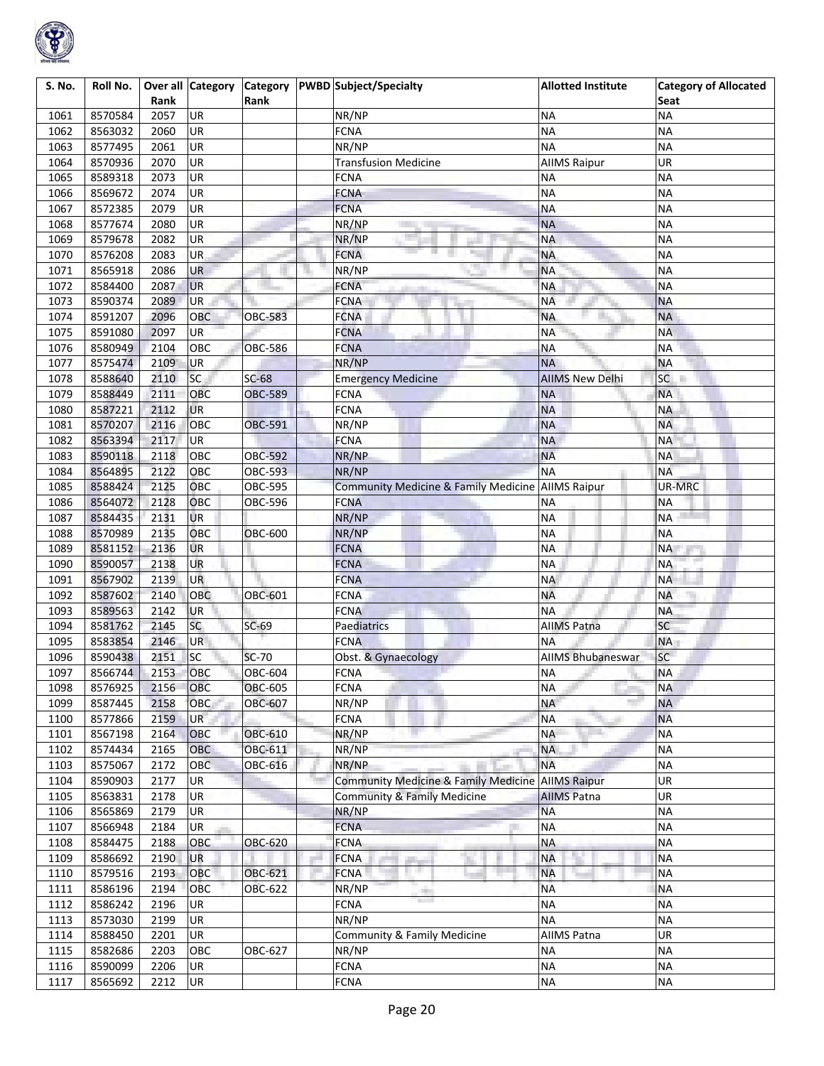

| S. No. | Roll No. | Rank         | Over all Category | Rank           | Category   PWBD Subject/Specialty                 | <b>Allotted Institute</b>             | <b>Category of Allocated</b><br>Seat |
|--------|----------|--------------|-------------------|----------------|---------------------------------------------------|---------------------------------------|--------------------------------------|
|        |          |              |                   |                |                                                   |                                       |                                      |
| 1061   | 8570584  | 2057         | <b>UR</b><br>UR   |                | NR/NP                                             | <b>NA</b><br><b>NA</b>                | <b>NA</b>                            |
| 1062   | 8563032  | 2060         |                   |                | <b>FCNA</b>                                       |                                       | <b>NA</b>                            |
| 1063   | 8577495  | 2061         | UR                |                | NR/NP                                             | <b>NA</b>                             | <b>NA</b>                            |
| 1064   | 8570936  | 2070         | <b>UR</b>         |                | <b>Transfusion Medicine</b>                       | <b>AIIMS Raipur</b>                   | UR                                   |
| 1065   | 8589318  | 2073         | <b>UR</b>         |                | <b>FCNA</b>                                       | <b>NA</b>                             | <b>NA</b>                            |
| 1066   | 8569672  | 2074         | <b>UR</b>         |                | <b>FCNA</b>                                       | <b>NA</b>                             | <b>NA</b>                            |
| 1067   | 8572385  | 2079         | UR                |                | <b>FCNA</b>                                       | <b>NA</b>                             | <b>NA</b>                            |
| 1068   | 8577674  | 2080         | UR                |                | NR/NP                                             | <b>NA</b>                             | <b>NA</b>                            |
| 1069   | 8579678  | 2082         | <b>UR</b>         |                | NR/NP                                             | <b>NA</b>                             | <b>NA</b>                            |
| 1070   | 8576208  | 2083         | <b>UR</b>         |                | <b>FCNA</b><br>m                                  | <b>NA</b>                             | <b>NA</b>                            |
| 1071   | 8565918  | 2086         | <b>UR</b>         |                | NR/NP                                             | <b>NA</b>                             | <b>NA</b>                            |
| 1072   | 8584400  | 2087         | <b>UR</b>         |                | <b>FCNA</b>                                       | <b>NA</b>                             | <b>NA</b>                            |
| 1073   | 8590374  | 2089         | <b>UR</b>         |                | <b>FCNA</b>                                       | <b>NA</b>                             | <b>NA</b>                            |
| 1074   | 8591207  | 2096         | OBC               | <b>OBC-583</b> | <b>FCNA</b>                                       | <b>NA</b>                             | <b>NA</b>                            |
| 1075   | 8591080  | 2097         | <b>UR</b>         |                | <b>FCNA</b>                                       | <b>NA</b>                             | <b>NA</b>                            |
| 1076   | 8580949  | 2104         | OBC               | <b>OBC-586</b> | <b>FCNA</b>                                       | <b>NA</b>                             | <b>NA</b>                            |
| 1077   | 8575474  | 2109         | UR                |                | NR/NP                                             | <b>NA</b>                             | <b>NA</b>                            |
| 1078   | 8588640  | 2110         | SC                | $SC-68$        | <b>Emergency Medicine</b>                         | <b>AIIMS New Delhi</b>                | <b>SC</b><br>×                       |
| 1079   | 8588449  | 2111         | OBC               | <b>OBC-589</b> | FCNA                                              | <b>NA</b>                             | <b>NA</b>                            |
| 1080   | 8587221  | 2112         | UR                |                | <b>FCNA</b>                                       | <b>NA</b>                             | <b>NA</b>                            |
| 1081   | 8570207  | 2116         | OBC               | <b>OBC-591</b> | NR/NP                                             | <b>NA</b>                             | <b>NA</b>                            |
| 1082   | 8563394  | 2117         | <b>UR</b>         |                | <b>FCNA</b>                                       | <b>NA</b>                             | <b>NA</b>                            |
| 1083   | 8590118  | 2118         | OBC               | OBC-592        | NR/NP                                             | <b>NA</b>                             | <b>NA</b>                            |
| 1084   | 8564895  | 2122         | OBC               | <b>OBC-593</b> | NR/NP                                             | <b>NA</b>                             | <b>NA</b>                            |
| 1085   | 8588424  | 2125         | ОВС               | <b>OBC-595</b> | Community Medicine & Family Medicine AIIMS Raipur |                                       | UR-MRC                               |
| 1086   | 8564072  | 2128         | OBC               | OBC-596        | <b>FCNA</b>                                       | <b>NA</b>                             | <b>NA</b>                            |
| 1087   | 8584435  | 2131         | <b>UR</b>         |                | NR/NP                                             | <b>NA</b>                             | <b>NA</b>                            |
| 1088   | 8570989  | 2135         | ОВС               | <b>OBC-600</b> | NR/NP                                             | <b>NA</b>                             | <b>NA</b>                            |
| 1089   | 8581152  | 2136         | <b>UR</b>         |                | <b>FCNA</b>                                       | <b>NA</b>                             | <b>NA</b>                            |
| 1090   | 8590057  | 2138         | UR                |                | <b>FCNA</b>                                       | <b>NA</b>                             | <b>NA</b>                            |
| 1091   | 8567902  | 2139         | UR                |                | <b>FCNA</b>                                       | <b>NA</b>                             | <b>NA</b>                            |
| 1092   | 8587602  | 2140         | OBC               | OBC-601        | <b>FCNA</b>                                       | <b>NA</b>                             | <b>NA</b>                            |
| 1093   | 8589563  | 2142         | <b>UR</b>         |                | <b>FCNA</b>                                       | <b>NA</b>                             | <b>NA</b>                            |
| 1094   | 8581762  | 2145         | <b>SC</b>         | $SC-69$        | Paediatrics                                       | <b>AIIMS Patna</b>                    | <b>SC</b>                            |
| 1095   | 8583854  | 2146         | UR                |                | <b>FCNA</b>                                       | <b>NA</b>                             | <b>NA</b>                            |
| 1096   |          |              | SC                |                |                                                   |                                       | <b>SC</b>                            |
| 1097   | 8590438  | 2151<br>2153 | OBC               | <b>SC-70</b>   | Obst. & Gynaecology                               | <b>AIIMS Bhubaneswar</b><br><b>NA</b> | <b>NA</b>                            |
|        | 8566744  |              |                   | OBC-604        | <b>FCNA</b>                                       |                                       |                                      |
| 1098   | 8576925  | 2156         | OBC               | <b>OBC-605</b> | <b>FCNA</b>                                       | <b>NA</b>                             | <b>NA</b>                            |
| 1099   | 8587445  | 2158         | OBC               | OBC-607        | NR/NP                                             | <b>NA</b>                             | <b>NA</b>                            |
| 1100   | 8577866  | 2159         | <b>UR</b>         |                | <b>FCNA</b>                                       | <b>NA</b>                             | <b>NA</b>                            |
| 1101   | 8567198  | 2164         | OBC               | OBC-610        | NR/NP                                             | <b>NA</b>                             | <b>NA</b>                            |
| 1102   | 8574434  | 2165         | OBC               | OBC-611        | NR/NP                                             | <b>NA</b>                             | <b>NA</b>                            |
| 1103   | 8575067  | 2172         | ОВС               | OBC-616        | NR/NP                                             | <b>NA</b>                             | <b>NA</b>                            |
| 1104   | 8590903  | 2177         | UR                |                | Community Medicine & Family Medicine              | <b>AllMS Raipur</b>                   | UR                                   |
| 1105   | 8563831  | 2178         | <b>UR</b>         |                | Community & Family Medicine                       | <b>AIIMS Patna</b>                    | UR                                   |
| 1106   | 8565869  | 2179         | UR                |                | NR/NP                                             | <b>NA</b>                             | <b>NA</b>                            |
| 1107   | 8566948  | 2184         | UR                |                | <b>FCNA</b>                                       | <b>NA</b>                             | <b>NA</b>                            |
| 1108   | 8584475  | 2188         | OBC               | OBC-620        | <b>FCNA</b>                                       | <b>NA</b>                             | <b>NA</b>                            |
| 1109   | 8586692  | 2190         | <b>UR</b>         |                | <b>FCNA</b>                                       | <b>NA</b>                             | <b>NA</b>                            |
| 1110   | 8579516  | 2193         | OBC               | OBC-621        | ш.<br><b>FCNA</b>                                 | <b>NA</b>                             | <b>NA</b>                            |
| 1111   | 8586196  | 2194         | OBC               | OBC-622        | NR/NP<br>cio)                                     | <b>NA</b>                             | <b>NA</b>                            |
| 1112   | 8586242  | 2196         | UR                |                | FCNA                                              | <b>NA</b>                             | <b>NA</b>                            |
| 1113   | 8573030  | 2199         | UR                |                | NR/NP                                             | <b>NA</b>                             | <b>NA</b>                            |
| 1114   | 8588450  | 2201         | UR                |                | Community & Family Medicine                       | AIIMS Patna                           | UR                                   |
| 1115   | 8582686  | 2203         | OBC               | OBC-627        | NR/NP                                             | <b>NA</b>                             | <b>NA</b>                            |
| 1116   | 8590099  | 2206         | <b>UR</b>         |                | <b>FCNA</b>                                       | <b>NA</b>                             | <b>NA</b>                            |
| 1117   | 8565692  | 2212         | UR                |                | <b>FCNA</b>                                       | <b>NA</b>                             | <b>NA</b>                            |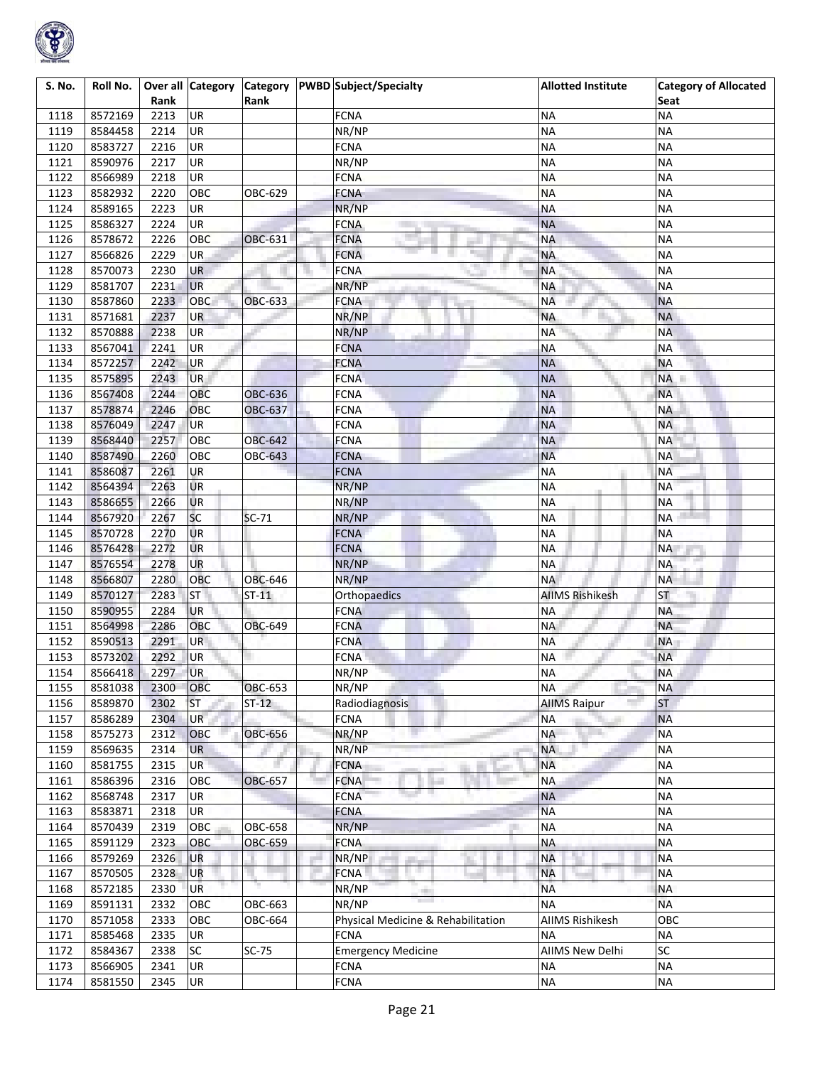

| S. No. | Roll No. |      | Over all Category | <b>Category</b> |    | <b>PWBD</b> Subject/Specialty      | <b>Allotted Institute</b> | <b>Category of Allocated</b> |
|--------|----------|------|-------------------|-----------------|----|------------------------------------|---------------------------|------------------------------|
|        |          | Rank |                   | Rank            |    |                                    |                           | Seat                         |
| 1118   | 8572169  | 2213 | UR                |                 |    | <b>FCNA</b>                        | <b>NA</b>                 | <b>NA</b>                    |
| 1119   | 8584458  | 2214 | <b>UR</b>         |                 |    | NR/NP                              | <b>NA</b>                 | <b>NA</b>                    |
| 1120   | 8583727  | 2216 | UR                |                 |    | <b>FCNA</b>                        | <b>NA</b>                 | <b>NA</b>                    |
| 1121   | 8590976  | 2217 | <b>UR</b>         |                 |    | NR/NP                              | <b>NA</b>                 | <b>NA</b>                    |
| 1122   | 8566989  | 2218 | <b>UR</b>         |                 |    | <b>FCNA</b>                        | <b>NA</b>                 | <b>NA</b>                    |
| 1123   | 8582932  | 2220 | OBC               | OBC-629         |    | <b>FCNA</b>                        | <b>NA</b>                 | <b>NA</b>                    |
| 1124   | 8589165  | 2223 | UR                |                 |    | NR/NP                              | <b>NA</b>                 | <b>NA</b>                    |
| 1125   | 8586327  | 2224 | UR                |                 |    | <b>FCNA</b>                        | <b>NA</b>                 | <b>NA</b>                    |
| 1126   | 8578672  | 2226 | ОВС               | OBC-631         |    | <b>FCNA</b>                        | <b>NA</b>                 | <b>NA</b>                    |
| 1127   | 8566826  | 2229 | <b>UR</b>         |                 |    | <b>FCNA</b>                        | <b>NA</b>                 | <b>NA</b>                    |
| 1128   | 8570073  | 2230 | UR                |                 |    | <b>FCNA</b>                        | <b>NA</b>                 | <b>NA</b>                    |
| 1129   | 8581707  | 2231 | <b>UR</b>         |                 |    | NR/NP                              | <b>NA</b>                 | <b>NA</b>                    |
| 1130   | 8587860  | 2233 | OBC               | OBC-633         |    | <b>FCNA</b>                        | <b>NA</b>                 | <b>NA</b>                    |
| 1131   | 8571681  | 2237 | <b>UR</b>         |                 |    | NR/NP                              | <b>NA</b>                 | <b>NA</b>                    |
| 1132   | 8570888  | 2238 | <b>UR</b>         |                 |    | NR/NP                              | <b>NA</b>                 | <b>NA</b>                    |
| 1133   | 8567041  | 2241 | <b>UR</b>         |                 |    | <b>FCNA</b>                        | <b>NA</b>                 | <b>NA</b>                    |
| 1134   | 8572257  | 2242 | <b>UR</b>         |                 |    | <b>FCNA</b>                        | <b>NA</b>                 | <b>NA</b>                    |
| 1135   | 8575895  | 2243 | <b>UR</b>         |                 |    | <b>FCNA</b>                        | <b>NA</b>                 | NA <b>II</b>                 |
| 1136   | 8567408  | 2244 | OBC               | <b>OBC-636</b>  |    | <b>FCNA</b>                        | <b>NA</b>                 | <b>NA</b>                    |
| 1137   | 8578874  | 2246 | OBC               | OBC-637         |    | <b>FCNA</b>                        | <b>NA</b>                 | <b>NA</b>                    |
| 1138   | 8576049  | 2247 | <b>UR</b>         |                 |    | <b>FCNA</b>                        | <b>NA</b>                 | <b>NA</b>                    |
| 1139   | 8568440  | 2257 | OBC               | <b>OBC-642</b>  |    | <b>FCNA</b>                        | <b>NA</b>                 | <b>NA</b>                    |
| 1140   | 8587490  | 2260 | OBC               | <b>OBC-643</b>  |    | <b>FCNA</b>                        | <b>NA</b>                 | <b>NA</b>                    |
| 1141   | 8586087  | 2261 | <b>UR</b>         |                 |    | <b>FCNA</b>                        | <b>NA</b>                 | <b>NA</b>                    |
| 1142   | 8564394  | 2263 | UR                |                 |    | NR/NP                              | <b>NA</b>                 | <b>NA</b>                    |
| 1143   | 8586655  | 2266 | UR                |                 |    | NR/NP                              | <b>NA</b>                 | <b>NA</b>                    |
| 1144   | 8567920  | 2267 | <b>SC</b>         | $SC-71$         |    | NR/NP                              | <b>NA</b>                 | <b>NA</b>                    |
| 1145   | 8570728  | 2270 | UR                |                 |    | <b>FCNA</b>                        | <b>NA</b>                 | <b>NA</b>                    |
| 1146   | 8576428  | 2272 | UR                |                 |    | <b>FCNA</b>                        | <b>NA</b>                 | <b>NA</b>                    |
| 1147   | 8576554  | 2278 | UR                |                 |    | NR/NP                              | <b>NA</b>                 | <b>NA</b>                    |
| 1148   | 8566807  | 2280 | OBC               | OBC-646         |    | NR/NP                              | <b>NA</b>                 | <b>NA</b>                    |
| 1149   | 8570127  | 2283 | <b>ST</b>         | $ST-11$         |    | <b>Orthopaedics</b>                | <b>AIIMS Rishikesh</b>    | ST                           |
| 1150   | 8590955  | 2284 | UR                |                 |    | <b>FCNA</b>                        | <b>NA</b>                 | <b>NA</b>                    |
| 1151   | 8564998  | 2286 | OBC               | OBC-649         |    | <b>FCNA</b>                        | <b>NA</b>                 | <b>NA</b>                    |
| 1152   | 8590513  | 2291 | <b>UR</b>         |                 |    | <b>FCNA</b>                        | <b>NA</b>                 | <b>NA</b>                    |
| 1153   | 8573202  | 2292 | <b>UR</b>         |                 |    | <b>FCNA</b>                        | <b>NA</b>                 | <b>NA</b>                    |
| 1154   | 8566418  | 2297 | <b>UR</b>         |                 |    | NR/NP                              | <b>NA</b>                 | <b>NA</b>                    |
| 1155   | 8581038  | 2300 | OBC               | <b>OBC-653</b>  |    | NR/NP                              | <b>NA</b>                 | <b>NA</b>                    |
| 1156   | 8589870  | 2302 | <b>ST</b>         | $ST-12$         |    | Radiodiagnosis                     | <b>AIIMS Raipur</b>       | <b>ST</b>                    |
| 1157   | 8586289  | 2304 | <b>UR</b>         |                 |    | <b>FCNA</b>                        | <b>NA</b>                 | <b>NA</b>                    |
| 1158   | 8575273  | 2312 | OBC               | <b>OBC-656</b>  |    | NR/NP                              | <b>NA</b>                 | <b>NA</b>                    |
| 1159   | 8569635  | 2314 | <b>UR</b>         |                 |    | NR/NP                              | <b>NA</b>                 | <b>NA</b>                    |
| 1160   | 8581755  | 2315 | <b>UR</b>         |                 |    | <b>FCNA</b>                        | <b>NA</b>                 | <b>NA</b>                    |
| 1161   | 8586396  | 2316 | OBC               | OBC-657         |    | <b>FCNA</b>                        | <b>NA</b>                 | <b>NA</b>                    |
| 1162   | 8568748  | 2317 | <b>UR</b>         |                 |    | <b>FCNA</b>                        | <b>NA</b>                 | <b>NA</b>                    |
| 1163   | 8583871  | 2318 | <b>UR</b>         |                 |    | <b>FCNA</b>                        | <b>NA</b>                 | <b>NA</b>                    |
| 1164   | 8570439  | 2319 | OBC               | OBC-658         |    | NR/NP                              | <b>NA</b>                 | <b>NA</b>                    |
| 1165   | 8591129  | 2323 | ОВС               | OBC-659         |    | <b>FCNA</b>                        | <b>NA</b>                 | <b>NA</b>                    |
| 1166   | 8579269  | 2326 | <b>UR</b>         |                 | r. | NR/NP<br>a.                        | <b>NA</b>                 | <b>NA</b>                    |
| 1167   | 8570505  | 2328 | UR                |                 |    | œ.<br><b>FCNA</b>                  | <b>NA</b>                 | <b>NA</b>                    |
| 1168   | 8572185  | 2330 | <b>UR</b>         |                 |    | NR/NP<br>ch.                       | <b>NA</b>                 | <b>NA</b>                    |
| 1169   | 8591131  | 2332 | OBC               | OBC-663         |    | NR/NP                              | <b>NA</b>                 | <b>NA</b>                    |
| 1170   | 8571058  | 2333 | OBC               | OBC-664         |    | Physical Medicine & Rehabilitation | <b>AIIMS Rishikesh</b>    | OBC                          |
| 1171   | 8585468  | 2335 | UR                |                 |    | FCNA                               | <b>NA</b>                 | <b>NA</b>                    |
| 1172   | 8584367  | 2338 | SC                | $SC-75$         |    | <b>Emergency Medicine</b>          | <b>AIIMS New Delhi</b>    | SC                           |
| 1173   | 8566905  | 2341 | UR                |                 |    | FCNA                               | <b>NA</b>                 | <b>NA</b>                    |
| 1174   | 8581550  | 2345 | UR                |                 |    | <b>FCNA</b>                        | $\sf NA$                  | <b>NA</b>                    |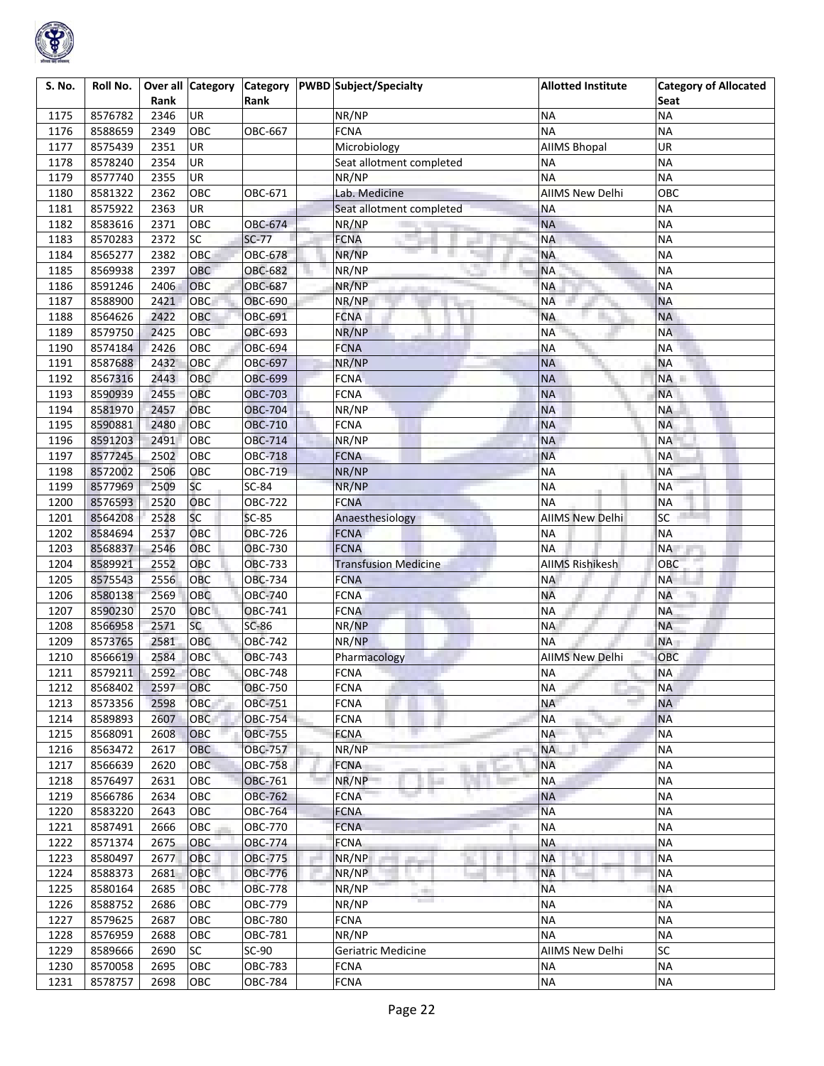

| S. No. | Roll No. |      | Over all Category | Category       | <b>PWBD</b> Subject/Specialty | <b>Allotted Institute</b> | <b>Category of Allocated</b> |
|--------|----------|------|-------------------|----------------|-------------------------------|---------------------------|------------------------------|
|        |          | Rank |                   | Rank           |                               |                           | Seat                         |
| 1175   | 8576782  | 2346 | <b>UR</b>         |                | NR/NP                         | <b>NA</b>                 | <b>NA</b>                    |
| 1176   | 8588659  | 2349 | OBC               | OBC-667        | <b>FCNA</b>                   | <b>NA</b>                 | <b>NA</b>                    |
| 1177   | 8575439  | 2351 | <b>UR</b>         |                | Microbiology                  | <b>AIIMS Bhopal</b>       | <b>UR</b>                    |
| 1178   | 8578240  | 2354 | UR                |                | Seat allotment completed      | <b>NA</b>                 | <b>NA</b>                    |
| 1179   | 8577740  | 2355 | <b>UR</b>         |                | NR/NP                         | <b>NA</b>                 | <b>NA</b>                    |
| 1180   | 8581322  | 2362 | OBC               | OBC-671        | Lab. Medicine                 | <b>AIIMS New Delhi</b>    | OBC                          |
| 1181   | 8575922  | 2363 | UR                |                | Seat allotment completed      | <b>NA</b>                 | <b>NA</b>                    |
| 1182   | 8583616  | 2371 | OBC               | OBC-674        | NR/NP                         | <b>NA</b>                 | <b>NA</b>                    |
| 1183   | 8570283  | 2372 | <b>SC</b>         | $SC-77$        | <b>FCNA</b><br>and in         | <b>NA</b>                 | <b>NA</b>                    |
| 1184   | 8565277  | 2382 | OBC               | <b>OBC-678</b> | NR/NP<br>m                    | <b>NA</b>                 | <b>NA</b>                    |
| 1185   | 8569938  | 2397 | OBC               | <b>OBC-682</b> | NR/NP                         | <b>NA</b>                 | <b>NA</b>                    |
| 1186   | 8591246  | 2406 | OBC               | <b>OBC-687</b> | NR/NP                         | <b>NA</b>                 | <b>NA</b>                    |
| 1187   | 8588900  | 2421 | OBC               | <b>OBC-690</b> | NR/NP                         | <b>NA</b>                 | <b>NA</b>                    |
| 1188   | 8564626  | 2422 | ОВС               | OBC-691        | <b>FCNA</b>                   | <b>NA</b>                 | <b>NA</b>                    |
| 1189   | 8579750  | 2425 | OBC               | OBC-693        | NR/NP                         | <b>NA</b>                 | <b>NA</b>                    |
| 1190   | 8574184  | 2426 | OBC               | OBC-694        | <b>FCNA</b>                   | <b>NA</b>                 | <b>NA</b>                    |
| 1191   | 8587688  | 2432 | OBC               | OBC-697        | NR/NP                         | <b>NA</b>                 | <b>NA</b>                    |
| 1192   | 8567316  | 2443 | ОВС               | <b>OBC-699</b> | <b>FCNA</b>                   | <b>NA</b>                 | NA L                         |
| 1193   | 8590939  | 2455 | OBC               | <b>OBC-703</b> | <b>FCNA</b>                   | <b>NA</b>                 | <b>NA</b>                    |
| 1194   | 8581970  | 2457 | OBC               | <b>OBC-704</b> | NR/NP                         | <b>NA</b>                 | <b>NA</b>                    |
| 1195   | 8590881  | 2480 | OBC               | <b>OBC-710</b> | <b>FCNA</b>                   | <b>NA</b>                 | <b>NA</b>                    |
| 1196   | 8591203  | 2491 | OBC               | <b>OBC-714</b> | NR/NP                         | <b>NA</b>                 | <b>NA</b>                    |
| 1197   | 8577245  | 2502 | OBC               | <b>OBC-718</b> | <b>FCNA</b>                   | <b>NA</b>                 | <b>NA</b>                    |
| 1198   | 8572002  | 2506 | OBC               | OBC-719        | NR/NP                         | <b>NA</b>                 | <b>NA</b>                    |
| 1199   | 8577969  | 2509 | <b>SC</b>         | SC-84          | NR/NP                         | <b>NA</b>                 | <b>NA</b>                    |
| 1200   | 8576593  | 2520 | OBC               | OBC-722        | <b>FCNA</b>                   | <b>NA</b>                 | <b>NA</b>                    |
| 1201   | 8564208  | 2528 | <b>SC</b>         | $SC-85$        | Anaesthesiology               | <b>AIIMS New Delhi</b>    | <b>SC</b>                    |
| 1202   | 8584694  | 2537 | ОВС               | <b>OBC-726</b> | <b>FCNA</b>                   | <b>NA</b>                 | <b>NA</b>                    |
| 1203   | 8568837  | 2546 | OBC               | <b>OBC-730</b> | <b>FCNA</b>                   | <b>NA</b>                 | <b>NA</b>                    |
| 1204   | 8589921  | 2552 | OBC               | <b>OBC-733</b> | Transfusion Medicine          | <b>AIIMS Rishikesh</b>    | OBC                          |
| 1205   | 8575543  | 2556 | OBC               | OBC-734        | <b>FCNA</b>                   | <b>NA</b>                 | <b>NA</b>                    |
| 1206   | 8580138  | 2569 | OBC               | OBC-740        | <b>FCNA</b>                   | <b>NA</b>                 | <b>NA</b>                    |
| 1207   | 8590230  | 2570 | OBC               | OBC-741        | <b>FCNA</b>                   | <b>NA</b>                 | <b>NA</b>                    |
| 1208   | 8566958  | 2571 | <b>SC</b>         | $SC-86$        | NR/NP                         | <b>NA</b>                 | <b>NA</b>                    |
| 1209   | 8573765  | 2581 | OBC               | OBC-742        | NR/NP                         | <b>NA</b>                 | <b>NA</b>                    |
| 1210   | 8566619  | 2584 | OBC               | OBC-743        | Pharmacology                  | <b>AIIMS New Delhi</b>    | OBC                          |
| 1211   | 8579211  | 2592 | OBC               | <b>OBC-748</b> | <b>FCNA</b>                   | <b>NA</b>                 | <b>NA</b>                    |
| 1212   | 8568402  | 2597 | <b>OBC</b>        | <b>OBC-750</b> | <b>FCNA</b>                   | <b>NA</b>                 | <b>NA</b>                    |
| 1213   | 8573356  | 2598 | OBC               | <b>OBC-751</b> | <b>FCNA</b>                   | <b>NA</b>                 | <b>NA</b>                    |
| 1214   | 8589893  | 2607 | OBC               | <b>OBC-754</b> | <b>FCNA</b>                   | <b>NA</b>                 | <b>NA</b>                    |
| 1215   | 8568091  | 2608 | OBC               | <b>OBC-755</b> | <b>FCNA</b>                   | <b>NA</b>                 | <b>NA</b>                    |
| 1216   | 8563472  | 2617 | OBC               | <b>OBC-757</b> | NR/NP                         | <b>NA</b>                 | ΝA                           |
| 1217   | 8566639  | 2620 | OBC               | <b>OBC-758</b> | <b>FCNA</b>                   | <b>NA</b>                 | <b>NA</b>                    |
| 1218   | 8576497  | 2631 | OBC               | OBC-761        | NR/NP                         | <b>NA</b>                 | <b>NA</b>                    |
| 1219   | 8566786  | 2634 | OBC               | OBC-762        | ш<br>FCNA                     | <b>NA</b>                 | <b>NA</b>                    |
| 1220   | 8583220  | 2643 | OBC               | OBC-764        | <b>FCNA</b>                   | <b>NA</b>                 | <b>NA</b>                    |
| 1221   | 8587491  | 2666 | OBC               | OBC-770        | <b>FCNA</b>                   | <b>NA</b>                 | <b>NA</b>                    |
| 1222   | 8571374  | 2675 | OBC               | <b>OBC-774</b> | <b>FCNA</b>                   | <b>NA</b>                 | <b>NA</b>                    |
| 1223   | 8580497  | 2677 | OBC               | <b>OBC-775</b> | NR/NP                         | <b>NA</b>                 | <b>NA</b>                    |
| 1224   | 8588373  | 2681 | OBC               | OBC-776        | ш.<br>NR/NP                   | <b>NA</b>                 | <b>NA</b>                    |
| 1225   | 8580164  | 2685 | OBC               | <b>OBC-778</b> | NR/NP<br>ak i                 | <b>NA</b>                 | <b>NA</b>                    |
| 1226   | 8588752  | 2686 | OBC               | OBC-779        | NR/NP                         | <b>NA</b>                 | <b>NA</b>                    |
| 1227   | 8579625  | 2687 | OBC               | <b>OBC-780</b> | <b>FCNA</b>                   | <b>NA</b>                 | <b>NA</b>                    |
| 1228   | 8576959  | 2688 | OBC               | OBC-781        | NR/NP                         | <b>NA</b>                 | <b>NA</b>                    |
| 1229   | 8589666  | 2690 | <b>SC</b>         | SC-90          | Geriatric Medicine            | AllMS New Delhi           | SC                           |
| 1230   | 8570058  | 2695 | OBC               | OBC-783        | <b>FCNA</b>                   | <b>NA</b>                 | <b>NA</b>                    |
| 1231   | 8578757  | 2698 | OBC               | OBC-784        | <b>FCNA</b>                   | <b>NA</b>                 | <b>NA</b>                    |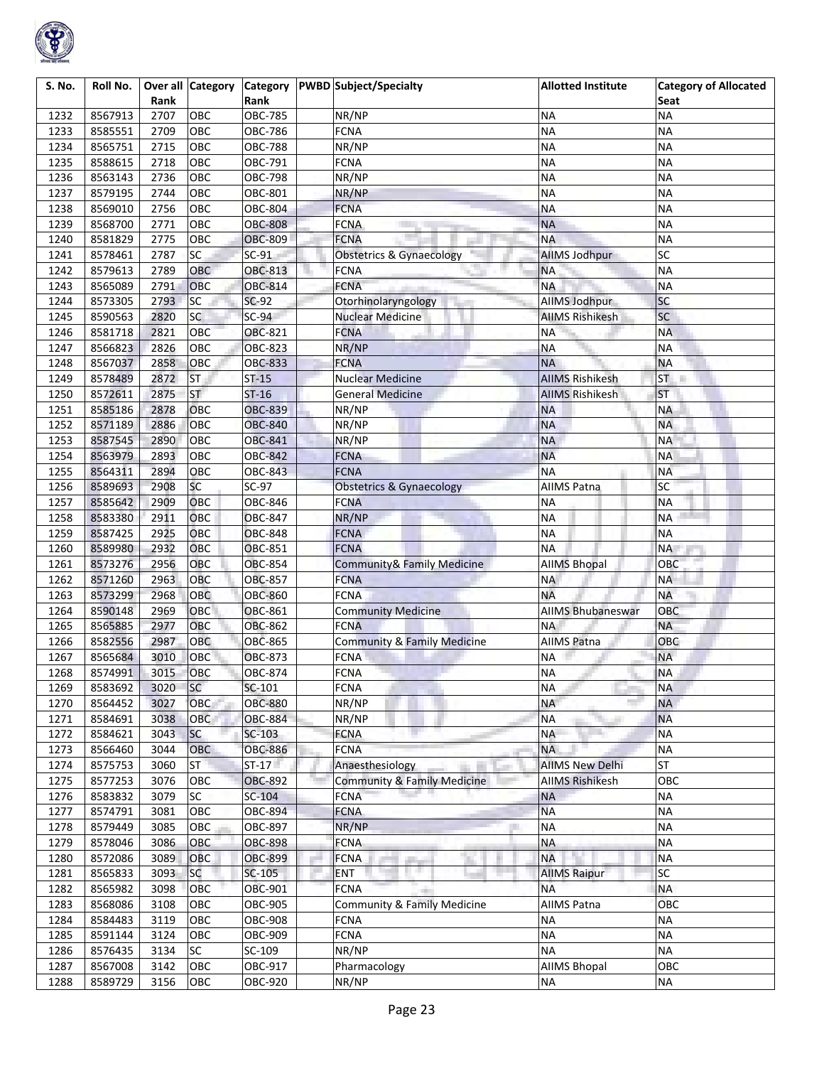

| S. No. | Roll No.           |         | Over all Category | <b>Category</b> | <b>PWBD</b> Subject/Specialty          | <b>Allotted Institute</b> | <b>Category of Allocated</b> |
|--------|--------------------|---------|-------------------|-----------------|----------------------------------------|---------------------------|------------------------------|
|        |                    | Rank    |                   | Rank            |                                        |                           | Seat                         |
| 1232   | 8567913            | 2707    | OBC               | OBC-785         | NR/NP                                  | <b>NA</b>                 | <b>NA</b>                    |
| 1233   | 8585551            | 2709    | OBC               | OBC-786         | <b>FCNA</b>                            | <b>NA</b>                 | <b>NA</b>                    |
| 1234   | 8565751            | 2715    | OBC               | <b>OBC-788</b>  | NR/NP                                  | <b>NA</b>                 | <b>NA</b>                    |
| 1235   | 8588615            | 2718    | OBC               | OBC-791         | <b>FCNA</b>                            | <b>NA</b>                 | <b>NA</b>                    |
| 1236   | 8563143            | 2736    | OBC               | OBC-798         | NR/NP                                  | <b>NA</b>                 | ΝA                           |
| 1237   | 8579195            | 2744    | OBC               | OBC-801         | NR/NP                                  | <b>NA</b>                 | <b>NA</b>                    |
| 1238   | 8569010            | 2756    | OBC               | <b>OBC-804</b>  | <b>FCNA</b>                            | <b>NA</b>                 | <b>NA</b>                    |
| 1239   | 8568700            | 2771    | OBC               | <b>OBC-808</b>  | <b>FCNA</b>                            | <b>NA</b>                 | <b>NA</b>                    |
| 1240   | 8581829            | 2775    | OBC               | <b>OBC-809</b>  | <b>FCNA</b>                            | <b>NA</b>                 | <b>NA</b>                    |
| 1241   | 8578461            | 2787    | $\overline{SC}$   | $SC-91$         | <b>Obstetrics &amp; Gynaecology</b>    | <b>AIIMS Jodhpur</b>      | $\overline{SC}$              |
| 1242   | 8579613            | 2789    | OBC               | <b>OBC-813</b>  | <b>FCNA</b>                            | <b>NA</b>                 | <b>NA</b>                    |
| 1243   | 8565089            | 2791    | OBC               | <b>OBC-814</b>  | <b>FCNA</b>                            | <b>NA</b>                 | <b>NA</b>                    |
| 1244   | 8573305            | 2793    | <b>SC</b>         | SC-92           | Otorhinolaryngology                    | AllMS Jodhpur             | <b>SC</b>                    |
| 1245   | 8590563            | 2820    | <b>SC</b>         | $SC-94$         | <b>Nuclear Medicine</b>                | <b>AIIMS Rishikesh</b>    | <b>SC</b>                    |
| 1246   | 8581718            | 2821    | OBC               | <b>OBC-821</b>  | <b>FCNA</b>                            | <b>NA</b>                 | <b>NA</b>                    |
| 1247   | 8566823            | 2826    | OBC               | <b>OBC-823</b>  | NR/NP                                  | <b>NA</b>                 | <b>NA</b>                    |
| 1248   | 8567037            | 2858    | OBC               | <b>OBC-833</b>  | <b>FCNA</b>                            | <b>NA</b>                 | <b>NA</b>                    |
| 1249   | 8578489            | 2872    | <b>ST</b>         | $ST-15$         | <b>Nuclear Medicine</b>                | <b>AIIMS Rishikesh</b>    | ST.<br><b>The State</b>      |
| 1250   | 8572611            | 2875    | <b>ST</b>         | $ST-16$         | <b>General Medicine</b>                | <b>AIIMS Rishikesh</b>    | <b>ST</b>                    |
| 1251   | 8585186            | 2878    | OBC               | <b>OBC-839</b>  | NR/NP                                  | <b>NA</b>                 | <b>NA</b>                    |
| 1252   | 8571189            | 2886    | OBC               | <b>OBC-840</b>  | NR/NP                                  | <b>NA</b>                 | <b>NA</b>                    |
| 1253   | 8587545            | 2890    | OBC               | <b>OBC-841</b>  | NR/NP                                  | <b>NA</b>                 | <b>NA</b>                    |
| 1254   | 8563979            | 2893    | OBC               | <b>OBC-842</b>  | <b>FCNA</b>                            | <b>NA</b>                 | <b>NA</b>                    |
| 1255   | 8564311            | 2894    | OBC               | <b>OBC-843</b>  | <b>FCNA</b>                            | <b>NA</b>                 | <b>NA</b>                    |
| 1256   | 8589693            | 2908    | SC                | $SC-97$         | <b>Obstetrics &amp; Gynaecology</b>    | <b>AIIMS Patna</b>        | <b>SC</b>                    |
| 1257   | 8585642            | 2909    | ОВС               | OBC-846         | <b>FCNA</b>                            | <b>NA</b>                 | <b>NA</b>                    |
| 1258   | 8583380            | 2911    | OBC               | <b>OBC-847</b>  | NR/NP                                  | <b>NA</b>                 | <b>NA</b>                    |
| 1259   | 8587425            | 2925    | OBC               | <b>OBC-848</b>  | <b>FCNA</b>                            | <b>NA</b>                 | <b>NA</b>                    |
| 1260   | 8589980            | 2932    | OBC               | <b>OBC-851</b>  | <b>FCNA</b>                            | <b>NA</b>                 | <b>NA</b>                    |
| 1261   | 8573276            | 2956    | OBC               | <b>OBC-854</b>  | Community& Family Medicine             | <b>AIIMS Bhopal</b>       | OBC                          |
| 1262   | 8571260            | 2963    | ОВС               | <b>OBC-857</b>  | <b>FCNA</b>                            | <b>NA</b>                 | <b>NA</b>                    |
| 1263   | 8573299            | 2968    | OBC               | OBC-860         | <b>FCNA</b>                            | <b>NA</b>                 | <b>NA</b>                    |
| 1264   | 8590148            | 2969    | OBC               | <b>OBC-861</b>  | <b>Community Medicine</b>              | <b>AIIMS Bhubaneswar</b>  | OBC                          |
| 1265   | 8565885            | 2977    | OBC               | <b>OBC-862</b>  | <b>FCNA</b>                            | <b>NA</b>                 | <b>NA</b>                    |
| 1266   | 8582556            | 2987    | OBC               | <b>OBC-865</b>  | Community & Family Medicine            | <b>AIIMS Patna</b>        | OBC                          |
| 1267   | 8565684            | 3010    | OBC               | <b>OBC-873</b>  | <b>FCNA</b>                            | <b>NA</b>                 | <b>NA</b>                    |
| 1268   | 8574991            | 3015    | OBC               | OBC-874         | <b>FCNA</b>                            | <b>NA</b>                 | <b>NA</b>                    |
| 1269   | 8583692            | 3020 SC |                   | SC-101          | <b>FCNA</b>                            | <b>NA</b>                 | <b>NA</b>                    |
| 1270   | 8564452            | 3027    | OBC               | <b>OBC-880</b>  | NR/NP                                  | <b>NA</b>                 | <b>NA</b>                    |
| 1271   | 8584691            | 3038    | OBC               | <b>OBC-884</b>  | NR/NP                                  | <b>NA</b>                 | <b>NA</b>                    |
| 1272   | 8584621            | 3043    | SC                | $SC-103$        | <b>FCNA</b>                            | <b>NA</b><br>a ka         | <b>NA</b>                    |
| 1273   | 8566460            | 3044    | OBC               | <b>OBC-886</b>  | <b>FCNA</b>                            | <b>NA</b>                 | <b>NA</b>                    |
| 1274   |                    | 3060    | ST                | $ST-17$         | Anaesthesiology                        | <b>AIIMS New Delhi</b>    | <b>ST</b>                    |
| 1275   | 8575753<br>8577253 | 3076    | OBC               | OBC-892         | <b>Community &amp; Family Medicine</b> | <b>AIIMS Rishikesh</b>    | OBC                          |
| 1276   | 8583832            | 3079    | SC                | $SC-104$        | <b>FCNA</b>                            | <b>NA</b>                 | <b>NA</b>                    |
|        |                    |         | OBC               |                 | <b>FCNA</b>                            | <b>NA</b>                 | <b>NA</b>                    |
| 1277   | 8574791            | 3081    |                   | OBC-894         |                                        |                           |                              |
| 1278   | 8579449            | 3085    | OBC               | OBC-897         | NR/NP                                  | <b>NA</b>                 | <b>NA</b>                    |
| 1279   | 8578046            | 3086    | ОВС               | <b>OBC-898</b>  | <b>FCNA</b>                            | <b>NA</b>                 | <b>NA</b>                    |
| 1280   | 8572086            | 3089    | OBC               | <b>OBC-899</b>  | <b>FCNA</b><br>. .                     | <b>NA</b>                 | <b>NA</b>                    |
| 1281   | 8565833            | 3093    | <b>SC</b>         | SC-105          | ENT                                    | <b>AIIMS Raipur</b>       | <b>SC</b>                    |
| 1282   | 8565982            | 3098    | ОВС               | OBC-901         | <b>FCNA</b>                            | <b>NA</b>                 | <b>NA</b>                    |
| 1283   | 8568086            | 3108    | OBC               | OBC-905         | Community & Family Medicine            | <b>AIIMS Patna</b>        | OBC                          |
| 1284   | 8584483            | 3119    | OBC               | <b>OBC-908</b>  | FCNA                                   | <b>NA</b>                 | <b>NA</b>                    |
| 1285   | 8591144            | 3124    | OBC               | OBC-909         | <b>FCNA</b>                            | <b>NA</b>                 | <b>NA</b>                    |
| 1286   | 8576435            | 3134    | SC                | SC-109          | NR/NP                                  | <b>NA</b>                 | <b>NA</b>                    |
| 1287   | 8567008            | 3142    | OBC               | OBC-917         | Pharmacology                           | <b>AIIMS Bhopal</b>       | OBC                          |
| 1288   | 8589729            | 3156    | OBC               | OBC-920         | NR/NP                                  | <b>NA</b>                 | <b>NA</b>                    |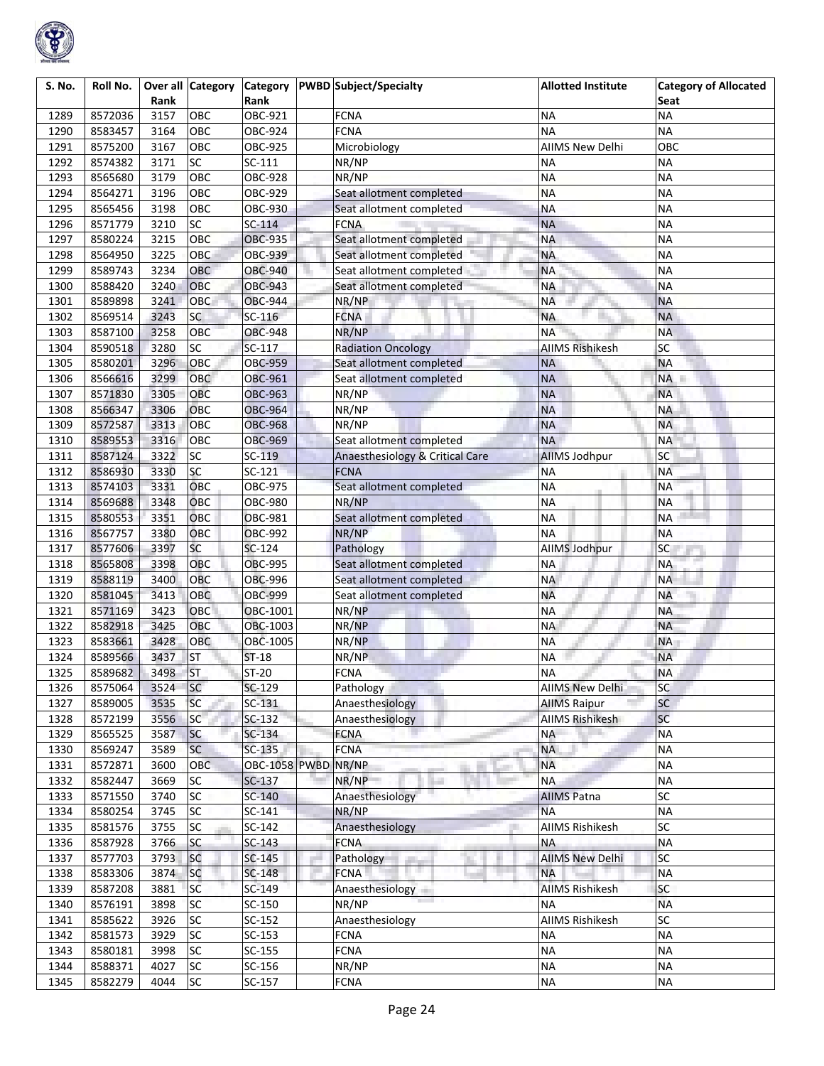

| S. No. | Roll No. |         | Over all Category | <b>Category</b>     | <b>PWBD</b> Subject/Specialty   | <b>Allotted Institute</b> | <b>Category of Allocated</b> |
|--------|----------|---------|-------------------|---------------------|---------------------------------|---------------------------|------------------------------|
|        |          | Rank    |                   | Rank                |                                 |                           | Seat                         |
| 1289   | 8572036  | 3157    | OBC               | OBC-921             | <b>FCNA</b>                     | <b>NA</b>                 | <b>NA</b>                    |
| 1290   | 8583457  | 3164    | OBC               | OBC-924             | <b>FCNA</b>                     | <b>NA</b>                 | <b>NA</b>                    |
| 1291   | 8575200  | 3167    | OBC               | OBC-925             | Microbiology                    | <b>AIIMS New Delhi</b>    | OBC                          |
| 1292   | 8574382  | 3171    | <b>SC</b>         | $SC-111$            | NR/NP                           | <b>NA</b>                 | <b>NA</b>                    |
| 1293   | 8565680  | 3179    | OBC               | OBC-928             | NR/NP                           | <b>NA</b>                 | <b>NA</b>                    |
| 1294   | 8564271  | 3196    | OBC               | OBC-929             | Seat allotment completed        | <b>NA</b>                 | <b>NA</b>                    |
| 1295   | 8565456  | 3198    | OBC               | <b>OBC-930</b>      | Seat allotment completed        | <b>NA</b>                 | <b>NA</b>                    |
| 1296   | 8571779  | 3210    | SC                | $SC-114$            | FCNA                            | <b>NA</b>                 | <b>NA</b>                    |
| 1297   | 8580224  | 3215    | OBC               | <b>OBC-935</b>      | Seat allotment completed        | <b>NA</b>                 | <b>NA</b>                    |
| 1298   | 8564950  | 3225    | OBC               | OBC-939             | Seat allotment completed        | <b>NA</b>                 | <b>NA</b>                    |
| 1299   | 8589743  | 3234    | ОВС               | <b>OBC-940</b>      | Seat allotment completed        | <b>NA</b>                 | <b>NA</b>                    |
| 1300   | 8588420  | 3240    | OBC               | OBC-943             | Seat allotment completed        | <b>NA</b>                 | <b>NA</b>                    |
| 1301   | 8589898  | 3241    | OBC               | <b>OBC-944</b>      | NR/NP                           | <b>NA</b>                 | <b>NA</b>                    |
| 1302   | 8569514  | 3243    | <b>SC</b>         | $SC-116$            | <b>FCNA</b>                     | <b>NA</b>                 | <b>NA</b>                    |
| 1303   | 8587100  | 3258    | OBC               | <b>OBC-948</b>      | NR/NP                           | <b>NA</b>                 | <b>NA</b>                    |
| 1304   | 8590518  | 3280    | <b>SC</b>         | SC-117              | <b>Radiation Oncology</b>       | <b>AIIMS Rishikesh</b>    | SC                           |
| 1305   | 8580201  | 3296    | OBC               | <b>OBC-959</b>      | Seat allotment completed        | <b>NA</b>                 | <b>NA</b>                    |
| 1306   | 8566616  | 3299    | OBC               | <b>OBC-961</b>      | Seat allotment completed        | <b>NA</b>                 | NA <b>II</b>                 |
| 1307   | 8571830  | 3305    | OBC               | <b>OBC-963</b>      | NR/NP                           | <b>NA</b>                 | <b>NA</b>                    |
| 1308   | 8566347  | 3306    | OBC               | <b>OBC-964</b>      | NR/NP                           | <b>NA</b>                 | <b>NA</b>                    |
| 1309   | 8572587  | 3313    | OBC               | <b>OBC-968</b>      | NR/NP                           | <b>NA</b>                 | <b>NA</b>                    |
| 1310   | 8589553  | 3316    | OBC               | <b>OBC-969</b>      | Seat allotment completed        | <b>NA</b>                 | <b>NA</b>                    |
| 1311   | 8587124  | 3322    | <b>SC</b>         | SC-119              | Anaesthesiology & Critical Care | <b>AIIMS Jodhpur</b>      | <b>SC</b>                    |
| 1312   | 8586930  | 3330    | SC                | $SC-121$            | <b>FCNA</b>                     | <b>NA</b>                 | <b>NA</b>                    |
| 1313   | 8574103  | 3331    | ОВС               | OBC-975             | Seat allotment completed        | <b>NA</b>                 | <b>NA</b>                    |
| 1314   | 8569688  | 3348    | OBC               | <b>OBC-980</b>      | NR/NP                           | <b>NA</b>                 | <b>NA</b>                    |
| 1315   | 8580553  | 3351    | OBC               | <b>OBC-981</b>      | Seat allotment completed        | <b>NA</b>                 | <b>NA</b>                    |
| 1316   | 8567757  | 3380    | OBC               | <b>OBC-992</b>      | NR/NP                           | <b>NA</b>                 | <b>NA</b>                    |
| 1317   | 8577606  | 3397    | <b>SC</b>         | $SC-124$            | Pathology                       | <b>AIIMS Jodhpur</b>      | SC                           |
| 1318   | 8565808  | 3398    | OBC               | OBC-995             | Seat allotment completed        | <b>NA</b>                 | <b>NA</b>                    |
| 1319   | 8588119  | 3400    | ОВС               | OBC-996             | Seat allotment completed        | <b>NA</b>                 | NA                           |
| 1320   | 8581045  | 3413    | OBC               | OBC-999             | Seat allotment completed        | <b>NA</b>                 | <b>NA</b>                    |
| 1321   | 8571169  | 3423    | OBC               | OBC-1001            | NR/NP                           | <b>NA</b>                 | <b>NA</b>                    |
| 1322   | 8582918  | 3425    | OBC               | OBC-1003            | NR/NP                           | <b>NA</b>                 | <b>NA</b>                    |
| 1323   | 8583661  | 3428    | OBC               | OBC-1005            | NR/NP                           | <b>NA</b>                 | <b>NA</b>                    |
| 1324   | 8589566  | 3437    | <b>ST</b>         | $ST-18$             | NR/NP                           | <b>NA</b>                 | <b>NA</b>                    |
| 1325   | 8589682  | 3498    | <b>ST</b>         | $ST-20$             | <b>FCNA</b>                     | <b>NA</b>                 | <b>NA</b>                    |
| 1326   | 8575064  | 3524 SC |                   | SC-129              | Pathology                       | <b>AIIMS New Delhi</b>    | <b>SC</b>                    |
| 1327   | 8589005  | 3535    | <b>SC</b>         | SC-131              | Anaesthesiology                 | <b>AllMS Raipur</b>       | <b>SC</b>                    |
| 1328   | 8572199  | 3556    | <b>SC</b>         | SC-132              | Anaesthesiology                 | <b>AIIMS Rishikesh</b>    | <b>SC</b>                    |
| 1329   | 8565525  | 3587    | <b>SC</b>         | SC-134              | <b>FCNA</b>                     | <b>NA</b>                 | <b>NA</b>                    |
| 1330   | 8569247  | 3589    | <b>SC</b>         | SC-135              | <b>FCNA</b>                     | <b>NA</b>                 | <b>NA</b>                    |
| 1331   | 8572871  | 3600    | OBC               | OBC-1058 PWBD NR/NP |                                 | <b>NA</b>                 | ΝA                           |
| 1332   | 8582447  | 3669    | SC                | SC-137              | NR/NP                           | <b>NA</b>                 | <b>NA</b>                    |
| 1333   | 8571550  | 3740    | SC                | SC-140              | Anaesthesiology                 | <b>AIIMS Patna</b>        | SC                           |
| 1334   | 8580254  | 3745    | SC                | $SC-141$            | NR/NP                           | <b>NA</b>                 | <b>NA</b>                    |
| 1335   | 8581576  | 3755    | SC                | SC-142              | Anaesthesiology                 | <b>AIIMS Rishikesh</b>    | SC                           |
| 1336   | 8587928  | 3766    | <b>SC</b>         | $SC-143$            | <b>FCNA</b>                     | <b>NA</b>                 | <b>NA</b>                    |
| 1337   | 8577703  | 3793    | SC                | SC-145              | Pathology                       | <b>AIIMS New Delhi</b>    | <b>SC</b>                    |
| 1338   | 8583306  | 3874    | <b>SC</b>         | SC-148              | an i<br>u an<br><b>FCNA</b>     | <b>NA</b>                 | <b>NA</b>                    |
|        |          |         | <b>SC</b>         | $SC-149$            |                                 |                           | <b>SC</b>                    |
| 1339   | 8587208  | 3881    |                   |                     | Anaesthesiology                 | <b>AIIMS Rishikesh</b>    |                              |
| 1340   | 8576191  | 3898    | SC                | SC-150              | NR/NP                           | <b>NA</b>                 | <b>NA</b>                    |
| 1341   | 8585622  | 3926    | SC                | $SC-152$            | Anaesthesiology                 | <b>AIIMS Rishikesh</b>    | SC                           |
| 1342   | 8581573  | 3929    | SC                | $SC-153$            | <b>FCNA</b>                     | <b>NA</b>                 | <b>NA</b>                    |
| 1343   | 8580181  | 3998    | <b>SC</b>         | SC-155              | FCNA                            | <b>NA</b>                 | <b>NA</b>                    |
| 1344   | 8588371  | 4027    | <b>SC</b>         | SC-156              | NR/NP                           | <b>NA</b>                 | <b>NA</b>                    |
| 1345   | 8582279  | 4044    | SC                | SC-157              | <b>FCNA</b>                     | <b>NA</b>                 | <b>NA</b>                    |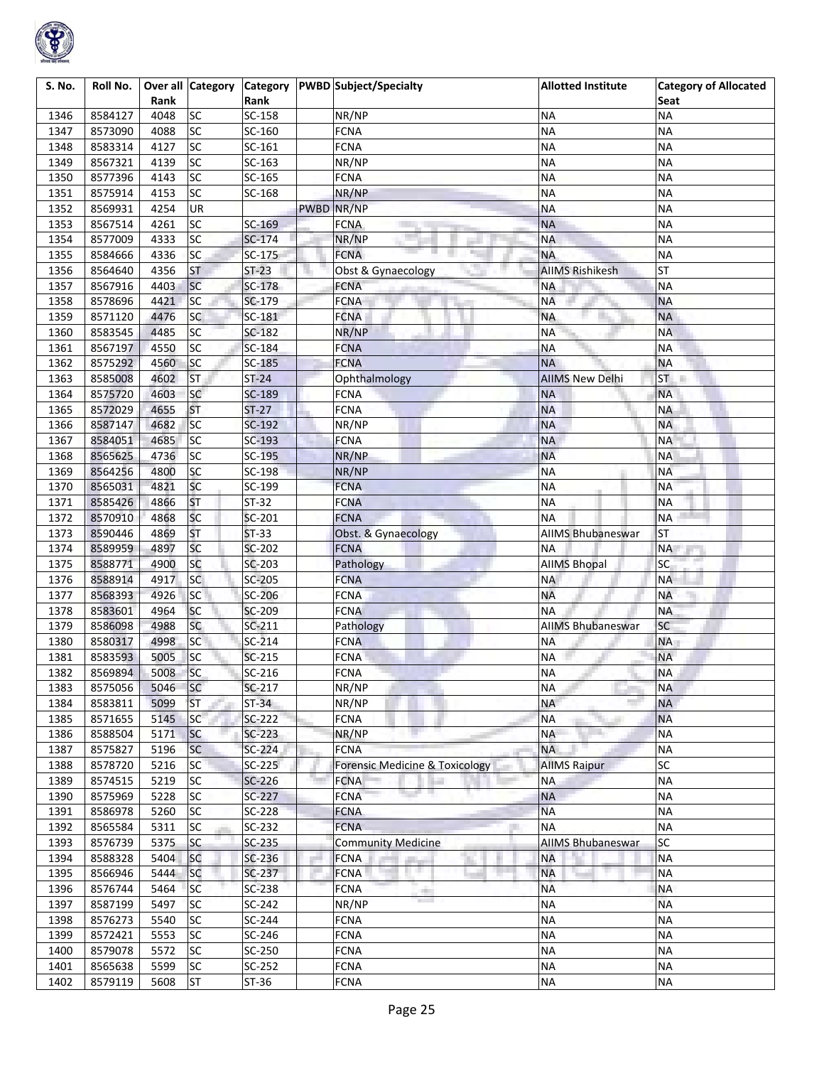

| S. No.       | Roll No.           | Rank | Over all Category | <b>Category</b><br>Rank | <b>PWBD</b> Subject/Specialty<br><b>Allotted Institute</b> |                                    | <b>Category of Allocated</b><br>Seat  |           |
|--------------|--------------------|------|-------------------|-------------------------|------------------------------------------------------------|------------------------------------|---------------------------------------|-----------|
|              |                    |      |                   |                         |                                                            |                                    |                                       |           |
| 1346         | 8584127            | 4048 | <b>SC</b>         | $SC-158$                |                                                            | NR/NP                              | <b>NA</b>                             | <b>NA</b> |
| 1347         | 8573090            | 4088 | <b>SC</b>         | SC-160                  |                                                            | <b>FCNA</b>                        | <b>NA</b>                             | <b>NA</b> |
| 1348         | 8583314            | 4127 | <b>SC</b>         | SC-161                  |                                                            | <b>FCNA</b>                        | <b>NA</b>                             | <b>NA</b> |
| 1349         | 8567321            | 4139 | <b>SC</b>         | SC-163                  |                                                            | NR/NP                              | <b>NA</b>                             | <b>NA</b> |
| 1350         | 8577396            | 4143 | <b>SC</b>         | SC-165                  |                                                            | <b>FCNA</b>                        | <b>NA</b>                             | <b>NA</b> |
| 1351         | 8575914            | 4153 | <b>SC</b>         | SC-168                  |                                                            | NR/NP                              | <b>NA</b>                             | <b>NA</b> |
| 1352         | 8569931            | 4254 | <b>UR</b>         |                         | <b>PWBD</b>                                                | NR/NP                              | <b>NA</b>                             | <b>NA</b> |
| 1353         | 8567514            | 4261 | <b>SC</b>         | SC-169                  |                                                            | <b>FCNA</b>                        | <b>NA</b>                             | <b>NA</b> |
| 1354         | 8577009            | 4333 | SC                | $SC-174$                |                                                            | NR/NP                              | <b>NA</b>                             | <b>NA</b> |
| 1355         | 8584666            | 4336 | <b>SC</b>         | $SC-175$                |                                                            | <b>FCNA</b>                        | <b>NA</b>                             | <b>NA</b> |
| 1356         | 8564640            | 4356 | <b>ST</b>         | $ST-23$                 |                                                            | Obst & Gynaecology                 | <b>AIIMS Rishikesh</b>                | <b>ST</b> |
| 1357         | 8567916            | 4403 | <b>SC</b>         | SC-178                  |                                                            | <b>FCNA</b>                        | <b>NA</b>                             | <b>NA</b> |
| 1358         | 8578696            | 4421 | <b>SC</b>         | SC-179                  |                                                            | <b>FCNA</b>                        | <b>NA</b>                             | <b>NA</b> |
| 1359         | 8571120            | 4476 | <b>SC</b>         | SC-181                  |                                                            | <b>FCNA</b>                        | <b>NA</b>                             | <b>NA</b> |
| 1360         | 8583545            | 4485 | <b>SC</b>         | SC-182                  |                                                            | NR/NP                              | <b>NA</b>                             | <b>NA</b> |
| 1361         | 8567197            | 4550 | <b>SC</b>         | SC-184                  |                                                            | <b>FCNA</b>                        | <b>NA</b>                             | <b>NA</b> |
| 1362         | 8575292            | 4560 | SC                | SC-185                  |                                                            | <b>FCNA</b>                        | <b>NA</b>                             | <b>NA</b> |
| 1363         | 8585008            | 4602 | <b>ST</b>         | $ST-24$                 |                                                            | Ophthalmology                      | <b>AIIMS New Delhi</b>                | ST.       |
| 1364         | 8575720            | 4603 | <b>SC</b>         | $SC-189$                |                                                            | <b>FCNA</b>                        | <b>NA</b>                             | <b>NA</b> |
| 1365         | 8572029            | 4655 | <b>ST</b>         | $ST-27$                 |                                                            | <b>FCNA</b>                        | <b>NA</b>                             | <b>NA</b> |
| 1366         | 8587147            | 4682 | <b>SC</b>         | SC-192                  |                                                            | NR/NP                              | <b>NA</b>                             | <b>NA</b> |
| 1367         | 8584051            | 4685 | <b>SC</b>         | SC-193                  |                                                            | <b>FCNA</b>                        | <b>NA</b>                             | <b>NA</b> |
| 1368         | 8565625            | 4736 | <b>SC</b>         | SC-195                  |                                                            | NR/NP                              | <b>NA</b>                             | <b>NA</b> |
| 1369         | 8564256            | 4800 | <b>SC</b>         | SC-198                  |                                                            | NR/NP                              | <b>NA</b>                             | <b>NA</b> |
| 1370         | 8565031            | 4821 | <b>SC</b>         | SC-199                  |                                                            | <b>FCNA</b>                        | <b>NA</b>                             | <b>NA</b> |
| 1371         | 8585426            | 4866 | <b>ST</b>         | $ST-32$                 |                                                            | <b>FCNA</b>                        | <b>NA</b>                             | <b>NA</b> |
| 1372         | 8570910            | 4868 | <b>SC</b>         | SC-201                  |                                                            | <b>FCNA</b>                        | <b>NA</b>                             | <b>NA</b> |
|              |                    | 4869 | <b>ST</b>         | $ST-33$                 |                                                            |                                    |                                       | <b>ST</b> |
| 1373<br>1374 | 8590446            | 4897 | <b>SC</b>         | SC-202                  |                                                            | Obst. & Gynaecology<br><b>FCNA</b> | <b>AIIMS Bhubaneswar</b><br><b>NA</b> | <b>NA</b> |
| 1375         | 8589959<br>8588771 | 4900 | <b>SC</b>         | SC-203                  |                                                            |                                    |                                       | <b>SC</b> |
|              |                    |      | <b>SC</b>         |                         |                                                            | Pathology                          | <b>AIIMS Bhopal</b>                   |           |
| 1376         | 8588914            | 4917 |                   | SC-205                  |                                                            | <b>FCNA</b>                        | <b>NA</b>                             | <b>NA</b> |
| 1377         | 8568393            | 4926 | <b>SC</b>         | SC-206                  |                                                            | <b>FCNA</b>                        | <b>NA</b>                             | <b>NA</b> |
| 1378         | 8583601            | 4964 | <b>SC</b>         | SC-209                  |                                                            | <b>FCNA</b>                        | <b>NA</b>                             | <b>NA</b> |
| 1379         | 8586098            | 4988 | <b>SC</b>         | $SC-211$                |                                                            | Pathology                          | <b>AIIMS Bhubaneswar</b>              | SC        |
| 1380         | 8580317            | 4998 | <b>SC</b>         | SC-214                  |                                                            | <b>FCNA</b>                        | <b>NA</b>                             | <b>NA</b> |
| 1381         | 8583593            | 5005 | <b>SC</b>         | $SC-215$                |                                                            | <b>FCNA</b>                        | <b>NA</b>                             | <b>NA</b> |
| 1382         | 8569894            | 5008 | <b>SC</b>         | SC-216                  |                                                            | <b>FCNA</b>                        | <b>NA</b>                             | <b>NA</b> |
| 1383         | 8575056            | 5046 | <b>SC</b>         | SC-217                  |                                                            | NR/NP                              | <b>NA</b>                             | <b>NA</b> |
| 1384         | 8583811            | 5099 | <b>ST</b>         | $ST-34$                 |                                                            | NR/NP                              | <b>NA</b>                             | <b>NA</b> |
| 1385         | 8571655            | 5145 | <b>SC</b>         | SC-222                  |                                                            | <b>FCNA</b>                        | <b>NA</b>                             | <b>NA</b> |
| 1386         | 8588504            | 5171 | <b>SC</b>         | $SC-223$                |                                                            | NR/NP                              | <b>NA</b>                             | <b>NA</b> |
| 1387         | 8575827            | 5196 | SC                | SC-224                  |                                                            | <b>FCNA</b>                        | <b>NA</b>                             | <b>NA</b> |
| 1388         | 8578720            | 5216 | <b>SC</b>         | $SC-225$                |                                                            | Forensic Medicine & Toxicology     | <b>AIIMS Raipur</b>                   | SC        |
| 1389         | 8574515            | 5219 | <b>SC</b>         | $SC-226$                |                                                            | <b>FCNA</b>                        | <b>NA</b>                             | <b>NA</b> |
| 1390         | 8575969            | 5228 | SC                | SC-227                  |                                                            | FCNA                               | <b>NA</b>                             | <b>NA</b> |
| 1391         | 8586978            | 5260 | <b>SC</b>         | SC-228                  |                                                            | <b>FCNA</b>                        | <b>NA</b>                             | <b>NA</b> |
| 1392         | 8565584            | 5311 | <b>SC</b>         | SC-232                  |                                                            | <b>FCNA</b>                        | <b>NA</b>                             | <b>NA</b> |
| 1393         | 8576739            | 5375 | <b>SC</b>         | SC-235                  |                                                            | <b>Community Medicine</b>          | <b>AIIMS Bhubaneswar</b>              | SC        |
| 1394         | 8588328            | 5404 | <b>SC</b>         | SC-236                  |                                                            | <b>FCNA</b>                        | <b>NA</b>                             | <b>NA</b> |
| 1395         | 8566946            | 5444 | <b>SC</b>         | SC-237                  |                                                            | ×.<br><b>FCNA</b>                  | <b>NA</b>                             | <b>NA</b> |
| 1396         | 8576744            | 5464 | SC                | SC-238                  |                                                            | <b>FCNA</b>                        | <b>NA</b>                             | <b>NA</b> |
| 1397         | 8587199            | 5497 | SC                | SC-242                  |                                                            | NR/NP                              | <b>NA</b>                             | <b>NA</b> |
| 1398         | 8576273            | 5540 | SC                | SC-244                  |                                                            | <b>FCNA</b>                        | <b>NA</b>                             | <b>NA</b> |
| 1399         | 8572421            | 5553 | SC                | SC-246                  |                                                            | FCNA                               | <b>NA</b>                             | <b>NA</b> |
| 1400         | 8579078            | 5572 | SC                | SC-250                  |                                                            | FCNA                               | <b>NA</b>                             | <b>NA</b> |
| 1401         | 8565638            | 5599 | SC                | SC-252                  |                                                            | FCNA                               | <b>NA</b>                             | <b>NA</b> |
| 1402         | 8579119            | 5608 | <b>ST</b>         | $ST-36$                 |                                                            | <b>FCNA</b>                        | <b>NA</b>                             | <b>NA</b> |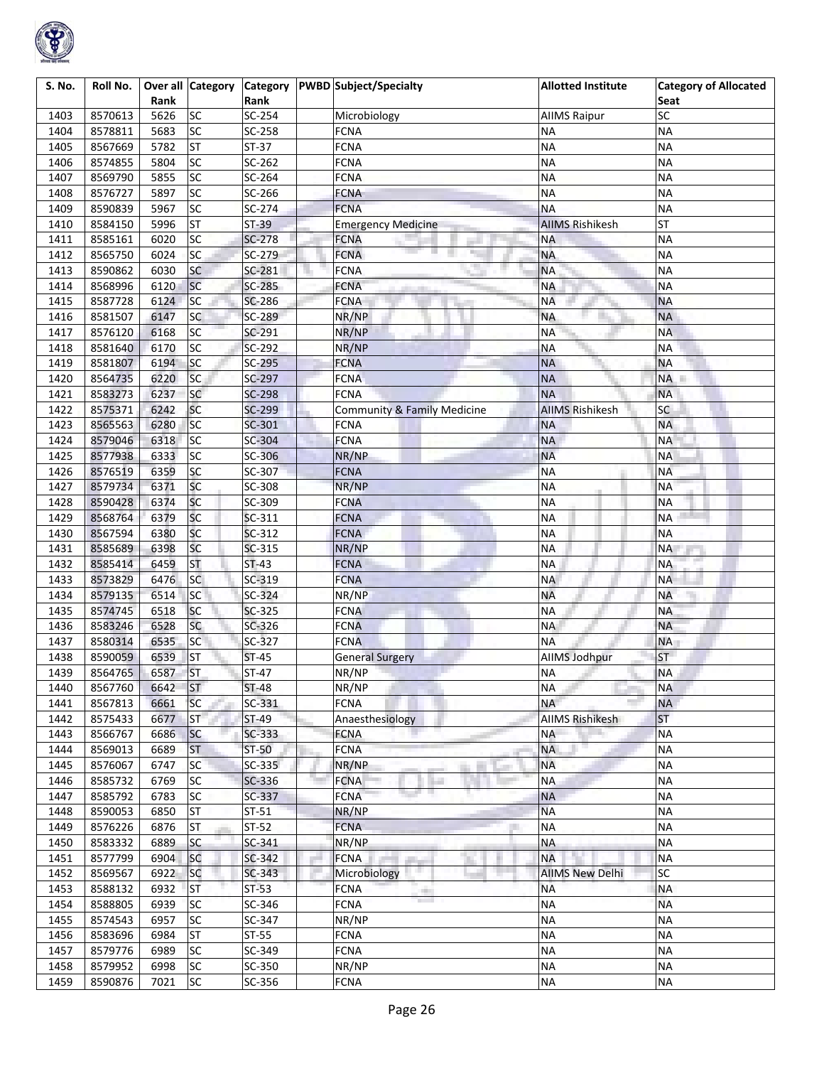

| S. No. | Roll No. | Rank | Over all Category | <b>Category</b><br>Rank | PWBD Subject/Specialty      | <b>Allotted Institute</b> | <b>Category of Allocated</b><br>Seat |
|--------|----------|------|-------------------|-------------------------|-----------------------------|---------------------------|--------------------------------------|
| 1403   | 8570613  | 5626 | <b>SC</b>         | SC-254                  | Microbiology                | <b>AIIMS Raipur</b>       | SC                                   |
| 1404   | 8578811  | 5683 | <b>SC</b>         | SC-258                  | <b>FCNA</b>                 | <b>NA</b>                 | <b>NA</b>                            |
| 1405   | 8567669  | 5782 | <b>ST</b>         | $ST-37$                 | <b>FCNA</b>                 | <b>NA</b>                 | <b>NA</b>                            |
| 1406   | 8574855  | 5804 | SC                | SC-262                  | <b>FCNA</b>                 | <b>NA</b>                 | <b>NA</b>                            |
| 1407   | 8569790  | 5855 | SC                | SC-264                  | <b>FCNA</b>                 | <b>NA</b>                 | <b>NA</b>                            |
| 1408   | 8576727  | 5897 | SC                | SC-266                  | <b>FCNA</b>                 | <b>NA</b>                 | <b>NA</b>                            |
| 1409   | 8590839  | 5967 | SC                | SC-274                  | <b>FCNA</b>                 | <b>NA</b>                 | <b>NA</b>                            |
| 1410   | 8584150  | 5996 | <b>ST</b>         | $ST-39$                 | <b>Emergency Medicine</b>   | <b>AIIMS Rishikesh</b>    | <b>ST</b>                            |
| 1411   | 8585161  | 6020 | SC                | SC-278                  | <b>FCNA</b>                 | <b>NA</b>                 | <b>NA</b>                            |
| 1412   | 8565750  | 6024 | SC                | SC-279                  | <b>FCNA</b>                 | <b>NA</b>                 | <b>NA</b>                            |
| 1413   | 8590862  | 6030 | SC                | SC-281                  | <b>FCNA</b>                 | <b>NA</b>                 | <b>NA</b>                            |
| 1414   | 8568996  | 6120 | SC                | SC-285                  | <b>FCNA</b>                 | <b>NA</b>                 | <b>NA</b>                            |
| 1415   | 8587728  | 6124 | <b>SC</b>         | SC-286                  | <b>FCNA</b>                 | <b>NA</b>                 | <b>NA</b>                            |
| 1416   | 8581507  | 6147 | SC                | SC-289                  | NR/NP                       | <b>NA</b>                 | <b>NA</b>                            |
| 1417   | 8576120  | 6168 | SC                | SC-291                  | NR/NP                       | <b>NA</b>                 | <b>NA</b>                            |
| 1418   | 8581640  | 6170 | SC                | SC-292                  | NR/NP                       | <b>NA</b>                 | <b>NA</b>                            |
| 1419   | 8581807  | 6194 | SC                | SC-295                  | <b>FCNA</b>                 | <b>NA</b>                 | <b>NA</b>                            |
| 1420   | 8564735  | 6220 | SC                | SC-297                  | <b>FCNA</b>                 | <b>NA</b>                 | <b>NA</b>                            |
| 1421   | 8583273  | 6237 | <b>SC</b>         | $SC-298$                | <b>FCNA</b>                 | <b>NA</b>                 | <b>NA</b>                            |
| 1422   | 8575371  | 6242 | <b>SC</b>         | SC-299                  | Community & Family Medicine | <b>AIIMS Rishikesh</b>    | SC                                   |
| 1423   | 8565563  | 6280 | <b>SC</b>         | SC-301                  | <b>FCNA</b>                 | <b>NA</b>                 | <b>NA</b>                            |
| 1424   | 8579046  | 6318 | SC                | SC-304                  | <b>FCNA</b>                 | <b>NA</b>                 | <b>NA</b>                            |
| 1425   | 8577938  | 6333 | SC                | SC-306                  | NR/NP                       | <b>NA</b>                 | <b>NA</b>                            |
| 1426   | 8576519  | 6359 | <b>SC</b>         | SC-307                  | <b>FCNA</b>                 | <b>NA</b>                 | <b>NA</b>                            |
| 1427   | 8579734  | 6371 | <b>SC</b>         | SC-308                  | NR/NP                       | <b>NA</b>                 | <b>NA</b>                            |
| 1428   | 8590428  | 6374 | SC                | SC-309                  | <b>FCNA</b>                 | <b>NA</b>                 | <b>NA</b>                            |
| 1429   | 8568764  | 6379 | SC                | SC-311                  | <b>FCNA</b>                 | <b>NA</b>                 | <b>NA</b>                            |
| 1430   | 8567594  | 6380 | SC                | SC-312                  | <b>FCNA</b>                 | <b>NA</b>                 | <b>NA</b>                            |
| 1431   | 8585689  | 6398 | SC                | SC-315                  | NR/NP                       | <b>NA</b>                 | <b>NA</b>                            |
| 1432   | 8585414  | 6459 | <b>ST</b>         | $ST-43$                 | <b>FCNA</b>                 | <b>NA</b>                 | NA                                   |
| 1433   | 8573829  | 6476 | SC                | SC-319                  | <b>FCNA</b>                 | <b>NA</b>                 | <b>NA</b>                            |
| 1434   | 8579135  | 6514 | SC                | SC-324                  | NR/NP                       | <b>NA</b>                 | <b>NA</b>                            |
| 1435   | 8574745  | 6518 | SC                | SC-325                  | <b>FCNA</b>                 | <b>NA</b>                 | <b>NA</b>                            |
| 1436   | 8583246  | 6528 | <b>SC</b>         | $SC-326$                | <b>FCNA</b>                 | <b>NA</b>                 | <b>NA</b>                            |
| 1437   | 8580314  | 6535 | SC                | SC-327                  | <b>FCNA</b>                 | <b>NA</b>                 | <b>NA</b>                            |
| 1438   | 8590059  | 6539 | <b>ST</b>         | $ST-45$                 | <b>General Surgery</b>      | AllMS Jodhpur             | <b>ST</b>                            |
| 1439   | 8564765  | 6587 | <b>ST</b>         | $ST-47$                 | NR/NP                       | <b>NA</b>                 | <b>NA</b>                            |
| 1440   | 8567760  | 6642 | <b>ST</b>         | <b>ST-48</b>            | NR/NP                       | <b>NA</b>                 | <b>NA</b>                            |
| 1441   | 8567813  | 6661 | <b>SC</b>         | SC-331                  | <b>FCNA</b>                 | <b>NA</b>                 | <b>NA</b>                            |
| 1442   | 8575433  | 6677 | <b>ST</b>         | ST-49                   | Anaesthesiology             | <b>AIIMS Rishikesh</b>    | <b>ST</b>                            |
| 1443   | 8566767  | 6686 | <b>SC</b>         | SC-333                  | <b>FCNA</b>                 | <b>NA</b>                 | <b>NA</b>                            |
| 1444   | 8569013  | 6689 | <b>ST</b>         | ST-50                   | <b>FCNA</b>                 | <b>NA</b>                 | <b>NA</b>                            |
| 1445   | 8576067  | 6747 | SC                | $SC-335$                | NR/NP                       | <b>NA</b>                 | <b>NA</b>                            |
| 1446   | 8585732  | 6769 | SC                | SC-336                  | <b>FCNA</b><br>n e          | <b>NA</b>                 | <b>NA</b>                            |
| 1447   | 8585792  | 6783 | SC                | SC-337                  | <b>FCNA</b>                 | <b>NA</b>                 | <b>NA</b>                            |
| 1448   | 8590053  | 6850 | <b>ST</b>         | $ST-51$                 | NR/NP                       | <b>NA</b>                 | <b>NA</b>                            |
| 1449   | 8576226  | 6876 | <b>ST</b>         | $ST-52$                 | <b>FCNA</b>                 | <b>NA</b>                 | <b>NA</b>                            |
| 1450   | 8583332  | 6889 | <b>SC</b>         | SC-341                  | NR/NP                       | <b>NA</b>                 | <b>NA</b>                            |
| 1451   | 8577799  | 6904 | <b>SC</b>         | SC-342                  | <b>FCNA</b>                 | <b>NA</b>                 | <b>NA</b>                            |
| 1452   | 8569567  | 6922 | <b>SC</b>         | SC-343                  | ш.<br>Microbiology          | <b>AllMS New Delhi</b>    | <b>SC</b>                            |
| 1453   | 8588132  | 6932 | <b>ST</b>         | $ST-53$                 | <b>FCNA</b><br>÷.           | <b>NA</b>                 | <b>NA</b>                            |
| 1454   | 8588805  | 6939 | SC                | SC-346                  | <b>FCNA</b>                 | <b>NA</b>                 | <b>NA</b>                            |
| 1455   | 8574543  | 6957 | SC                | SC-347                  | NR/NP                       | <b>NA</b>                 | <b>NA</b>                            |
| 1456   | 8583696  | 6984 | <b>ST</b>         | $ST-55$                 | <b>FCNA</b>                 | <b>NA</b>                 | <b>NA</b>                            |
| 1457   | 8579776  | 6989 | SC                | SC-349                  | <b>FCNA</b>                 | <b>NA</b>                 | <b>NA</b>                            |
| 1458   | 8579952  | 6998 | SC                | SC-350                  | NR/NP                       | <b>NA</b>                 | <b>NA</b>                            |
| 1459   | 8590876  | 7021 | SC                | SC-356                  | <b>FCNA</b>                 | $\sf NA$                  | <b>NA</b>                            |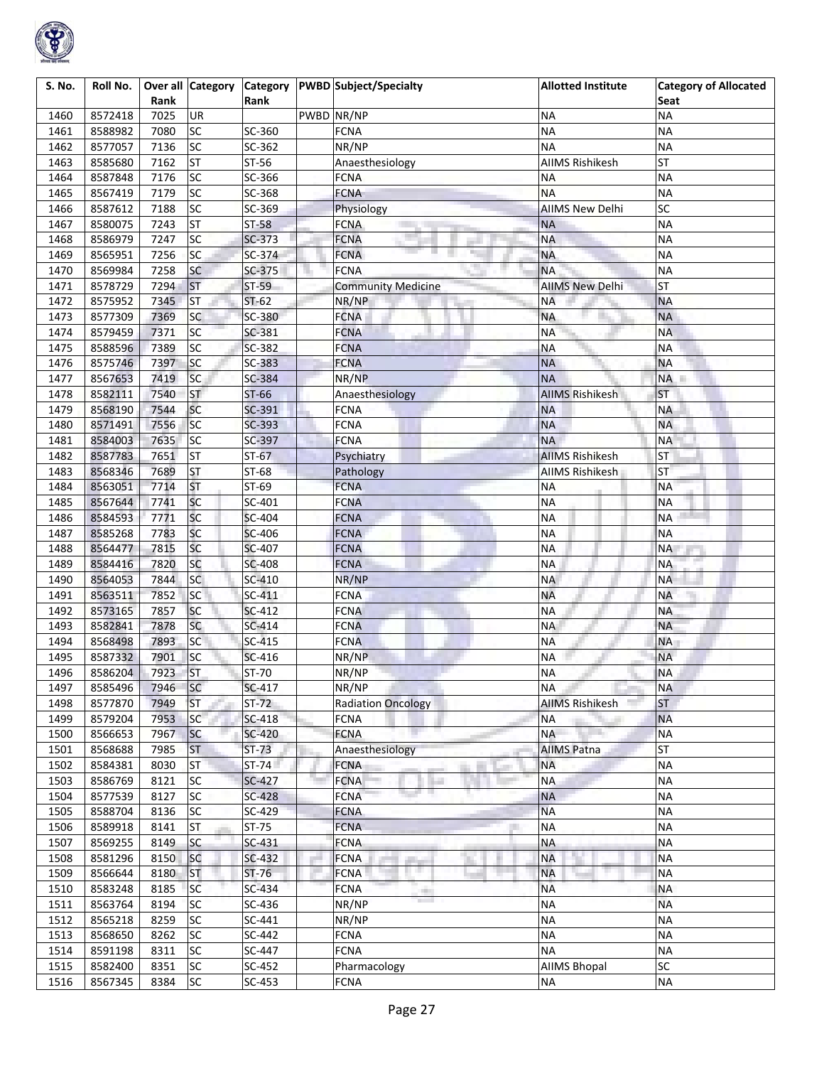

| S. No. | Roll No. |      | Over all Category |          |            | Category PWBD Subject/Specialty | <b>Allotted Institute</b> | <b>Category of Allocated</b> |
|--------|----------|------|-------------------|----------|------------|---------------------------------|---------------------------|------------------------------|
|        |          | Rank |                   | Rank     |            |                                 |                           | Seat                         |
| 1460   | 8572418  | 7025 | <b>UR</b>         |          | PWBD NR/NP |                                 | <b>NA</b>                 | <b>NA</b>                    |
| 1461   | 8588982  | 7080 | <b>SC</b>         | SC-360   |            | <b>FCNA</b>                     | <b>NA</b>                 | <b>NA</b>                    |
| 1462   | 8577057  | 7136 | <b>SC</b>         | SC-362   |            | NR/NP                           | <b>NA</b>                 | <b>NA</b>                    |
| 1463   | 8585680  | 7162 | <b>ST</b>         | ST-56    |            | Anaesthesiology                 | <b>AIIMS Rishikesh</b>    | <b>ST</b>                    |
| 1464   | 8587848  | 7176 | <b>SC</b>         | SC-366   |            | <b>FCNA</b>                     | <b>NA</b>                 | <b>NA</b>                    |
| 1465   | 8567419  | 7179 | <b>SC</b>         | SC-368   |            | <b>FCNA</b>                     | <b>NA</b>                 | <b>NA</b>                    |
| 1466   | 8587612  | 7188 | <b>SC</b>         | SC-369   |            | Physiology                      | <b>AllMS New Delhi</b>    | SC                           |
| 1467   | 8580075  | 7243 | <b>ST</b>         | $ST-58$  |            | <b>FCNA</b>                     | <b>NA</b>                 | <b>NA</b>                    |
| 1468   | 8586979  | 7247 | <b>SC</b>         | SC-373   |            | <b>FCNA</b>                     | <b>NA</b>                 | <b>NA</b>                    |
| 1469   | 8565951  | 7256 | <b>SC</b>         | SC-374   |            | <b>FCNA</b><br>m                | <b>NA</b>                 | <b>NA</b>                    |
| 1470   | 8569984  | 7258 | SC                | SC-375   |            | <b>FCNA</b>                     | <b>NA</b>                 | <b>NA</b>                    |
| 1471   | 8578729  | 7294 | <b>ST</b>         | ST-59    |            | <b>Community Medicine</b>       | <b>AIIMS New Delhi</b>    | <b>ST</b>                    |
| 1472   | 8575952  | 7345 | <b>ST</b>         | $ST-62$  |            | NR/NP                           | <b>NA</b>                 | <b>NA</b>                    |
| 1473   | 8577309  | 7369 | <b>SC</b>         | SC-380   |            | <b>FCNA</b>                     | <b>NA</b>                 | <b>NA</b>                    |
| 1474   | 8579459  | 7371 | SC                | SC-381   |            | <b>FCNA</b>                     | <b>NA</b>                 | <b>NA</b>                    |
| 1475   | 8588596  | 7389 | <b>SC</b>         | SC-382   |            | <b>FCNA</b>                     | <b>NA</b>                 | <b>NA</b>                    |
| 1476   | 8575746  | 7397 | <b>SC</b>         | SC-383   |            | <b>FCNA</b>                     | <b>NA</b>                 | <b>NA</b>                    |
| 1477   | 8567653  | 7419 | <b>SC</b>         | SC-384   |            | NR/NP                           | <b>NA</b>                 | NA <b>II</b>                 |
| 1478   | 8582111  | 7540 | <b>ST</b>         | $ST-66$  |            | Anaesthesiology                 | <b>AIIMS Rishikesh</b>    | <b>ST</b>                    |
| 1479   | 8568190  | 7544 | <b>SC</b>         | $SC-391$ |            | <b>FCNA</b>                     | <b>NA</b>                 | ΝA                           |
| 1480   | 8571491  | 7556 | <b>SC</b>         | SC-393   |            | <b>FCNA</b>                     | <b>NA</b>                 | <b>NA</b>                    |
| 1481   | 8584003  | 7635 | <b>SC</b>         | SC-397   |            | <b>FCNA</b>                     | <b>NA</b>                 | <b>NA</b>                    |
| 1482   | 8587783  | 7651 | <b>ST</b>         | $ST-67$  |            | Psychiatry                      | <b>AIIMS Rishikesh</b>    | <b>ST</b>                    |
| 1483   | 8568346  | 7689 | <b>ST</b>         | ST-68    |            | Pathology                       | <b>AIIMS Rishikesh</b>    | <b>ST</b>                    |
| 1484   | 8563051  | 7714 | <b>ST</b>         | ST-69    |            | <b>FCNA</b>                     | <b>NA</b>                 | <b>NA</b>                    |
| 1485   | 8567644  | 7741 | <b>SC</b>         | SC-401   |            | <b>FCNA</b>                     | <b>NA</b>                 | <b>NA</b>                    |
| 1486   | 8584593  | 7771 | <b>SC</b>         | SC-404   |            | <b>FCNA</b>                     | <b>NA</b>                 | <b>NA</b>                    |
| 1487   | 8585268  | 7783 | SC                | SC-406   |            | <b>FCNA</b>                     | <b>NA</b>                 | <b>NA</b>                    |
| 1488   | 8564477  | 7815 | <b>SC</b>         | SC-407   |            | <b>FCNA</b>                     | <b>NA</b>                 | <b>NA</b>                    |
| 1489   | 8584416  | 7820 | <b>SC</b>         | SC-408   |            | <b>FCNA</b>                     | <b>NA</b>                 | <b>NA</b>                    |
| 1490   | 8564053  | 7844 | SC                | SC-410   |            | NR/NP                           | <b>NA</b>                 | ΝA                           |
| 1491   | 8563511  | 7852 | <b>SC</b>         | $SC-411$ |            | <b>FCNA</b>                     | <b>NA</b>                 | <b>NA</b>                    |
| 1492   | 8573165  | 7857 | <b>SC</b>         | $SC-412$ |            | <b>FCNA</b>                     | <b>NA</b>                 | <b>NA</b>                    |
| 1493   | 8582841  | 7878 | <b>SC</b>         | $SC-414$ |            | <b>FCNA</b>                     | <b>NA</b>                 | <b>NA</b>                    |
| 1494   | 8568498  | 7893 | <b>SC</b>         | SC-415   |            | <b>FCNA</b>                     | <b>NA</b>                 | <b>NA</b>                    |
| 1495   | 8587332  | 7901 | <b>SC</b>         | SC-416   |            | NR/NP                           | <b>NA</b>                 | <b>NA</b>                    |
| 1496   | 8586204  | 7923 | <b>ST</b>         | ST-70    |            | NR/NP                           | <b>NA</b>                 | <b>NA</b>                    |
| 1497   | 8585496  | 7946 | SC                | SC-417   |            | NR/NP                           | <b>NA</b>                 | <b>NA</b>                    |
| 1498   | 8577870  | 7949 | <b>ST</b>         | $ST-72$  |            | <b>Radiation Oncology</b>       | <b>AIIMS Rishikesh</b>    | <b>ST</b>                    |
| 1499   | 8579204  | 7953 | <b>SC</b>         | SC-418   |            | <b>FCNA</b>                     | <b>NA</b>                 | <b>NA</b>                    |
| 1500   | 8566653  | 7967 | <b>SC</b>         | SC-420   |            | <b>FCNA</b>                     | <b>NA</b>                 | <b>NA</b>                    |
| 1501   | 8568688  | 7985 | <b>ST</b>         | $ST-73$  |            | Anaesthesiology                 | <b>AIIMS Patna</b>        | <b>ST</b>                    |
| 1502   | 8584381  | 8030 | <b>ST</b>         | $ST-74$  |            | <b>FCNA</b>                     | <b>NA</b>                 | ΝA                           |
| 1503   | 8586769  | 8121 | <b>SC</b>         | SC-427   |            | <b>FCNA</b>                     | <b>NA</b>                 | <b>NA</b>                    |
| 1504   | 8577539  | 8127 | SC                | $SC-428$ |            | <b>FCNA</b>                     | <b>NA</b>                 | <b>NA</b>                    |
| 1505   | 8588704  | 8136 | SC                | SC-429   |            | <b>FCNA</b>                     | <b>NA</b>                 | <b>NA</b>                    |
| 1506   | 8589918  | 8141 | <b>ST</b>         | $ST-75$  |            | <b>FCNA</b>                     | <b>NA</b>                 | <b>NA</b>                    |
| 1507   | 8569255  | 8149 | SC                | SC-431   |            | <b>FCNA</b>                     | <b>NA</b>                 | <b>NA</b>                    |
| 1508   | 8581296  | 8150 | <b>SC</b>         | SC-432   | e.         | <b>FCNA</b><br>a.               | <b>NA</b>                 | <b>NA</b>                    |
| 1509   | 8566644  | 8180 | <b>ST</b>         | ST-76    |            | an i<br><b>FCNA</b>             | <b>NA</b>                 | <b>NA</b>                    |
| 1510   | 8583248  | 8185 | <b>SC</b>         | $SC-434$ |            | <b>FCNA</b><br>and .            | <b>NA</b>                 | <b>NA</b>                    |
| 1511   | 8563764  | 8194 | SC                | SC-436   |            | NR/NP                           | <b>NA</b>                 | <b>NA</b>                    |
| 1512   | 8565218  | 8259 | SC                | SC-441   |            | NR/NP                           | <b>NA</b>                 | <b>NA</b>                    |
| 1513   | 8568650  | 8262 | SC                | SC-442   |            | FCNA                            | <b>NA</b>                 | <b>NA</b>                    |
| 1514   | 8591198  | 8311 | <b>SC</b>         | SC-447   |            | <b>FCNA</b>                     | <b>NA</b>                 | <b>NA</b>                    |
| 1515   | 8582400  | 8351 | SC                | SC-452   |            | Pharmacology                    | <b>AIIMS Bhopal</b>       | SC                           |
| 1516   | 8567345  | 8384 | <b>SC</b>         | SC-453   |            | <b>FCNA</b>                     | <b>NA</b>                 | <b>NA</b>                    |
|        |          |      |                   |          |            |                                 |                           |                              |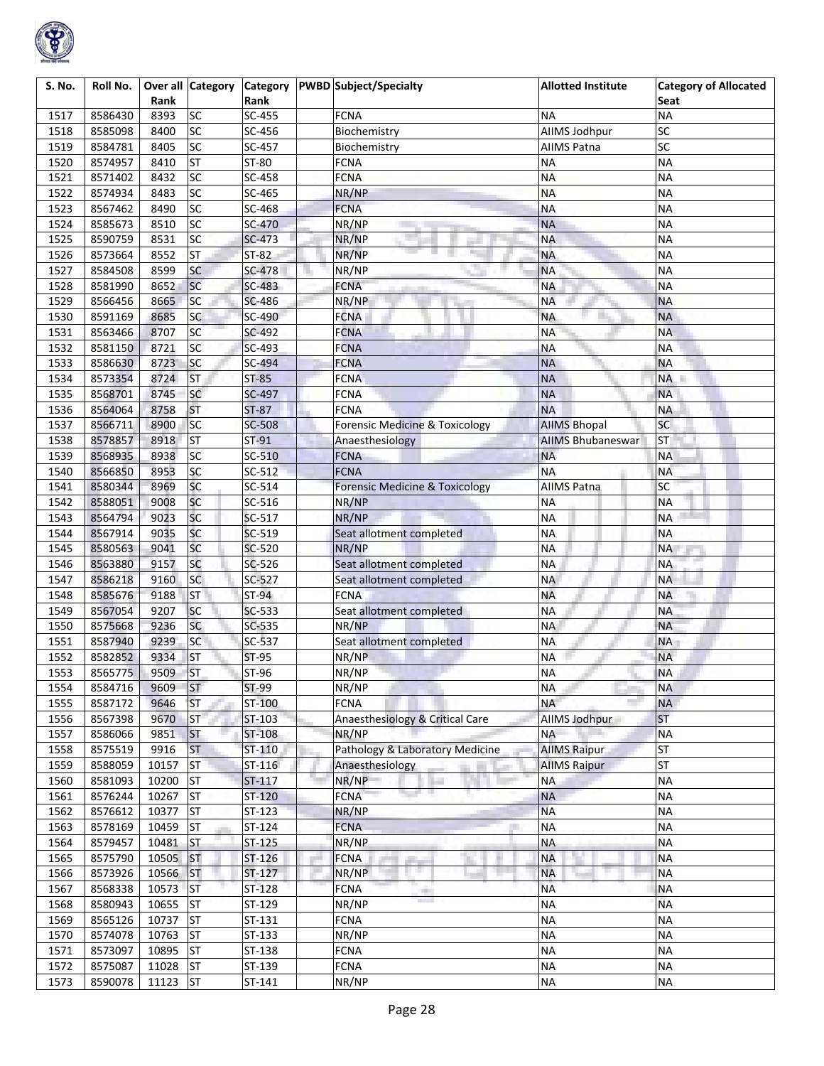

| S. No. | Roll No.           | Rank  | Over all Category | <b>Category</b><br>Rank | <b>PWBD</b> Subject/Specialty |                                   | <b>Allotted Institute</b> | <b>Category of Allocated</b><br>Seat |
|--------|--------------------|-------|-------------------|-------------------------|-------------------------------|-----------------------------------|---------------------------|--------------------------------------|
| 1517   | 8586430            | 8393  | <b>SC</b>         | SC-455                  |                               | <b>FCNA</b>                       | <b>NA</b>                 | <b>NA</b>                            |
| 1518   | 8585098            | 8400  | SC                | SC-456                  |                               | Biochemistry                      | AllMS Jodhpur             | $\overline{\mathsf{SC}}$             |
| 1519   | 8584781            | 8405  | <b>SC</b>         | SC-457                  |                               | Biochemistry                      | <b>AIIMS Patna</b>        | SC                                   |
| 1520   | 8574957            | 8410  | <b>ST</b>         | ST-80                   |                               | <b>FCNA</b>                       | <b>NA</b>                 | <b>NA</b>                            |
| 1521   | 8571402            | 8432  | SC                | SC-458                  |                               | <b>FCNA</b>                       | <b>NA</b>                 | <b>NA</b>                            |
| 1522   | 8574934            | 8483  | <b>SC</b>         | SC-465                  |                               | NR/NP                             | <b>NA</b>                 | <b>NA</b>                            |
| 1523   | 8567462            | 8490  | <b>SC</b>         | SC-468                  |                               | <b>FCNA</b>                       | <b>NA</b>                 | <b>NA</b>                            |
| 1524   | 8585673            | 8510  | SC                | SC-470                  |                               | NR/NP                             | <b>NA</b>                 | <b>NA</b>                            |
| 1525   | 8590759            | 8531  | <b>SC</b>         | SC-473                  |                               | NR/NP                             | <b>NA</b>                 | <b>NA</b>                            |
| 1526   | 8573664            | 8552  | <b>ST</b>         | ST-82                   |                               | NR/NP                             | <b>NA</b>                 | <b>NA</b>                            |
| 1527   | 8584508            | 8599  | SC                | SC-478                  |                               | NR/NP                             | <b>NA</b>                 | <b>NA</b>                            |
| 1528   | 8581990            | 8652  | SC                | SC-483                  |                               | <b>FCNA</b>                       | <b>NA</b>                 | <b>NA</b>                            |
| 1529   | 8566456            | 8665  | <b>SC</b>         | SC-486                  |                               | NR/NP                             | <b>NA</b>                 | <b>NA</b>                            |
| 1530   | 8591169            | 8685  | <b>SC</b>         | SC-490                  |                               | <b>FCNA</b>                       | <b>NA</b>                 | <b>NA</b>                            |
| 1531   | 8563466            | 8707  | <b>SC</b>         | SC-492                  |                               | <b>FCNA</b>                       | <b>NA</b>                 | <b>NA</b>                            |
| 1532   | 8581150            | 8721  | <b>SC</b>         | SC-493                  |                               | <b>FCNA</b>                       | <b>NA</b>                 | <b>NA</b>                            |
| 1533   | 8586630            | 8723  | SC                | SC-494                  |                               | <b>FCNA</b>                       | <b>NA</b>                 | <b>NA</b>                            |
| 1534   | 8573354            | 8724  | <b>ST</b>         | $ST-85$                 |                               | <b>FCNA</b>                       | <b>NA</b>                 | <b>NA</b>                            |
| 1535   | 8568701            | 8745  | <b>SC</b>         | SC-497                  |                               | <b>FCNA</b>                       | <b>NA</b>                 | <b>NA</b>                            |
| 1536   | 8564064            | 8758  | <b>ST</b>         | $ST-87$                 |                               | <b>FCNA</b>                       | <b>NA</b>                 | <b>NA</b>                            |
| 1537   | 8566711            | 8900  | <b>SC</b>         | SC-508                  |                               | Forensic Medicine & Toxicology    | <b>AIIMS Bhopal</b>       | SC                                   |
| 1538   | 8578857            | 8918  | <b>ST</b>         | $ST-91$                 |                               | Anaesthesiology                   | <b>AIIMS Bhubaneswar</b>  | <b>ST</b>                            |
| 1539   | 8568935            | 8938  | <b>SC</b>         | SC-510                  |                               | <b>FCNA</b>                       | <b>NA</b>                 | <b>NA</b>                            |
| 1540   | 8566850            | 8953  | SC                | $SC-512$                |                               | <b>FCNA</b>                       | <b>NA</b>                 | <b>NA</b>                            |
| 1541   |                    | 8969  | <b>SC</b>         | SC-514                  |                               |                                   | <b>AIIMS Patna</b>        | <b>SC</b>                            |
|        | 8580344            |       | <b>SC</b>         |                         |                               | Forensic Medicine & Toxicology    |                           |                                      |
| 1542   | 8588051            | 9008  | <b>SC</b>         | SC-516                  |                               | NR/NP                             | <b>NA</b>                 | <b>NA</b>                            |
| 1543   | 8564794            | 9023  | <b>SC</b>         | SC-517                  |                               | NR/NP                             | <b>NA</b>                 | <b>NA</b>                            |
| 1544   | 8567914            | 9035  | <b>SC</b>         | SC-519                  |                               | Seat allotment completed<br>NR/NP | <b>NA</b><br><b>NA</b>    | <b>NA</b><br><b>NA</b>               |
| 1545   | 8580563<br>8563880 | 9041  | <b>SC</b>         | SC-520                  |                               |                                   |                           |                                      |
| 1546   |                    | 9157  | <b>SC</b>         | SC-526                  |                               | Seat allotment completed          | <b>NA</b>                 | <b>NA</b>                            |
| 1547   | 8586218            | 9160  |                   | SC-527                  |                               | Seat allotment completed          | <b>NA</b>                 | <b>NA</b>                            |
| 1548   | 8585676            | 9188  | <b>ST</b>         | $ST-94$                 |                               | <b>FCNA</b>                       | <b>NA</b>                 | <b>NA</b>                            |
| 1549   | 8567054            | 9207  | <b>SC</b>         | SC-533                  |                               | Seat allotment completed          | <b>NA</b>                 | <b>NA</b>                            |
| 1550   | 8575668            | 9236  | <b>SC</b>         | SC-535                  |                               | NR/NP                             | <b>NA</b>                 | <b>NA</b>                            |
| 1551   | 8587940            | 9239  | <b>SC</b>         | SC-537                  |                               | Seat allotment completed          | <b>NA</b>                 | <b>NA</b>                            |
| 1552   | 8582852            | 9334  | <b>ST</b>         | ST-95                   |                               | NR/NP                             | <b>NA</b>                 | <b>NA</b>                            |
| 1553   | 8565775            | 9509  | <b>ST</b>         | ST-96                   |                               | NR/NP                             | <b>NA</b>                 | <b>NA</b>                            |
| 1554   | 8584716            | 9609  | <b>ST</b>         | ST-99                   |                               | NR/NP                             | <b>NA</b>                 | <b>NA</b>                            |
| 1555   | 8587172            | 9646  | <b>ST</b>         | ST-100                  |                               | <b>FCNA</b>                       | <b>NA</b>                 | <b>NA</b>                            |
| 1556   | 8567398            | 9670  | <b>ST</b>         | ST-103                  |                               | Anaesthesiology & Critical Care   | <b>AllMS Jodhpur</b>      | <b>ST</b>                            |
| 1557   | 8586066            | 9851  | <b>ST</b>         | ST-108                  |                               | NR/NP                             | <b>NA</b>                 | <b>NA</b>                            |
| 1558   | 8575519            | 9916  | <b>ST</b>         | ST-110                  |                               | Pathology & Laboratory Medicine   | <b>AllMS Raipur</b>       | <b>ST</b>                            |
| 1559   | 8588059            | 10157 | <b>ST</b>         | ST-116                  |                               | Anaesthesiology                   | <b>AllMS Raipur</b>       | ST                                   |
| 1560   | 8581093            | 10200 | <b>ST</b>         | ST-117                  |                               | NR/NP<br>i iku                    | <b>NA</b>                 | <b>NA</b>                            |
| 1561   | 8576244            | 10267 | <b>ST</b>         | ST-120                  |                               | <b>FCNA</b>                       | <b>NA</b>                 | <b>NA</b>                            |
| 1562   | 8576612            | 10377 | <b>ST</b>         | $ST-123$                |                               | NR/NP                             | <b>NA</b>                 | <b>NA</b>                            |
| 1563   | 8578169            | 10459 | <b>ST</b>         | ST-124                  |                               | <b>FCNA</b>                       | <b>NA</b>                 | <b>NA</b>                            |
| 1564   | 8579457            | 10481 | <b>ST</b>         | ST-125                  |                               | NR/NP                             | <b>NA</b>                 | <b>NA</b>                            |
| 1565   | 8575790            | 10505 | <b>ST</b>         | ST-126                  |                               | <b>FCNA</b>                       | <b>NA</b>                 | <b>NA</b>                            |
| 1566   | 8573926            | 10566 | <b>ST</b>         | ST-127                  |                               | . .<br>NR/NP                      | <b>NA</b>                 | <b>NA</b>                            |
| 1567   | 8568338            | 10573 | <b>ST</b>         | ST-128                  |                               | <b>FCNA</b><br><b>SEC</b>         | <b>NA</b>                 | <b>NA</b>                            |
| 1568   | 8580943            | 10655 | <b>ST</b>         | ST-129                  |                               | NR/NP                             | <b>NA</b>                 | <b>NA</b>                            |
| 1569   | 8565126            | 10737 | <b>ST</b>         | ST-131                  |                               | <b>FCNA</b>                       | <b>NA</b>                 | <b>NA</b>                            |
| 1570   | 8574078            | 10763 | <b>ST</b>         | ST-133                  |                               | NR/NP                             | <b>NA</b>                 | <b>NA</b>                            |
| 1571   | 8573097            | 10895 | <b>ST</b>         | ST-138                  |                               | FCNA                              | <b>NA</b>                 | <b>NA</b>                            |
| 1572   | 8575087            | 11028 | <b>ST</b>         | ST-139                  |                               | <b>FCNA</b>                       | <b>NA</b>                 | <b>NA</b>                            |
| 1573   | 8590078            | 11123 | <b>ST</b>         | ST-141                  |                               | NR/NP                             | $\sf NA$                  | <b>NA</b>                            |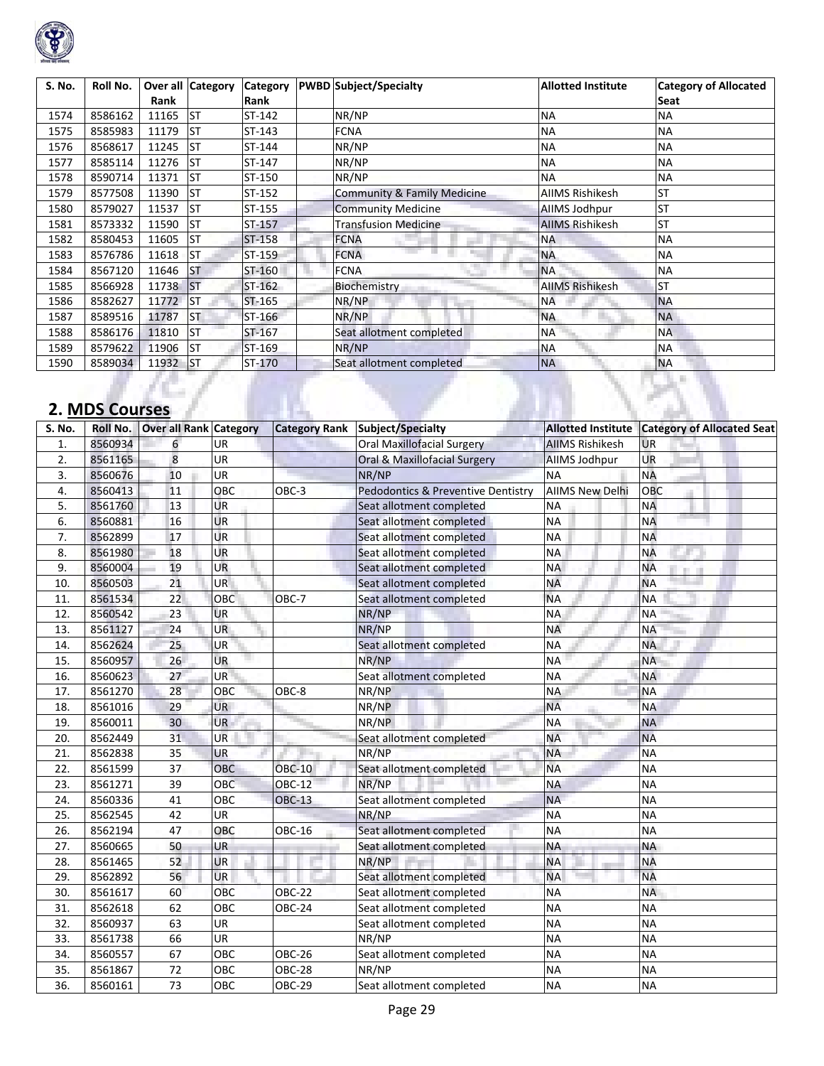

| S. No. | Roll No. |       | Over all Category | <b>Category</b> | <b>PWBD</b> Subject/Specialty |                                        | <b>Allotted Institute</b> | <b>Category of Allocated</b> |
|--------|----------|-------|-------------------|-----------------|-------------------------------|----------------------------------------|---------------------------|------------------------------|
|        |          | Rank  |                   | Rank            |                               |                                        |                           | Seat                         |
| 1574   | 8586162  | 11165 | <b>ST</b>         | ST-142          |                               | NR/NP                                  | <b>NA</b>                 | <b>NA</b>                    |
| 1575   | 8585983  | 11179 | <b>ST</b>         | ST-143          |                               | <b>FCNA</b>                            | <b>NA</b>                 | <b>NA</b>                    |
| 1576   | 8568617  | 11245 | <b>ST</b>         | ST-144          |                               | NR/NP                                  | <b>NA</b>                 | <b>NA</b>                    |
| 1577   | 8585114  | 11276 | <b>ST</b>         | ST-147          |                               | NR/NP                                  | <b>NA</b>                 | <b>NA</b>                    |
| 1578   | 8590714  | 11371 | <b>ST</b>         | ST-150          |                               | NR/NP                                  | <b>NA</b>                 | <b>NA</b>                    |
| 1579   | 8577508  | 11390 | <b>ST</b>         | ST-152          |                               | <b>Community &amp; Family Medicine</b> | <b>AIIMS Rishikesh</b>    | <b>ST</b>                    |
| 1580   | 8579027  | 11537 | <b>ST</b>         | $ST-155$        |                               | <b>Community Medicine</b>              | AllMS Jodhpur             | <b>ST</b>                    |
| 1581   | 8573332  | 11590 | lst               | $ST-157$        |                               | <b>Transfusion Medicine</b>            | <b>AIIMS Rishikesh</b>    | lst                          |
| 1582   | 8580453  | 11605 | <b>ST</b>         | ST-158          |                               | <b>FCNA</b>                            | <b>NA</b>                 | <b>NA</b>                    |
| 1583   | 8576786  | 11618 | <b>ST</b>         | ST-159          |                               | <b>FCNA</b>                            | <b>NA</b>                 | <b>NA</b>                    |
| 1584   | 8567120  | 11646 | <b>ST</b>         | ST-160          |                               | <b>FCNA</b>                            | <b>NA</b>                 | <b>NA</b>                    |
| 1585   | 8566928  | 11738 | <b>IST</b>        | ST-162          |                               | Biochemistry                           | <b>AIIMS Rishikesh</b>    | lst                          |
| 1586   | 8582627  | 11772 | <b>ST</b>         | ST-165          |                               | NR/NP                                  | <b>NA</b>                 | <b>NA</b>                    |
| 1587   | 8589516  | 11787 | <b>ST</b>         | ST-166          |                               | NR/NP                                  | <b>NA</b>                 | <b>NA</b>                    |
| 1588   | 8586176  | 11810 | <b>ST</b>         | ST-167          |                               | Seat allotment completed               | <b>NA</b>                 | <b>NA</b>                    |
| 1589   | 8579622  | 11906 | <b>ST</b>         | ST-169          |                               | NR/NP                                  | <b>NA</b>                 | <b>NA</b>                    |
| 1590   | 8589034  | 11932 | IST               | $ST-170$        |                               | Seat allotment completed               | <b>NA</b>                 | <b>NA</b>                    |

# **2. MDS Courses**

| S. No. | Roll No. | <b>Over all Rank Category</b> |                 | <b>Category Rank</b> | Subject/Specialty                  |                        | Allotted Institute Category of Allocated Seat |
|--------|----------|-------------------------------|-----------------|----------------------|------------------------------------|------------------------|-----------------------------------------------|
| 1.     | 8560934  | 6                             | UR              |                      | <b>Oral Maxillofacial Surgery</b>  | <b>AIIMS Rishikesh</b> | <b>UR</b>                                     |
| 2.     | 8561165  | $\bf 8$                       | UR              |                      | Oral & Maxillofacial Surgery       | AllMS Jodhpur          | <b>UR</b>                                     |
| 3.     | 8560676  | 10                            | UR              |                      | NR/NP                              | NA                     | <b>NA</b>                                     |
| 4.     | 8560413  | 11                            | OBC             | OBC-3                | Pedodontics & Preventive Dentistry | <b>AIIMS New Delhi</b> | OBC                                           |
| 5.     | 8561760  | 13                            | UR              |                      | Seat allotment completed           | <b>NA</b>              | <b>NA</b>                                     |
| 6.     | 8560881  | 16                            | UR              |                      | Seat allotment completed           | <b>NA</b>              | <b>NA</b>                                     |
| 7.     | 8562899  | 17                            | UR              |                      | Seat allotment completed           | <b>NA</b>              | <b>NA</b>                                     |
| 8.     | 8561980  | 18                            | UR              |                      | Seat allotment completed           | <b>NA</b>              | <b>NA</b>                                     |
| 9.     | 8560004  | 19                            | <b>UR</b>       |                      | Seat allotment completed           | <b>NA</b>              | <b>NA</b><br><b>Contract</b>                  |
| 10.    | 8560503  | 21                            | <b>UR</b>       |                      | Seat allotment completed           | <b>NA</b>              | <b>NA</b>                                     |
| 11.    | 8561534  | 22                            | <b>OBC</b>      | OBC-7                | Seat allotment completed           | <b>NA</b>              | <b>NA</b>                                     |
| 12.    | 8560542  | 23                            | UR              |                      | NR/NP                              | <b>NA</b>              | <b>NA</b>                                     |
| 13.    | 8561127  | 24                            | <b>UR</b>       |                      | NR/NP                              | <b>NA</b>              | <b>NA</b>                                     |
| 14.    | 8562624  | 25                            | UR              |                      | Seat allotment completed           | <b>NA</b>              | <b>NA</b>                                     |
| 15.    | 8560957  | 26                            | <b>UR</b>       |                      | NR/NP                              | <b>NA</b>              | <b>NA</b>                                     |
| 16.    | 8560623  | 27                            | UR <sup>1</sup> |                      | Seat allotment completed           | <b>NA</b>              | <b>NA</b>                                     |
| 17.    | 8561270  | 28                            | OBC             | OBC-8                | NR/NP                              | <b>NA</b>              | <b>NA</b>                                     |
| 18.    | 8561016  | 29                            | <b>UR</b>       |                      | NR/NP                              | <b>NA</b>              | <b>NA</b>                                     |
| 19.    | 8560011  | 30                            | <b>UR</b>       |                      | NR/NP                              | <b>NA</b>              | <b>NA</b>                                     |
| 20.    | 8562449  | 31                            | UR              |                      | Seat allotment completed           | <b>NA</b>              | <b>NA</b>                                     |
| 21.    | 8562838  | 35                            | <b>UR</b>       |                      | NR/NP                              | <b>NA</b>              | <b>NA</b>                                     |
| 22.    | 8561599  | 37                            | OBC             | <b>OBC-10</b>        | Seat allotment completed           | <b>NA</b>              | <b>NA</b>                                     |
| 23.    | 8561271  | 39                            | OBC             | <b>OBC-12</b>        | NR/NP                              | <b>NA</b>              | <b>NA</b>                                     |
| 24.    | 8560336  | 41                            | OBC             | <b>OBC-13</b>        | Seat allotment completed           | <b>NA</b>              | <b>NA</b>                                     |
| 25.    | 8562545  | 42                            | UR              |                      | NR/NP                              | <b>NA</b>              | <b>NA</b>                                     |
| 26.    | 8562194  | 47                            | OBC             | <b>OBC-16</b>        | Seat allotment completed           | <b>NA</b>              | <b>NA</b>                                     |
| 27.    | 8560665  | 50                            | <b>UR</b>       |                      | Seat allotment completed           | <b>NA</b>              | <b>NA</b>                                     |
| 28.    | 8561465  | 52                            | <b>UR</b>       |                      | NR/NP                              | <b>NA</b>              | <b>NA</b>                                     |
| 29.    | 8562892  | 56                            | <b>UR</b>       |                      | Seat allotment completed           | <b>NA</b>              | <b>NA</b>                                     |
| 30.    | 8561617  | 60                            | OBC             | <b>OBC-22</b>        | Seat allotment completed           | <b>NA</b>              | <b>NA</b>                                     |
| 31.    | 8562618  | 62                            | <b>OBC</b>      | <b>OBC-24</b>        | Seat allotment completed           | <b>NA</b>              | <b>NA</b>                                     |
| 32.    | 8560937  | 63                            | UR              |                      | Seat allotment completed           | <b>NA</b>              | <b>NA</b>                                     |
| 33.    | 8561738  | 66                            | UR              |                      | NR/NP                              | <b>NA</b>              | <b>NA</b>                                     |
| 34.    | 8560557  | 67                            | OBC             | OBC-26               | Seat allotment completed           | <b>NA</b>              | <b>NA</b>                                     |
| 35.    | 8561867  | 72                            | OBC             | <b>OBC-28</b>        | NR/NP                              | <b>NA</b>              | <b>NA</b>                                     |
| 36.    | 8560161  | 73                            | OBC             | <b>OBC-29</b>        | Seat allotment completed           | <b>NA</b>              | <b>NA</b>                                     |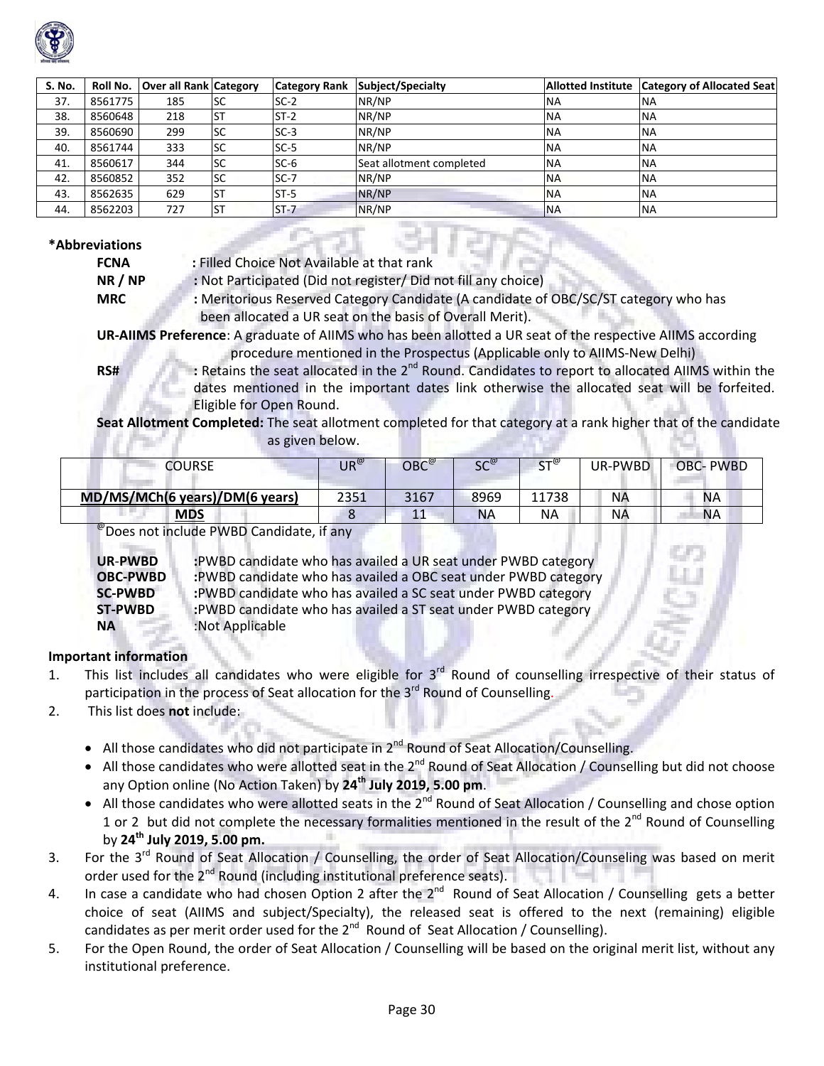

| S. No. | Roll No. | <b>Over all Rank Category</b> |            | <b>Category Rank</b> | Subject/Specialty        |           | Allotted Institute   Category of Allocated Seat |
|--------|----------|-------------------------------|------------|----------------------|--------------------------|-----------|-------------------------------------------------|
| 37.    | 8561775  | 185                           | <b>SC</b>  | $SC-2$               | NR/NP                    | <b>NA</b> | <b>NA</b>                                       |
| 38.    | 8560648  | 218                           | <b>IST</b> | $ST-2$               | NR/NP                    | <b>NA</b> | <b>NA</b>                                       |
| 39.    | 8560690  | 299                           | <b>SC</b>  | $SC-3$               | NR/NP                    | <b>NA</b> | <b>NA</b>                                       |
| 40.    | 8561744  | 333                           | <b>SC</b>  | $SC-5$               | NR/NP                    | <b>NA</b> | <b>NA</b>                                       |
| 41.    | 8560617  | 344                           | <b>SC</b>  | $SC-6$               | Seat allotment completed | <b>NA</b> | <b>NA</b>                                       |
| 42.    | 8560852  | 352                           | <b>SC</b>  | SC-7                 | NR/NP                    | <b>NA</b> | <b>NA</b>                                       |
| 43.    | 8562635  | 629                           | <b>IST</b> | $ST-5$               | NR/NP                    | <b>NA</b> | <b>NA</b>                                       |
| 44.    | 8562203  | 727                           | <b>IST</b> | $ST - 7$             | NR/NP                    | <b>NA</b> | <b>NA</b>                                       |

#### **\*Abbreviations**

**FCNA :** Filled Choice Not Available at that rank

**NR / NP :** Not Participated (Did not register/ Did not fill any choice)

**MRC :** Meritorious Reserved Category Candidate (A candidate of OBC/SC/ST category who has been allocated a UR seat on the basis of Overall Merit).

**UR‐AIIMS Preference**: A graduate of AIIMS who has been allotted a UR seat of the respective AIIMS according

 procedure mentioned in the Prospectus (Applicable only to AIIMS‐New Delhi) **RS# :** Retains the seat allocated in the 2<sup>nd</sup> Round. Candidates to report to allocated AIIMS within the

dates mentioned in the important dates link otherwise the allocated seat will be forfeited. Eligible for Open Round.

**Seat Allotment Completed:** The seat allotment completed for that category at a rank higher that of the candidate as given below.

| <b>COURSE</b>                                      | $\mathsf{UR}^\mathsf{w}$ | $\mathsf{OBC}^\omega$ | $SC^{\omega}$ | $ST^{\omega}$ | UR-PWBD | <b>OBC-PWBD</b> |  |  |  |
|----------------------------------------------------|--------------------------|-----------------------|---------------|---------------|---------|-----------------|--|--|--|
| MD/MS/MCh(6 years)/DM(6 years)                     | 2351                     | 3167                  | 8969          | 11738         | ΝA      | <b>NA</b>       |  |  |  |
| <b>MDS</b>                                         |                          | 11                    | NΑ            | ΝA            | ΝA      | NА              |  |  |  |
| $^{\omega}$ Does not include PWRD Candidate if any |                          |                       |               |               |         |                 |  |  |  |

@Does not include PWBD Candidate, if any

**UR-PWBD** : PWBD candidate who has availed a UR seat under PWBD category<br>**OBC-PWBD** : PWBD candidate who has availed a OBC seat under PWBD categor **OBC‐PWBD :**PWBD candidate who has availed a OBC seat under PWBD category **SC‐PWBD :**PWBD candidate who has availed a SC seat under PWBD category **ST‐PWBD :**PWBD candidate who has availed a ST seat under PWBD category **NA**  :Not Applicable

# **Important information**

- 1. This list includes all candidates who were eligible for 3<sup>rd</sup> Round of counselling irrespective of their status of participation in the process of Seat allocation for the  $3<sup>rd</sup>$  Round of Counselling.
- 2. This list does **not** include:
	- All those candidates who did not participate in 2<sup>nd</sup> Round of Seat Allocation/Counselling.
	- All those candidates who were allotted seat in the 2<sup>nd</sup> Round of Seat Allocation / Counselling but did not choose any Option online (No Action Taken) by **24th July 2019, 5.00 pm**.
	- All those candidates who were allotted seats in the 2<sup>nd</sup> Round of Seat Allocation / Counselling and chose option 1 or 2 but did not complete the necessary formalities mentioned in the result of the 2<sup>nd</sup> Round of Counselling by **24th July 2019, 5.00 pm.**
- 3. For the 3<sup>rd</sup> Round of Seat Allocation / Counselling, the order of Seat Allocation/Counseling was based on merit order used for the 2<sup>nd</sup> Round (including institutional preference seats).
- order used for the  $z^-$  Round (including institutional preference seats).<br>4. In case a candidate who had chosen Option 2 after the 2<sup>nd</sup> Round of Seat Allocation / Counselling gets a better choice of seat (AIIMS and subject/Specialty), the released seat is offered to the next (remaining) eligible candidates as per merit order used for the  $2^{nd}$  Round of Seat Allocation / Counselling).
- 5. For the Open Round, the order of Seat Allocation / Counselling will be based on the original merit list, without any institutional preference.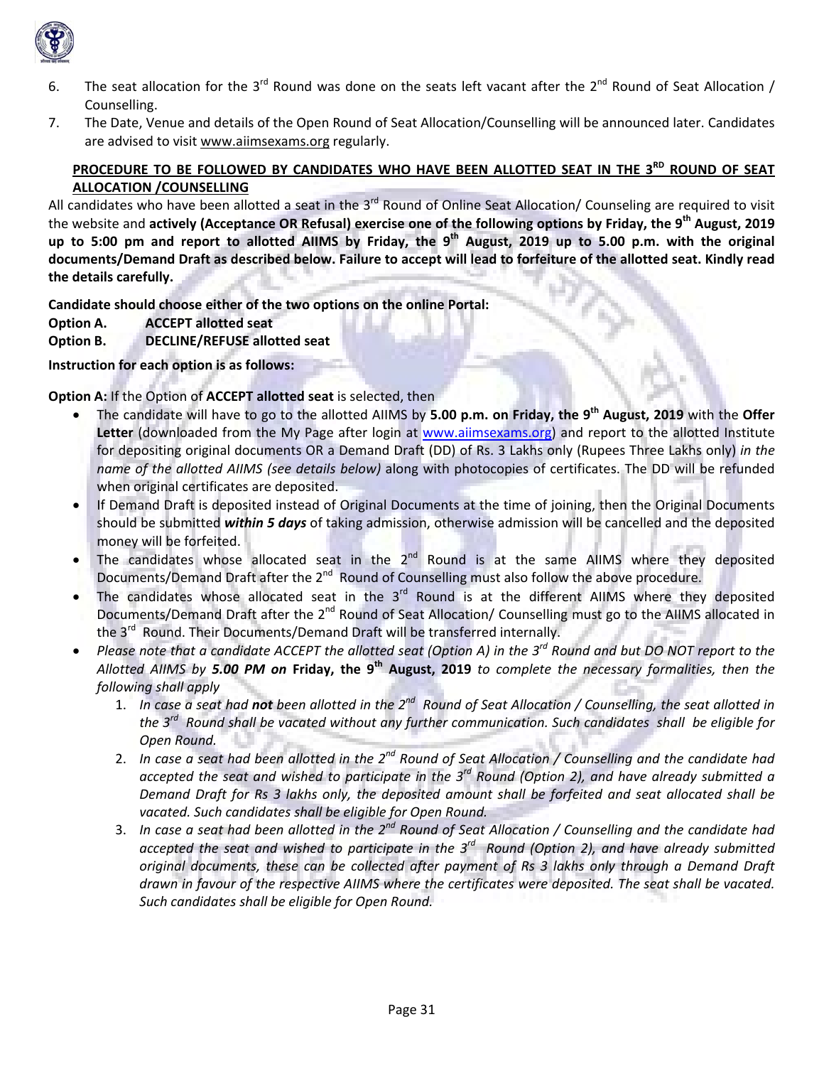

- 6. The seat allocation for the 3<sup>rd</sup> Round was done on the seats left vacant after the 2<sup>nd</sup> Round of Seat Allocation / Counselling.
- 7. The Date, Venue and details of the Open Round of Seat Allocation/Counselling will be announced later. Candidates are advised to visit www.aiimsexams.org regularly.

# **PROCEDURE TO BE FOLLOWED BY CANDIDATES WHO HAVE BEEN ALLOTTED SEAT IN THE 3RD ROUND OF SEAT ALLOCATION /COUNSELLING**

All candidates who have been allotted a seat in the  $3^{rd}$  Round of Online Seat Allocation/ Counseling are required to visit the website and actively (Acceptance OR Refusal) exercise one of the following options by Friday, the 9<sup>th</sup> August, 2019 up to 5:00 pm and report to allotted AIIMS by Friday, the 9<sup>th</sup> August, 2019 up to 5.00 p.m. with the original documents/Demand Draft as described below. Failure to accept will lead to forfeiture of the allotted seat. Kindly read **the details carefully.** 

**Candidate should choose either of the two options on the online Portal:**

**Option A. ACCEPT allotted seat** 

**Option B. DECLINE/REFUSE allotted seat** 

**Instruction for each option is as follows:**

**Option A:** If the Option of **ACCEPT allotted seat** is selected, then

- The candidate will have to go to the allotted AIIMS by **5.00 p.m. on Friday, the 9th August, 2019** with the **Offer Letter** (downloaded from the My Page after login at www.aiimsexams.org) and report to the allotted Institute for depositing original documents OR a Demand Draft (DD) of Rs. 3 Lakhs only (Rupees Three Lakhs only) *in the name of the allotted AIIMS (see details below)* along with photocopies of certificates. The DD will be refunded when original certificates are deposited.
- If Demand Draft is deposited instead of Original Documents at the time of joining, then the Original Documents should be submitted *within 5 days* of taking admission, otherwise admission will be cancelled and the deposited money will be forfeited.
- The candidates whose allocated seat in the  $2^{nd}$  Round is at the same AIIMS where they deposited Documents/Demand Draft after the 2<sup>nd</sup> Round of Counselling must also follow the above procedure.
- The candidates whose allocated seat in the 3<sup>rd</sup> Round is at the different AIIMS where they deposited Documents/Demand Draft after the 2<sup>nd</sup> Round of Seat Allocation/ Counselling must go to the AIIMS allocated in the 3<sup>rd</sup> Round. Their Documents/Demand Draft will be transferred internally.
- Please note that a candidate ACCEPT the allotted seat (Option A) in the  $3^{rd}$  Round and but DO NOT report to the Allotted AIIMS by 5.00 PM on Friday, the 9<sup>th</sup> August, 2019 to complete the necessary formalities, then the *following shall apply*
	- 1. In case a seat had not been allotted in the 2<sup>nd</sup> Round of Seat Allocation / Counselling, the seat allotted in the 3<sup>rd</sup> Round shall be vacated without any further communication. Such candidates shall be eligible for *Open Round.*
	- 2. In case a seat had been allotted in the  $2^{nd}$  Round of Seat Allocation / Counselling and the candidate had accepted the seat and wished to participate in the  $3^{rd}$  Round (Option 2), and have already submitted a Demand Draft for Rs 3 lakhs only, the deposited amount shall be forfeited and seat allocated shall be *vacated. Such candidates shall be eligible for Open Round.*
	- 3. In case a seat had been allotted in the  $2^{nd}$  Round of Seat Allocation / Counselling and the candidate had accepted the seat and wished to participate in the  $3^{rd}$  Round (Option 2), and have already submitted *original documents, these can be collected after payment of Rs 3 lakhs only through a Demand Draft* drawn in favour of the respective AIIMS where the certificates were deposited. The seat shall be vacated. *Such candidates shall be eligible for Open Round.*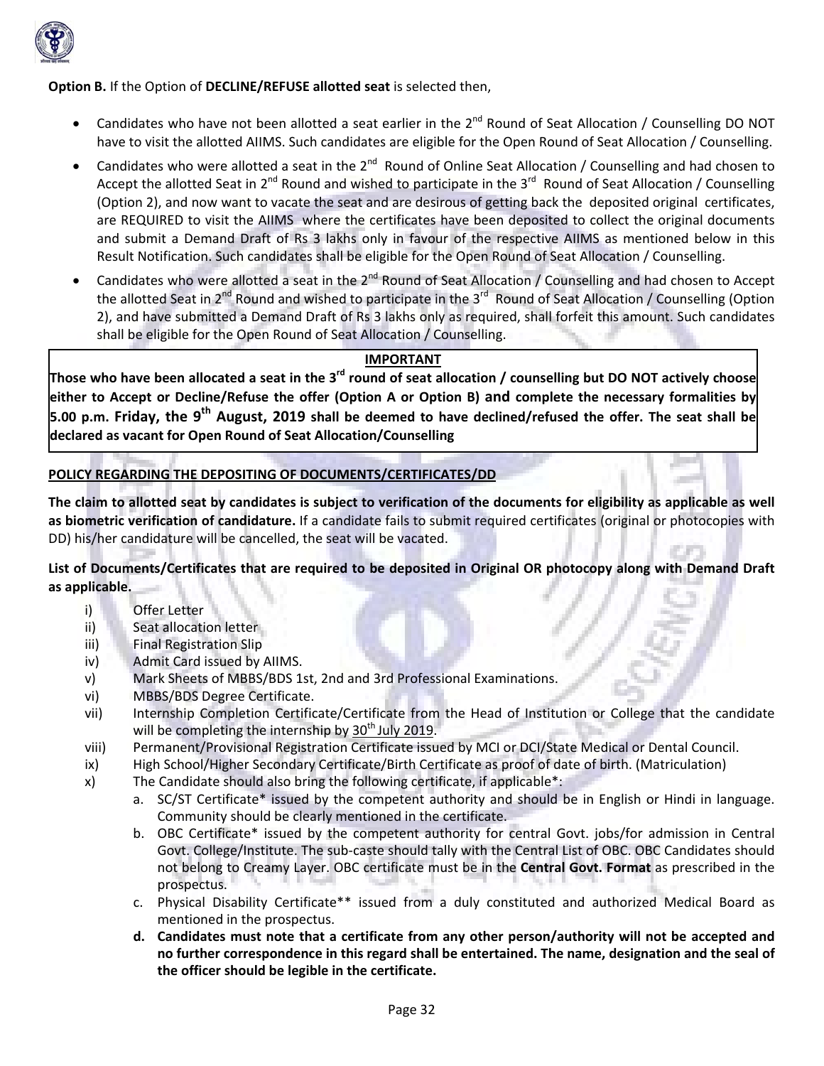

### **Option B.** If the Option of **DECLINE/REFUSE allotted seat** is selected then,

- Candidates who have not been allotted a seat earlier in the 2<sup>nd</sup> Round of Seat Allocation / Counselling DO NOT have to visit the allotted AIIMS. Such candidates are eligible for the Open Round of Seat Allocation / Counselling.
- Candidates who were allotted a seat in the  $2^{nd}$  Round of Online Seat Allocation / Counselling and had chosen to Accept the allotted Seat in 2<sup>nd</sup> Round and wished to participate in the 3<sup>rd</sup> Round of Seat Allocation / Counselling (Option 2), and now want to vacate the seat and are desirous of getting back the deposited original certificates, are REQUIRED to visit the AIIMS where the certificates have been deposited to collect the original documents and submit a Demand Draft of Rs 3 lakhs only in favour of the respective AIIMS as mentioned below in this Result Notification. Such candidates shall be eligible for the Open Round of Seat Allocation / Counselling.
- Candidates who were allotted a seat in the 2<sup>nd</sup> Round of Seat Allocation / Counselling and had chosen to Accept the allotted Seat in 2<sup>nd</sup> Round and wished to participate in the 3<sup>rd</sup> Round of Seat Allocation / Counselling (Option 2), and have submitted a Demand Draft of Rs 3 lakhs only as required, shall forfeit this amount. Such candidates shall be eligible for the Open Round of Seat Allocation / Counselling.

# **IMPORTANT**

Those who have been allocated a seat in the 3<sup>rd</sup> round of seat allocation / counselling but DO NOT actively choose either to Accept or Decline/Refuse the offer (Option A or Option B) and complete the necessary formalities by 5.00 p.m. Friday, the 9<sup>th</sup> August, 2019 shall be deemed to have declined/refused the offer. The seat shall be **declared as vacant for Open Round of Seat Allocation/Counselling**

# **POLICY REGARDING THE DEPOSITING OF DOCUMENTS/CERTIFICATES/DD**

The claim to allotted seat by candidates is subject to verification of the documents for eligibility as applicable as well **as biometric verification of candidature.** If a candidate fails to submit required certificates (original or photocopies with DD) his/her candidature will be cancelled, the seat will be vacated.

### List of Documents/Certificates that are required to be deposited in Original OR photocopy along with Demand Draft **as applicable.**

- i) Offer Letter
- ii) Seat allocation letter
- iii) Final Registration Slip
- iv) Admit Card issued by AIIMS.
- v) Mark Sheets of MBBS/BDS 1st, 2nd and 3rd Professional Examinations.
- vi) MBBS/BDS Degree Certificate.
- vii) Internship Completion Certificate/Certificate from the Head of Institution or College that the candidate will be completing the internship by  $30<sup>th</sup>$  July 2019.
- viii) Permanent/Provisional Registration Certificate issued by MCI or DCI/State Medical or Dental Council.
- ix) High School/Higher Secondary Certificate/Birth Certificate as proof of date of birth. (Matriculation)
- x) The Candidate should also bring the following certificate, if applicable\*:
	- a. SC/ST Certificate\* issued by the competent authority and should be in English or Hindi in language. Community should be clearly mentioned in the certificate.
	- b. OBC Certificate\* issued by the competent authority for central Govt. jobs/for admission in Central Govt. College/Institute. The sub‐caste should tally with the Central List of OBC. OBC Candidates should not belong to Creamy Layer. OBC certificate must be in the **Central Govt. Format** as prescribed in the prospectus.
	- c. Physical Disability Certificate\*\* issued from a duly constituted and authorized Medical Board as mentioned in the prospectus.
	- **d. Candidates must note that a certificate from any other person/authority will not be accepted and no further correspondence in this regard shall be entertained. The name, designation and the seal of the officer should be legible in the certificate.**